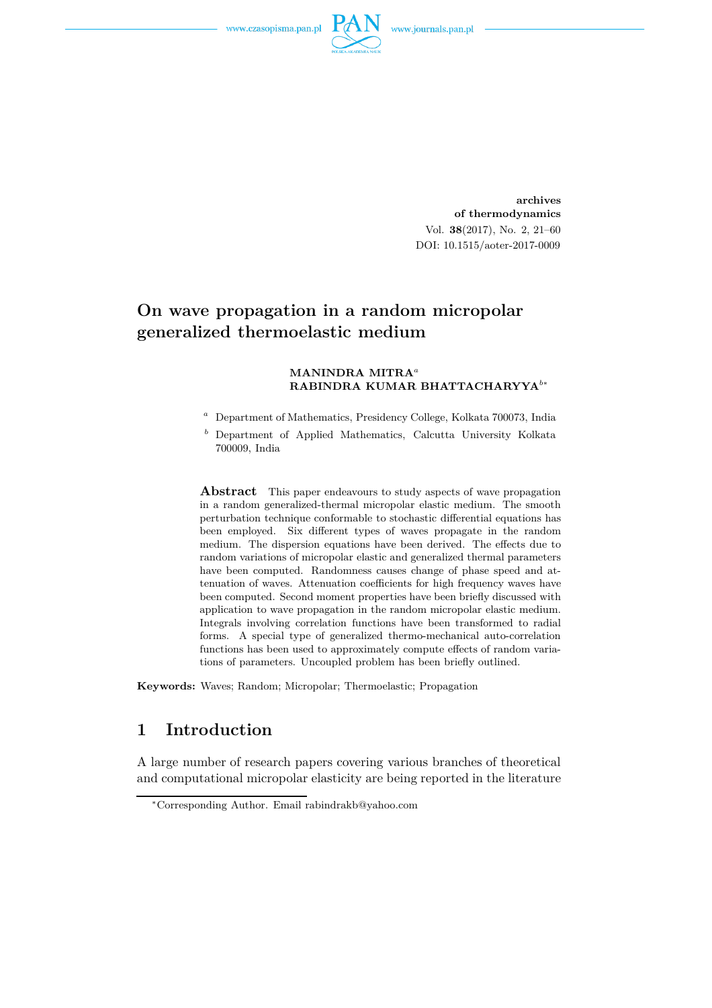

**archives of thermodynamics** Vol. **38**(2017), No. 2, 21–60 DOI: 10.1515/aoter-2017-0009

# **On wave propagation in a random micropolar generalized thermoelastic medium**

#### **MANINDRA MITRA***<sup>a</sup>* **RABINDRA KUMAR BHATTACHARYYA***<sup>b</sup>*<sup>∗</sup>

- *<sup>a</sup>* Department of Mathematics, Presidency College, Kolkata 700073, India
- *<sup>b</sup>* Department of Applied Mathematics, Calcutta University Kolkata 700009, India

**Abstract** This paper endeavours to study aspects of wave propagation in a random generalized-thermal micropolar elastic medium. The smooth perturbation technique conformable to stochastic differential equations has been employed. Six different types of waves propagate in the random medium. The dispersion equations have been derived. The effects due to random variations of micropolar elastic and generalized thermal parameters have been computed. Randomness causes change of phase speed and attenuation of waves. Attenuation coefficients for high frequency waves have been computed. Second moment properties have been briefly discussed with application to wave propagation in the random micropolar elastic medium. Integrals involving correlation functions have been transformed to radial forms. A special type of generalized thermo-mechanical auto-correlation functions has been used to approximately compute effects of random variations of parameters. Uncoupled problem has been briefly outlined.

**Keywords:** Waves; Random; Micropolar; Thermoelastic; Propagation

### **1 Introduction**

A large number of research papers covering various branches of theoretical and computational micropolar elasticity are being reported in the literature

<sup>∗</sup>Corresponding Author. Email rabindrakb@yahoo.com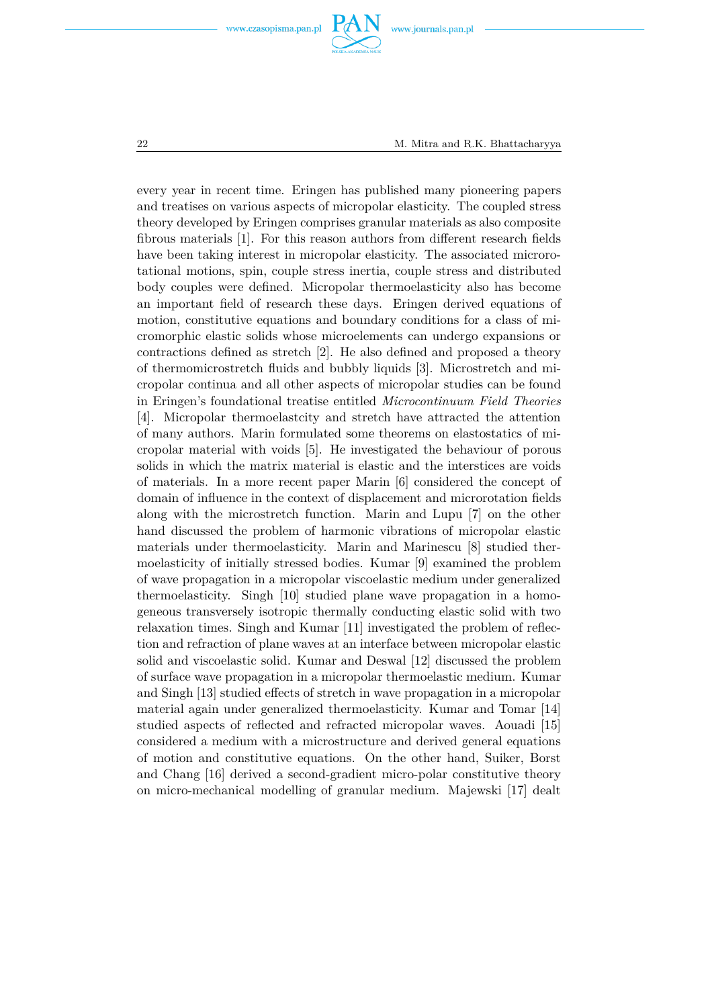



every year in recent time. Eringen has published many pioneering papers and treatises on various aspects of micropolar elasticity. The coupled stress theory developed by Eringen comprises granular materials as also composite fibrous materials [1]. For this reason authors from different research fields have been taking interest in micropolar elasticity. The associated microrotational motions, spin, couple stress inertia, couple stress and distributed body couples were defined. Micropolar thermoelasticity also has become an important field of research these days. Eringen derived equations of motion, constitutive equations and boundary conditions for a class of micromorphic elastic solids whose microelements can undergo expansions or contractions defined as stretch [2]. He also defined and proposed a theory of thermomicrostretch fluids and bubbly liquids [3]. Microstretch and micropolar continua and all other aspects of micropolar studies can be found in Eringen's foundational treatise entitled *Microcontinuum Field Theories* [4]. Micropolar thermoelastcity and stretch have attracted the attention of many authors. Marin formulated some theorems on elastostatics of micropolar material with voids [5]. He investigated the behaviour of porous solids in which the matrix material is elastic and the interstices are voids of materials. In a more recent paper Marin [6] considered the concept of domain of influence in the context of displacement and microrotation fields along with the microstretch function. Marin and Lupu [7] on the other hand discussed the problem of harmonic vibrations of micropolar elastic materials under thermoelasticity. Marin and Marinescu [8] studied thermoelasticity of initially stressed bodies. Kumar [9] examined the problem of wave propagation in a micropolar viscoelastic medium under generalized thermoelasticity. Singh [10] studied plane wave propagation in a homogeneous transversely isotropic thermally conducting elastic solid with two relaxation times. Singh and Kumar [11] investigated the problem of reflection and refraction of plane waves at an interface between micropolar elastic solid and viscoelastic solid. Kumar and Deswal [12] discussed the problem of surface wave propagation in a micropolar thermoelastic medium. Kumar and Singh [13] studied effects of stretch in wave propagation in a micropolar material again under generalized thermoelasticity. Kumar and Tomar [14] studied aspects of reflected and refracted micropolar waves. Aouadi [15] considered a medium with a microstructure and derived general equations of motion and constitutive equations. On the other hand, Suiker, Borst and Chang [16] derived a second-gradient micro-polar constitutive theory on micro-mechanical modelling of granular medium. Majewski [17] dealt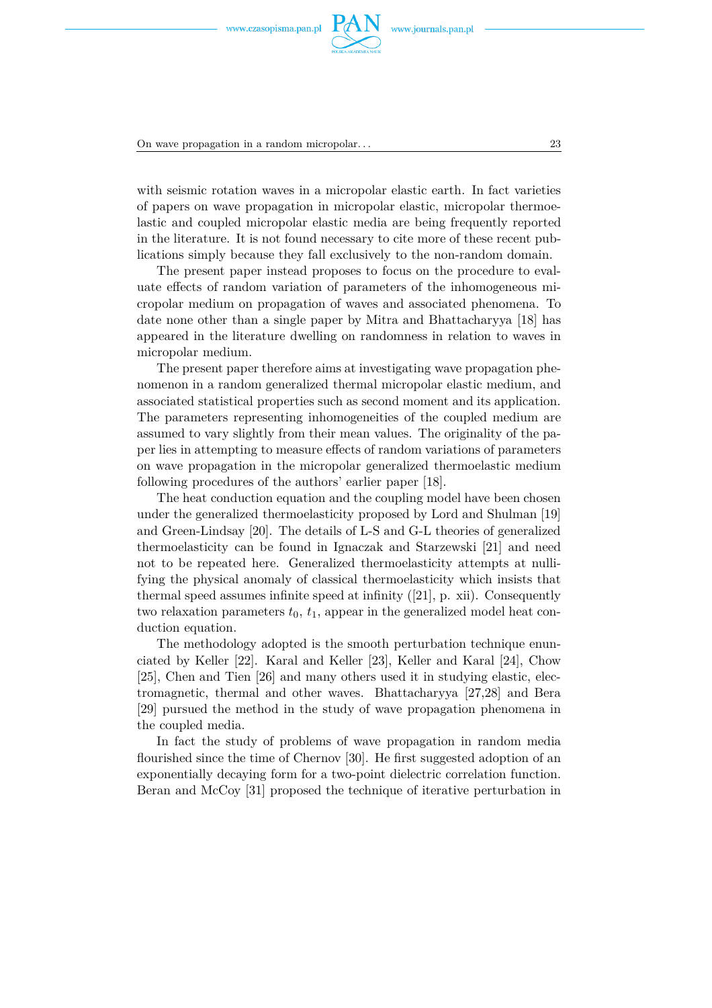

On wave propagation in a random micropolar. . . 23

with seismic rotation waves in a micropolar elastic earth. In fact varieties of papers on wave propagation in micropolar elastic, micropolar thermoelastic and coupled micropolar elastic media are being frequently reported in the literature. It is not found necessary to cite more of these recent publications simply because they fall exclusively to the non-random domain.

The present paper instead proposes to focus on the procedure to evaluate effects of random variation of parameters of the inhomogeneous micropolar medium on propagation of waves and associated phenomena. To date none other than a single paper by Mitra and Bhattacharyya [18] has appeared in the literature dwelling on randomness in relation to waves in micropolar medium.

The present paper therefore aims at investigating wave propagation phenomenon in a random generalized thermal micropolar elastic medium, and associated statistical properties such as second moment and its application. The parameters representing inhomogeneities of the coupled medium are assumed to vary slightly from their mean values. The originality of the paper lies in attempting to measure effects of random variations of parameters on wave propagation in the micropolar generalized thermoelastic medium following procedures of the authors' earlier paper [18].

The heat conduction equation and the coupling model have been chosen under the generalized thermoelasticity proposed by Lord and Shulman [19] and Green-Lindsay [20]. The details of L-S and G-L theories of generalized thermoelasticity can be found in Ignaczak and Starzewski [21] and need not to be repeated here. Generalized thermoelasticity attempts at nullifying the physical anomaly of classical thermoelasticity which insists that thermal speed assumes infinite speed at infinity ([21], p. xii). Consequently two relaxation parameters  $t_0$ ,  $t_1$ , appear in the generalized model heat conduction equation.

The methodology adopted is the smooth perturbation technique enunciated by Keller [22]. Karal and Keller [23], Keller and Karal [24], Chow [25], Chen and Tien [26] and many others used it in studying elastic, electromagnetic, thermal and other waves. Bhattacharyya [27,28] and Bera [29] pursued the method in the study of wave propagation phenomena in the coupled media.

In fact the study of problems of wave propagation in random media flourished since the time of Chernov [30]. He first suggested adoption of an exponentially decaying form for a two-point dielectric correlation function. Beran and McCoy [31] proposed the technique of iterative perturbation in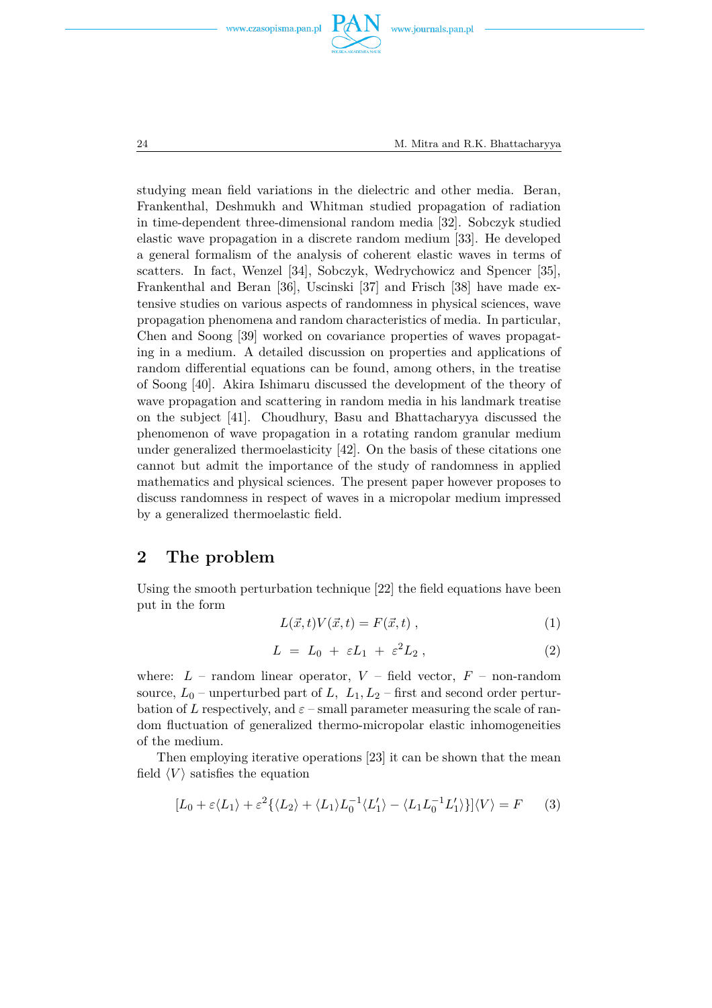





studying mean field variations in the dielectric and other media. Beran, Frankenthal, Deshmukh and Whitman studied propagation of radiation in time-dependent three-dimensional random media [32]. Sobczyk studied elastic wave propagation in a discrete random medium [33]. He developed a general formalism of the analysis of coherent elastic waves in terms of scatters. In fact, Wenzel [34], Sobczyk, Wedrychowicz and Spencer [35], Frankenthal and Beran [36], Uscinski [37] and Frisch [38] have made extensive studies on various aspects of randomness in physical sciences, wave propagation phenomena and random characteristics of media. In particular, Chen and Soong [39] worked on covariance properties of waves propagating in a medium. A detailed discussion on properties and applications of random differential equations can be found, among others, in the treatise of Soong [40]. Akira Ishimaru discussed the development of the theory of wave propagation and scattering in random media in his landmark treatise on the subject [41]. Choudhury, Basu and Bhattacharyya discussed the phenomenon of wave propagation in a rotating random granular medium under generalized thermoelasticity [42]. On the basis of these citations one cannot but admit the importance of the study of randomness in applied mathematics and physical sciences. The present paper however proposes to discuss randomness in respect of waves in a micropolar medium impressed by a generalized thermoelastic field.

#### **2 The problem**

Using the smooth perturbation technique [22] the field equations have been put in the form

$$
L(\vec{x},t)V(\vec{x},t) = F(\vec{x},t) , \qquad (1)
$$

$$
L = L_0 + \varepsilon L_1 + \varepsilon^2 L_2 , \qquad (2)
$$

where:  $L$  – random linear operator,  $V$  – field vector,  $F$  – non-random source,  $L_0$  – unperturbed part of  $L$ ,  $L_1$ ,  $L_2$  – first and second order perturbation of *L* respectively, and  $\varepsilon$  – small parameter measuring the scale of random fluctuation of generalized thermo-micropolar elastic inhomogeneities of the medium.

Then employing iterative operations [23] it can be shown that the mean field  $\langle V \rangle$  satisfies the equation

$$
[L_0 + \varepsilon \langle L_1 \rangle + \varepsilon^2 \{ \langle L_2 \rangle + \langle L_1 \rangle L_0^{-1} \langle L_1' \rangle - \langle L_1 L_0^{-1} L_1' \rangle \} ] \langle V \rangle = F \qquad (3)
$$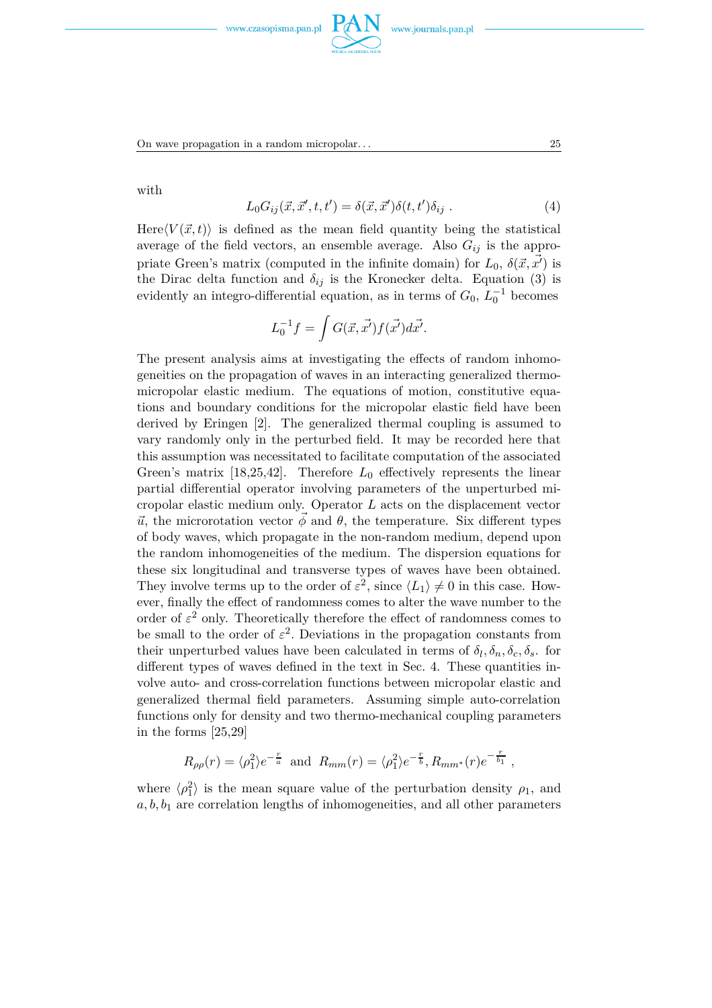

On wave propagation in a random micropolar. . . 25

with

$$
L_0 G_{ij}(\vec{x}, \vec{x}', t, t') = \delta(\vec{x}, \vec{x}') \delta(t, t') \delta_{ij} . \qquad (4)
$$

Here $\langle V(\vec{x},t)\rangle$  is defined as the mean field quantity being the statistical average of the field vectors, an ensemble average. Also  $G_{ij}$  is the appropriate Green's matrix (computed in the infinite domain) for  $L_0$ ,  $\delta(\vec{x}, \vec{x'})$  is the Dirac delta function and  $\delta_{ij}$  is the Kronecker delta. Equation (3) is evidently an integro-differential equation, as in terms of  $G_0$ ,  $L_0^{-1}$  becomes

$$
L_0^{-1}f = \int G(\vec{x}, \vec{x'}) f(\vec{x'}) d\vec{x'}.
$$

The present analysis aims at investigating the effects of random inhomogeneities on the propagation of waves in an interacting generalized thermomicropolar elastic medium. The equations of motion, constitutive equations and boundary conditions for the micropolar elastic field have been derived by Eringen [2]. The generalized thermal coupling is assumed to vary randomly only in the perturbed field. It may be recorded here that this assumption was necessitated to facilitate computation of the associated Green's matrix [18,25,42]. Therefore  $L_0$  effectively represents the linear partial differential operator involving parameters of the unperturbed micropolar elastic medium only. Operator *L* acts on the displacement vector  $\vec{u}$ , the microrotation vector  $\vec{\phi}$  and  $\theta$ , the temperature. Six different types of body waves, which propagate in the non-random medium, depend upon the random inhomogeneities of the medium. The dispersion equations for these six longitudinal and transverse types of waves have been obtained. They involve terms up to the order of  $\varepsilon^2$ , since  $\langle L_1 \rangle \neq 0$  in this case. However, finally the effect of randomness comes to alter the wave number to the order of  $\varepsilon^2$  only. Theoretically therefore the effect of randomness comes to be small to the order of  $\varepsilon^2$ . Deviations in the propagation constants from their unperturbed values have been calculated in terms of  $\delta_l$ ,  $\delta_n$ ,  $\delta_c$ ,  $\delta_s$ . for different types of waves defined in the text in Sec. 4. These quantities involve auto- and cross-correlation functions between micropolar elastic and generalized thermal field parameters. Assuming simple auto-correlation functions only for density and two thermo-mechanical coupling parameters in the forms [25,29]

$$
R_{\rho\rho}(r) = \langle \rho_1^2 \rangle e^{-\frac{r}{a}}
$$
 and  $R_{mm}(r) = \langle \rho_1^2 \rangle e^{-\frac{r}{b}}, R_{mm^*}(r) e^{-\frac{r}{b_1}}$ ,

where  $\langle \rho_1^2 \rangle$  is the mean square value of the perturbation density  $\rho_1$ , and  $a, b, b<sub>1</sub>$  are correlation lengths of inhomogeneities, and all other parameters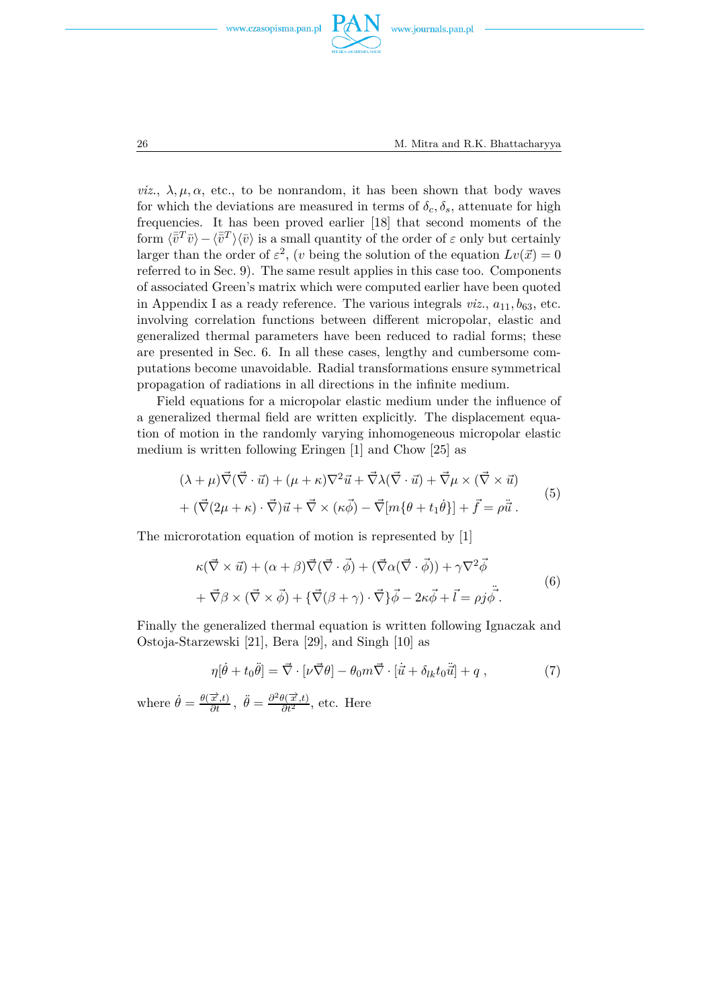





*viz.*,  $\lambda, \mu, \alpha$ , etc., to be nonrandom, it has been shown that body waves for which the deviations are measured in terms of  $\delta_c$ ,  $\delta_s$ , attenuate for high frequencies. It has been proved earlier [18] that second moments of the form  $\langle \bar{v}^T \bar{v} \rangle - \langle \bar{v}^T \rangle \langle \bar{v} \rangle$  is a small quantity of the order of  $\varepsilon$  only but certainly larger than the order of  $\varepsilon^2$ , (*v* being the solution of the equation  $Lv(\vec{x}) = 0$ referred to in Sec. 9). The same result applies in this case too. Components of associated Green's matrix which were computed earlier have been quoted in Appendix I as a ready reference. The various integrals  $viz.$ ,  $a_{11}, b_{63}$ , etc. involving correlation functions between different micropolar, elastic and generalized thermal parameters have been reduced to radial forms; these are presented in Sec. 6. In all these cases, lengthy and cumbersome computations become unavoidable. Radial transformations ensure symmetrical propagation of radiations in all directions in the infinite medium.

Field equations for a micropolar elastic medium under the influence of a generalized thermal field are written explicitly. The displacement equation of motion in the randomly varying inhomogeneous micropolar elastic medium is written following Eringen [1] and Chow [25] as

$$
(\lambda + \mu)\vec{\nabla}(\vec{\nabla} \cdot \vec{u}) + (\mu + \kappa)\nabla^2 \vec{u} + \vec{\nabla}\lambda(\vec{\nabla} \cdot \vec{u}) + \vec{\nabla}\mu \times (\vec{\nabla} \times \vec{u}) + (\vec{\nabla}(2\mu + \kappa) \cdot \vec{\nabla})\vec{u} + \vec{\nabla}\times(\kappa\vec{\phi}) - \vec{\nabla}[m\{\theta + t_1\dot{\theta}\}] + \vec{f} = \rho\ddot{\vec{u}}.
$$
\n(5)

The microrotation equation of motion is represented by [1]

$$
\kappa(\vec{\nabla} \times \vec{u}) + (\alpha + \beta)\vec{\nabla}(\vec{\nabla} \cdot \vec{\phi}) + (\vec{\nabla}\alpha(\vec{\nabla} \cdot \vec{\phi})) + \gamma \nabla^2 \vec{\phi} \n+ \vec{\nabla}\beta \times (\vec{\nabla} \times \vec{\phi}) + {\vec{\nabla}(\beta + \gamma)} \cdot \vec{\nabla} \} \vec{\phi} - 2\kappa \vec{\phi} + \vec{l} = \rho j \dot{\phi}.
$$
\n(6)

Finally the generalized thermal equation is written following Ignaczak and Ostoja-Starzewski [21], Bera [29], and Singh [10] as

$$
\eta[\dot{\theta} + t_0\ddot{\theta}] = \vec{\nabla} \cdot [\nu \vec{\nabla} \theta] - \theta_0 m \vec{\nabla} \cdot [\vec{u} + \delta_{lk} t_0 \ddot{\vec{u}}] + q \,, \tag{7}
$$

where  $\dot{\theta} = \frac{\theta(\vec{x},t)}{\partial t}$  $\frac{\overrightarrow{x},t)}{\partial t}$ ,  $\ddot{\theta} = \frac{\partial^2 \theta(\overrightarrow{x},t)}{\partial t^2}$  $\frac{\partial (x,\iota)}{\partial t^2}$ , etc. Here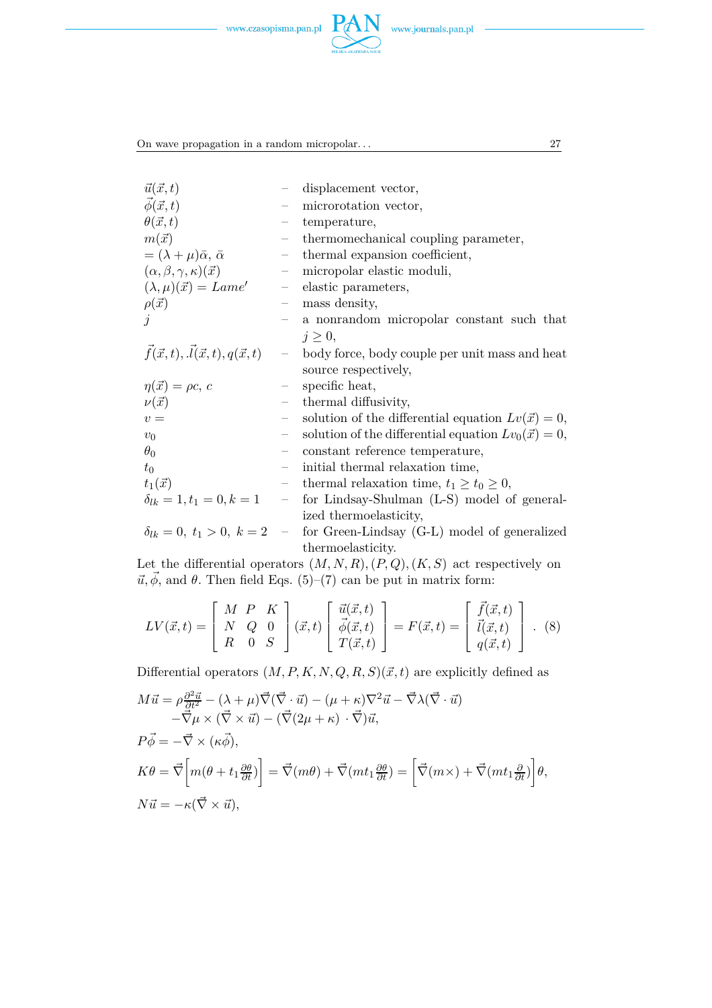

On wave propagation in a random micropolar. . . 27

| $\vec{u}(\vec{x},t)$                                   |                             | displacement vector,                                                             |
|--------------------------------------------------------|-----------------------------|----------------------------------------------------------------------------------|
| $\vec{\phi}(\vec{x},t)$                                |                             | microrotation vector,                                                            |
| $\theta(\vec{x},t)$                                    |                             | temperature,                                                                     |
| $m(\vec{x})$                                           | $\overline{\phantom{m}}$    | thermomechanical coupling parameter,                                             |
| $=(\lambda+\mu)\bar{\alpha}, \bar{\alpha}$             | $\overline{\phantom{0}}$    | thermal expansion coefficient,                                                   |
| $(\alpha, \beta, \gamma, \kappa)(\vec{x})$             | $\overline{\phantom{0}}$    | micropolar elastic moduli,                                                       |
| $(\lambda, \mu)(\vec{x}) = Lame'$                      | $\overline{\phantom{0}}$    | elastic parameters,                                                              |
| $\rho(\vec{x})$                                        | $\qquad \qquad -$           | mass density,                                                                    |
|                                                        | $\overline{\phantom{0}}$    | a nonrandom micropolar constant such that                                        |
|                                                        |                             | $j \geq 0$ ,                                                                     |
| $\vec{f}(\vec{x},t), \vec{l}(\vec{x},t), q(\vec{x},t)$ |                             | - body force, body couple per unit mass and heat                                 |
|                                                        |                             | source respectively,                                                             |
| $\eta(\vec{x}) = \rho c, c$                            |                             | specific heat,                                                                   |
| $\nu(\vec{x})$                                         |                             | thermal diffusivity,                                                             |
| $v =$                                                  | $ \,$                       | solution of the differential equation $Lv(\vec{x}) = 0$ ,                        |
| $v_0$                                                  |                             | solution of the differential equation $Lv_0(\vec{x}) = 0$ ,                      |
| $\theta_0$                                             |                             | constant reference temperature,                                                  |
| $t_0$                                                  |                             | initial thermal relaxation time,                                                 |
| $t_1(\vec{x})$                                         | $\overline{\phantom{m}}$    | thermal relaxation time, $t_1 \geq t_0 \geq 0$ ,                                 |
| $\delta_{lk} = 1, t_1 = 0, k = 1$                      | $\mathcal{L}^{\mathcal{L}}$ | for Lindsay-Shulman (L-S) model of general-                                      |
|                                                        |                             | ized thermoelasticity,                                                           |
|                                                        |                             | $\delta_{lk} = 0, t_1 > 0, k = 2$ - for Green-Lindsay (G-L) model of generalized |
|                                                        |                             | thermoelasticity.                                                                |

Let the differential operators (*M, N, R*)*,*(*P, Q*)*,*(*K, S*) act respectively on  $\vec{u}, \vec{\phi}$ , and  $\theta$ . Then field Eqs. (5)–(7) can be put in matrix form:

$$
LV(\vec{x},t) = \begin{bmatrix} M & P & K \\ N & Q & 0 \\ R & 0 & S \end{bmatrix} (\vec{x},t) \begin{bmatrix} \vec{u}(\vec{x},t) \\ \vec{\phi}(\vec{x},t) \\ T(\vec{x},t) \end{bmatrix} = F(\vec{x},t) = \begin{bmatrix} \vec{f}(\vec{x},t) \\ \vec{l}(\vec{x},t) \\ q(\vec{x},t) \end{bmatrix} . \tag{8}
$$

Differential operators  $(M, P, K, N, Q, R, S)(\vec{x}, t)$  are explicitly defined as

$$
M\vec{u} = \rho \frac{\partial^2 \vec{u}}{\partial t^2} - (\lambda + \mu)\vec{\nabla}(\vec{\nabla} \cdot \vec{u}) - (\mu + \kappa)\nabla^2 \vec{u} - \vec{\nabla}\lambda(\vec{\nabla} \cdot \vec{u})
$$
  
\n
$$
-\vec{\nabla}\mu \times (\vec{\nabla} \times \vec{u}) - (\vec{\nabla}(2\mu + \kappa) \cdot \vec{\nabla})\vec{u},
$$
  
\n
$$
P\vec{\phi} = -\vec{\nabla} \times (\kappa \vec{\phi}),
$$
  
\n
$$
K\theta = \vec{\nabla}\left[m(\theta + t_1 \frac{\partial \theta}{\partial t})\right] = \vec{\nabla}(m\theta) + \vec{\nabla}(mt_1 \frac{\partial \theta}{\partial t}) = \left[\vec{\nabla}(m \times) + \vec{\nabla}(mt_1 \frac{\partial}{\partial t})\right]\theta,
$$
  
\n
$$
N\vec{u} = -\kappa(\vec{\nabla} \times \vec{u}),
$$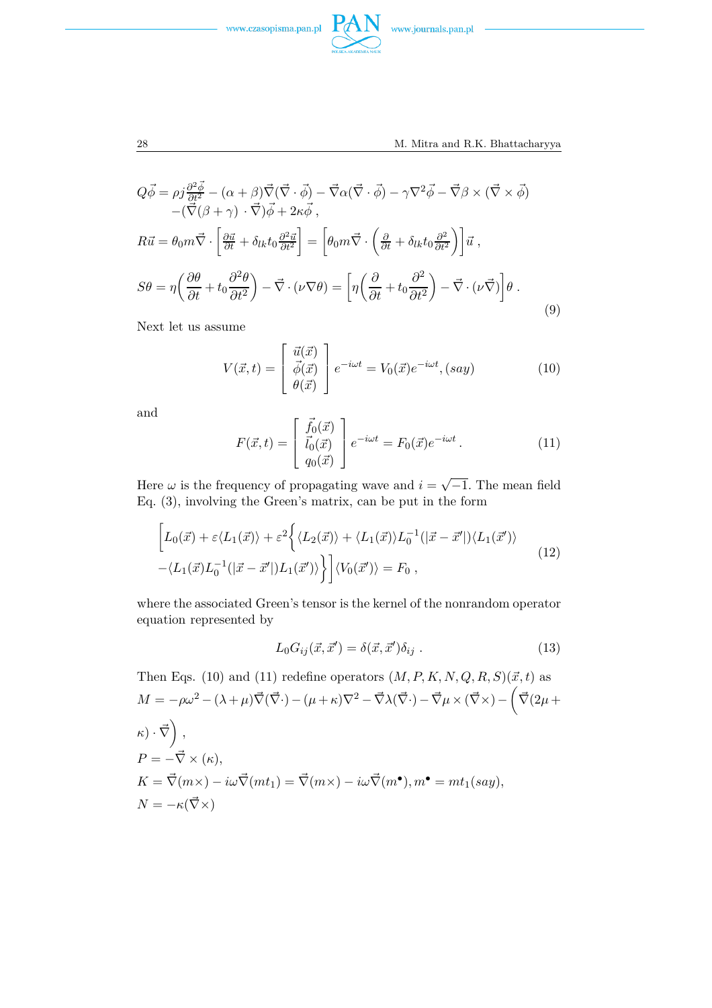



$$
Q\vec{\phi} = \rho j \frac{\partial^2 \vec{\phi}}{\partial t^2} - (\alpha + \beta) \vec{\nabla} (\vec{\nabla} \cdot \vec{\phi}) - \vec{\nabla} \alpha (\vec{\nabla} \cdot \vec{\phi}) - \gamma \nabla^2 \vec{\phi} - \vec{\nabla} \beta \times (\vec{\nabla} \times \vec{\phi}) - (\vec{\nabla} (\beta + \gamma) \cdot \vec{\nabla}) \vec{\phi} + 2\kappa \vec{\phi} ,
$$
  
\n
$$
R\vec{u} = \theta_0 m \vec{\nabla} \cdot \left[ \frac{\partial \vec{u}}{\partial t} + \delta_{lk} t_0 \frac{\partial^2 \vec{u}}{\partial t^2} \right] = \left[ \theta_0 m \vec{\nabla} \cdot \left( \frac{\partial}{\partial t} + \delta_{lk} t_0 \frac{\partial^2}{\partial t^2} \right) \right] \vec{u} ,
$$
  
\n
$$
S\theta = \eta \left( \frac{\partial \theta}{\partial t} + t_0 \frac{\partial^2 \theta}{\partial t^2} \right) - \vec{\nabla} \cdot (\nu \nabla \theta) = \left[ \eta \left( \frac{\partial}{\partial t} + t_0 \frac{\partial^2}{\partial t^2} \right) - \vec{\nabla} \cdot (\nu \vec{\nabla}) \right] \theta .
$$
\n(9)

Next let us assume

$$
V(\vec{x},t) = \begin{bmatrix} \vec{u}(\vec{x}) \\ \vec{\phi}(\vec{x}) \\ \theta(\vec{x}) \end{bmatrix} e^{-i\omega t} = V_0(\vec{x})e^{-i\omega t}, (say)
$$
(10)

and

$$
F(\vec{x},t) = \begin{bmatrix} \vec{f}_0(\vec{x}) \\ \vec{i}_0(\vec{x}) \\ q_0(\vec{x}) \end{bmatrix} e^{-i\omega t} = F_0(\vec{x})e^{-i\omega t}.
$$
 (11)

Here  $\omega$  is the frequency of propagating wave and  $i = \sqrt{-1}$ . The mean field Eq. (3), involving the Green's matrix, can be put in the form

$$
\[L_0(\vec{x}) + \varepsilon \langle L_1(\vec{x}) \rangle + \varepsilon^2 \left\{ \langle L_2(\vec{x}) \rangle + \langle L_1(\vec{x}) \rangle L_0^{-1}(|\vec{x} - \vec{x}'|) \langle L_1(\vec{x}') \rangle \right. \\ \left. - \langle L_1(\vec{x}) L_0^{-1}(|\vec{x} - \vec{x}'|) L_1(\vec{x}') \rangle \right\} \] \langle V_0(\vec{x}') \rangle = F_0 \,, \tag{12}
$$

where the associated Green's tensor is the kernel of the nonrandom operator equation represented by

$$
L_0 G_{ij}(\vec{x}, \vec{x}') = \delta(\vec{x}, \vec{x}') \delta_{ij} . \qquad (13)
$$

Then Eqs. (10) and (11) redefine operators  $(M, P, K, N, Q, R, S)(\vec{x}, t)$  as  $M = -\rho\omega^2 - (\lambda + \mu)\vec{\nabla}(\vec{\nabla}\cdot) - (\mu + \kappa)\nabla^2 - \vec{\nabla}\lambda(\vec{\nabla}\cdot) - \vec{\nabla}\mu \times (\vec{\nabla}\times) - \left(\vec{\nabla}(2\mu + \mu)\vec{\nabla}\cdot\vec{\nabla}\right)$  $\kappa) \cdot \vec \nabla \bigg) \;,$  $P = -\vec{\nabla} \times (\kappa),$  $K = \vec{\nabla}(m \times) - i\omega \vec{\nabla}(mt_1) = \vec{\nabla}(m \times) - i\omega \vec{\nabla}(m^{\bullet}), m^{\bullet} = mt_1(say),$  $N = -\kappa(\vec{\nabla}\times)$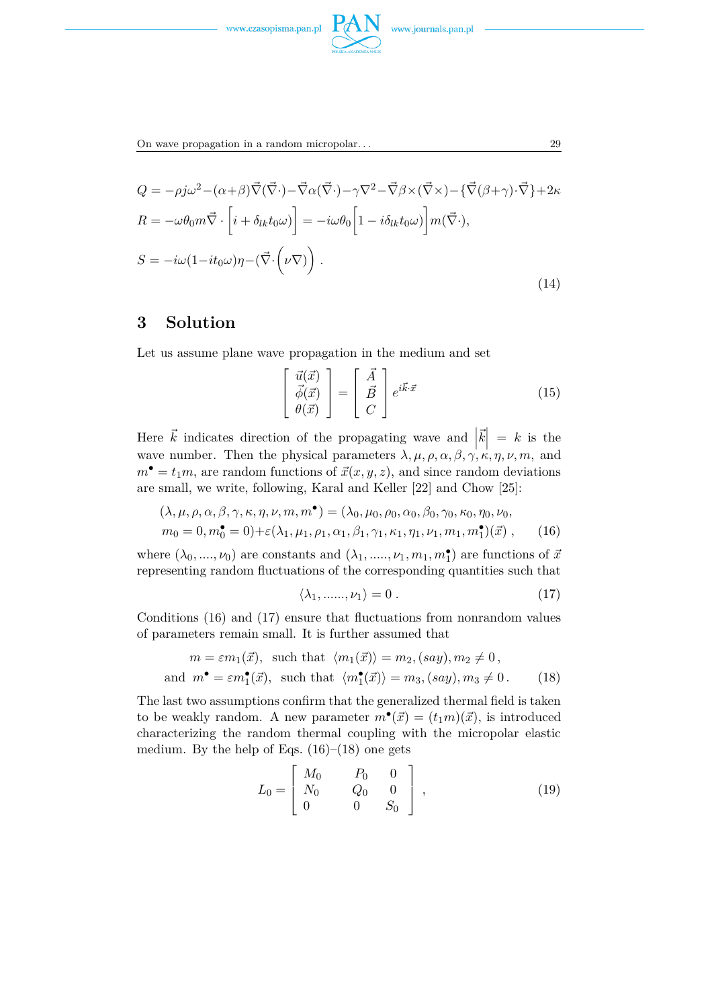

On wave propagation in a random micropolar. . . 29

$$
Q = -\rho j \omega^2 - (\alpha + \beta) \vec{\nabla} (\vec{\nabla} \cdot) - \vec{\nabla} \alpha (\vec{\nabla} \cdot) - \gamma \nabla^2 - \vec{\nabla} \beta \times (\vec{\nabla} \times) - \{\vec{\nabla} (\beta + \gamma) \cdot \vec{\nabla}\} + 2\kappa
$$
  
\n
$$
R = -\omega \theta_0 m \vec{\nabla} \cdot \left[ i + \delta_{lk} t_0 \omega \right] = -i\omega \theta_0 \left[ 1 - i \delta_{lk} t_0 \omega \right] m(\vec{\nabla} \cdot),
$$
  
\n
$$
S = -i\omega (1 - it_0 \omega) \eta - (\vec{\nabla} \cdot (\nu \nabla)) .
$$
\n(14)

### **3 Solution**

Let us assume plane wave propagation in the medium and set

$$
\begin{bmatrix}\n\vec{u}(\vec{x}) \\
\vec{\phi}(\vec{x}) \\
\theta(\vec{x})\n\end{bmatrix} = \begin{bmatrix}\n\vec{A} \\
\vec{B} \\
C\n\end{bmatrix} e^{i\vec{k}\cdot\vec{x}} \n\tag{15}
$$

Here  $\vec{k}$  indicates direction of the propagating wave and  $|\vec{k}| = k$  is the wave number. Then the physical parameters  $\lambda, \mu, \rho, \alpha, \beta, \gamma, \kappa, \eta, \nu, m$ , and  $m^{\bullet} = t_1 m$ , are random functions of  $\vec{x}(x, y, z)$ , and since random deviations are small, we write, following, Karal and Keller [22] and Chow [25]:

$$
(\lambda, \mu, \rho, \alpha, \beta, \gamma, \kappa, \eta, \nu, m, m^{\bullet}) = (\lambda_0, \mu_0, \rho_0, \alpha_0, \beta_0, \gamma_0, \kappa_0, \eta_0, \nu_0, m_0 = 0, m_0^{\bullet} = 0) + \varepsilon (\lambda_1, \mu_1, \rho_1, \alpha_1, \beta_1, \gamma_1, \kappa_1, \eta_1, \nu_1, m_1, m_1^{\bullet})(\vec{x}),
$$
 (16)

where  $(\lambda_0, ..., \nu_0)$  are constants and  $(\lambda_1, ..., \nu_1, m_1, m_1^{\bullet})$  are functions of  $\vec{x}$ representing random fluctuations of the corresponding quantities such that

$$
\langle \lambda_1, \dots, \nu_1 \rangle = 0. \tag{17}
$$

Conditions (16) and (17) ensure that fluctuations from nonrandom values of parameters remain small. It is further assumed that

$$
m = \varepsilon m_1(\vec{x}), \text{ such that } \langle m_1(\vec{x}) \rangle = m_2, (say), m_2 \neq 0,
$$
  
and 
$$
m^{\bullet} = \varepsilon m_1^{\bullet}(\vec{x}), \text{ such that } \langle m_1^{\bullet}(\vec{x}) \rangle = m_3, (say), m_3 \neq 0.
$$
 (18)

The last two assumptions confirm that the generalized thermal field is taken to be weakly random. A new parameter  $\vec{m}^{\bullet}(\vec{x}) = (t_1m)(\vec{x})$ , is introduced characterizing the random thermal coupling with the micropolar elastic medium. By the help of Eqs.  $(16)$ – $(18)$  one gets

$$
L_0 = \begin{bmatrix} M_0 & P_0 & 0 \\ N_0 & Q_0 & 0 \\ 0 & 0 & S_0 \end{bmatrix},\tag{19}
$$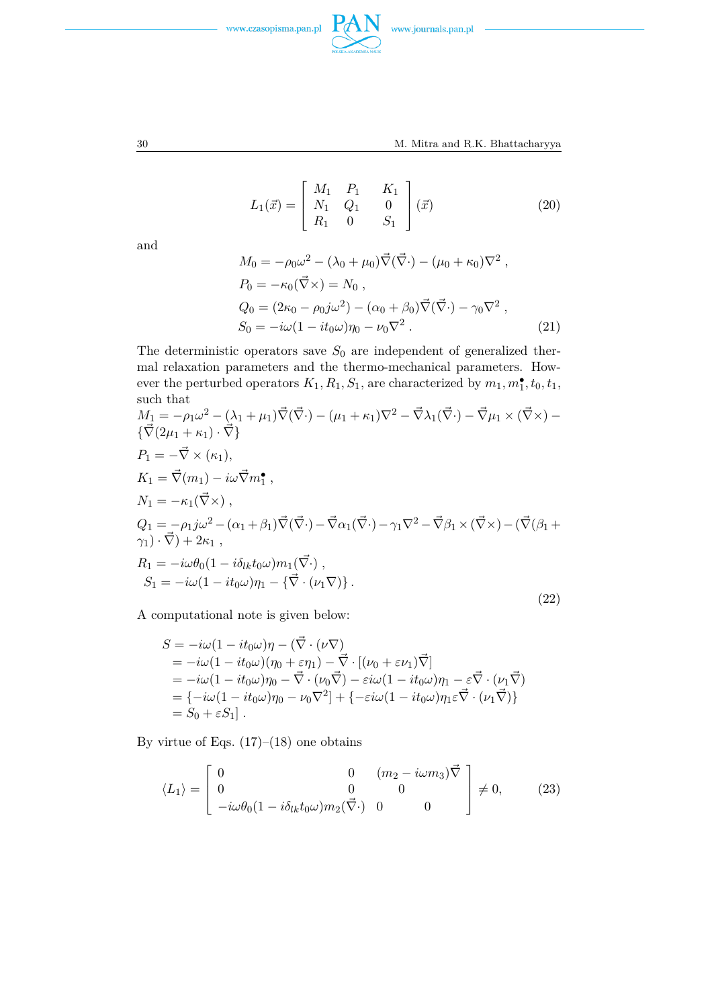



30 M. Mitra and R.K. Bhattacharyya

$$
L_1(\vec{x}) = \begin{bmatrix} M_1 & P_1 & K_1 \\ N_1 & Q_1 & 0 \\ R_1 & 0 & S_1 \end{bmatrix} (\vec{x})
$$
 (20)

and

$$
M_0 = -\rho_0 \omega^2 - (\lambda_0 + \mu_0) \vec{\nabla} (\vec{\nabla} \cdot) - (\mu_0 + \kappa_0) \nabla^2 ,
$$
  
\n
$$
P_0 = -\kappa_0 (\vec{\nabla} \times) = N_0 ,
$$
  
\n
$$
Q_0 = (2\kappa_0 - \rho_0 j \omega^2) - (\alpha_0 + \beta_0) \vec{\nabla} (\vec{\nabla} \cdot) - \gamma_0 \nabla^2 ,
$$
  
\n
$$
S_0 = -i\omega (1 - it_0 \omega) \eta_0 - \nu_0 \nabla^2 .
$$
\n(21)

The deterministic operators save  $S_0$  are independent of generalized thermal relaxation parameters and the thermo-mechanical parameters. How- $\mathbf{F}_1, \mathbf{F}_2, \mathbf{F}_3, \mathbf{F}_4, \mathbf{F}_5, \mathbf{F}_6, \mathbf{F}_7, \mathbf{F}_8, \mathbf{F}_9, \mathbf{F}_9, \mathbf{F}_9, \mathbf{F}_9, \mathbf{F}_9, \mathbf{F}_9, \mathbf{F}_9, \mathbf{F}_9, \mathbf{F}_9, \mathbf{F}_9, \mathbf{F}_9, \mathbf{F}_9, \mathbf{F}_9, \mathbf{F}_9, \mathbf{F}_9, \mathbf{F}_9, \mathbf{F}_9, \mathbf{F}_9, \mathbf{F}_9, \mathbf{$ such that

$$
M_1 = -\rho_1 \omega^2 - (\lambda_1 + \mu_1) \vec{\nabla} (\vec{\nabla} \cdot) - (\mu_1 + \kappa_1) \nabla^2 - \vec{\nabla} \lambda_1 (\vec{\nabla} \cdot) - \vec{\nabla} \mu_1 \times (\vec{\nabla} \times) -
$$
  
\n
$$
\{\vec{\nabla} (2\mu_1 + \kappa_1) \cdot \vec{\nabla}\}
$$
  
\n
$$
P_1 = -\vec{\nabla} \times (\kappa_1),
$$
  
\n
$$
K_1 = \vec{\nabla} (m_1) - i\omega \vec{\nabla} m_1^{\bullet},
$$
  
\n
$$
N_1 = -\kappa_1 (\vec{\nabla} \times),
$$
  
\n
$$
Q_1 = -\rho_1 j\omega^2 - (\alpha_1 + \beta_1) \vec{\nabla} (\vec{\nabla} \cdot) - \vec{\nabla} \alpha_1 (\vec{\nabla} \cdot) - \gamma_1 \nabla^2 - \vec{\nabla} \beta_1 \times (\vec{\nabla} \times) - (\vec{\nabla} (\beta_1 + \gamma_1) \cdot \vec{\nabla}) + 2\kappa_1,
$$
  
\n
$$
R_1 = -i\omega \theta_0 (1 - i\delta_{lk} t_0 \omega) m_1 (\vec{\nabla} \cdot),
$$
  
\n
$$
S_1 = -i\omega (1 - it_0 \omega) \eta_1 - {\vec{\nabla} \cdot (\nu_1 \nabla)}.
$$
  
\n(22)

A computational note is given below:

$$
S = -i\omega(1 - it_0\omega)\eta - (\vec{\nabla} \cdot (\nu \nabla))
$$
  
=  $-i\omega(1 - it_0\omega)(\eta_0 + \varepsilon \eta_1) - \vec{\nabla} \cdot [(\nu_0 + \varepsilon \nu_1)\vec{\nabla}]$   
=  $-i\omega(1 - it_0\omega)\eta_0 - \vec{\nabla} \cdot (\nu_0 \vec{\nabla}) - \varepsilon i\omega(1 - it_0\omega)\eta_1 - \varepsilon \vec{\nabla} \cdot (\nu_1 \vec{\nabla})$   
=  $\{-i\omega(1 - it_0\omega)\eta_0 - \nu_0 \nabla^2\} + \{-\varepsilon i\omega(1 - it_0\omega)\eta_1 \varepsilon \vec{\nabla} \cdot (\nu_1 \vec{\nabla})\}$   
=  $S_0 + \varepsilon S_1$ .

By virtue of Eqs.  $(17)–(18)$  one obtains

$$
\langle L_1 \rangle = \begin{bmatrix} 0 & 0 & (m_2 - i\omega m_3) \vec{\nabla} \\ 0 & 0 & 0 \\ -i\omega \theta_0 (1 - i\delta_{lk} t_0 \omega) m_2(\vec{\nabla} \cdot) & 0 & 0 \end{bmatrix} \neq 0, \qquad (23)
$$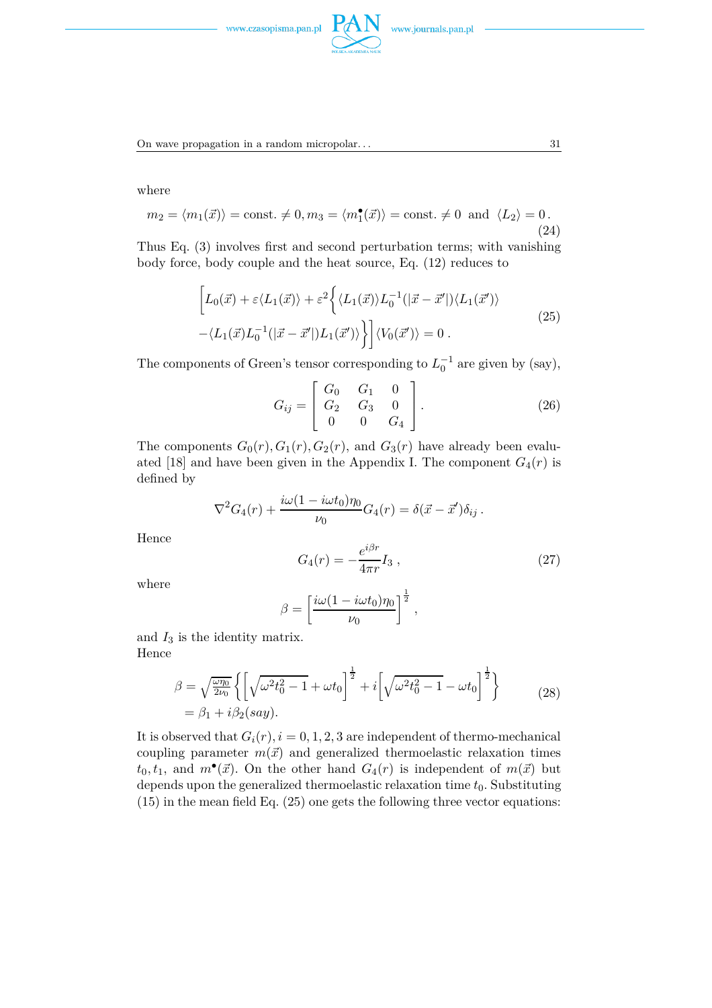



On wave propagation in a random micropolar... 31

where

$$
m_2 = \langle m_1(\vec{x}) \rangle = \text{const.} \neq 0, m_3 = \langle m_1^{\bullet}(\vec{x}) \rangle = \text{const.} \neq 0 \text{ and } \langle L_2 \rangle = 0.
$$
 (24)

Thus Eq. (3) involves first and second perturbation terms; with vanishing body force, body couple and the heat source, Eq. (12) reduces to

$$
\left[L_0(\vec{x}) + \varepsilon \langle L_1(\vec{x}) \rangle + \varepsilon^2 \left\{ \langle L_1(\vec{x}) \rangle L_0^{-1}(|\vec{x} - \vec{x}'|) \langle L_1(\vec{x}') \rangle \right. \right.\left. - \langle L_1(\vec{x}) L_0^{-1}(|\vec{x} - \vec{x}'|) L_1(\vec{x}') \rangle \right\} \Big] \langle V_0(\vec{x}') \rangle = 0.
$$
\n(25)

The components of Green's tensor corresponding to  $L_0^{-1}$  are given by (say),

$$
G_{ij} = \begin{bmatrix} G_0 & G_1 & 0 \\ G_2 & G_3 & 0 \\ 0 & 0 & G_4 \end{bmatrix} . \tag{26}
$$

The components  $G_0(r)$ ,  $G_1(r)$ ,  $G_2(r)$ , and  $G_3(r)$  have already been evaluated [18] and have been given in the Appendix I. The component  $G_4(r)$  is defined by

$$
\nabla^2 G_4(r) + \frac{i\omega(1 - i\omega t_0)\eta_0}{\nu_0} G_4(r) = \delta(\vec{x} - \vec{x}')\delta_{ij}.
$$

Hence

$$
G_4(r) = -\frac{e^{i\beta r}}{4\pi r} I_3 \,, \tag{27}
$$

where

$$
\beta = \left[\frac{i\omega(1 - i\omega t_0)\eta_0}{\nu_0}\right]^{\frac{1}{2}},
$$

and *I*<sup>3</sup> is the identity matrix. Hence

$$
\beta = \sqrt{\frac{\omega \eta_0}{2\nu_0}} \left\{ \left[ \sqrt{\omega^2 t_0^2 - 1} + \omega t_0 \right]^{\frac{1}{2}} + i \left[ \sqrt{\omega^2 t_0^2 - 1} - \omega t_0 \right]^{\frac{1}{2}} \right\} \n= \beta_1 + i \beta_2 (say).
$$
\n(28)

It is observed that  $G_i(r)$ ,  $i = 0, 1, 2, 3$  are independent of thermo-mechanical coupling parameter  $m(\vec{x})$  and generalized thermoelastic relaxation times  $t_0, t_1$ , and  $m^{\bullet}(\vec{x})$ . On the other hand  $G_4(r)$  is independent of  $m(\vec{x})$  but depends upon the generalized thermoelastic relaxation time  $t_0$ . Substituting (15) in the mean field Eq. (25) one gets the following three vector equations: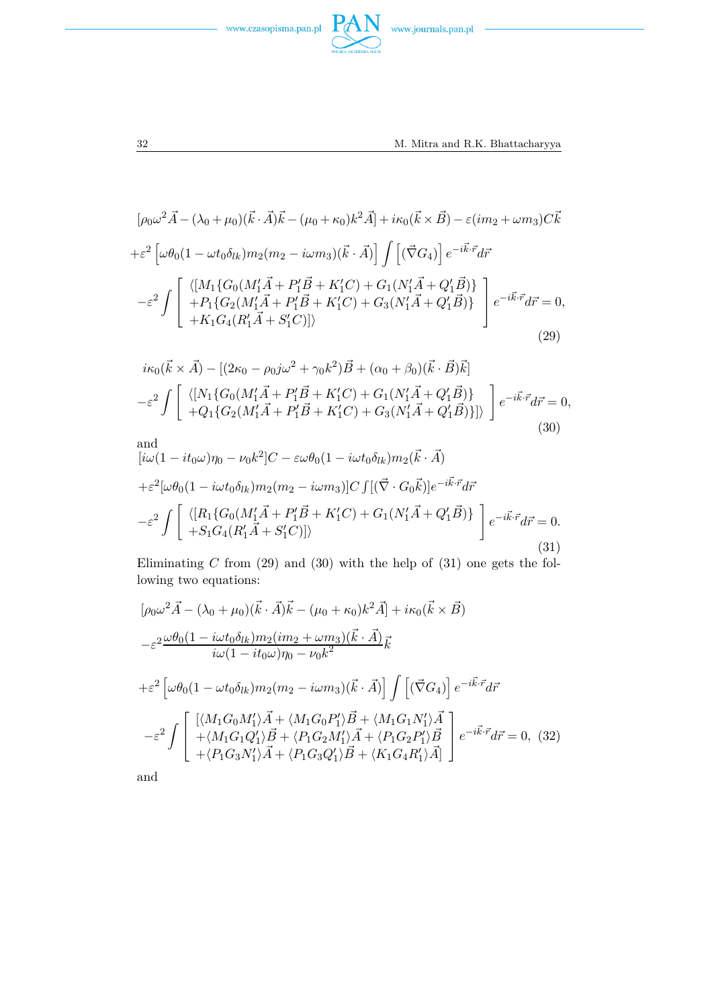



 $PAN$  www.journals.pan.pl

$$
[\rho_0 \omega^2 \vec{A} - (\lambda_0 + \mu_0)(\vec{k} \cdot \vec{A})\vec{k} - (\mu_0 + \kappa_0)k^2 \vec{A}] + i\kappa_0(\vec{k} \times \vec{B}) - \varepsilon (im_2 + \omega m_3)C\vec{k}
$$
  
+ $\varepsilon^2 \left[ \omega \theta_0 (1 - \omega t_0 \delta_{lk}) m_2 (m_2 - i\omega m_3)(\vec{k} \cdot \vec{A}) \right] \int \left[ (\vec{\nabla} G_4) \right] e^{-i\vec{k} \cdot \vec{r}} d\vec{r}$   
 $- \varepsilon^2 \int \left[ \begin{array}{c} \langle [M_1 \{ G_0 (M'_1 \vec{A} + P'_1 \vec{B} + K'_1 C) + G_1 (N'_1 \vec{A} + Q'_1 \vec{B}) \} \\ + P_1 \{ G_2 (M'_1 \vec{A} + P'_1 \vec{B} + K'_1 C) + G_3 (N'_1 \vec{A} + Q'_1 \vec{B}) \} \\ + K_1 G_4 (R'_1 \vec{A} + S'_1 C)] \rangle \end{array} \right] e^{-i\vec{k} \cdot \vec{r}} d\vec{r} = 0,$   
(29)

$$
i\kappa_0(\vec{k} \times \vec{A}) - [(2\kappa_0 - \rho_0 j\omega^2 + \gamma_0 k^2)\vec{B} + (\alpha_0 + \beta_0)(\vec{k} \cdot \vec{B})\vec{k}] \n- \varepsilon^2 \int \left[ \begin{array}{l} \langle [N_1 \{ G_0 (M'_1 \vec{A} + P'_1 \vec{B} + K'_1 C) + G_1 (N'_1 \vec{A} + Q'_1 \vec{B}) \} \\ + Q_1 \{ G_2 (M'_1 \vec{A} + P'_1 \vec{B} + K'_1 C) + G_3 (N'_1 \vec{A} + Q'_1 \vec{B}) \} ] \rangle \end{array} \right] e^{-i\vec{k} \cdot \vec{r}} d\vec{r} = 0,
$$
\n(30)\nand\n
$$
[i\omega(1 - it_0\omega)\eta_0 - \nu_0 k^2] C - \varepsilon \omega \theta_0 (1 - i\omega t_0 \delta_{lk}) m_2(\vec{k} \cdot \vec{A}) \n+ \varepsilon^2 [\omega \theta_0 (1 - i\omega t_0 \delta_{lk}) m_2 (m_2 - i\omega m_3)] C \int [(\vec{\nabla} \cdot G_0 \vec{k})] e^{-i\vec{k} \cdot \vec{r}} d\vec{r}
$$

$$
-\varepsilon^{2} \int \left[ \begin{array}{c} \langle [R_{1} \{ G_{0} (M'_{1} \vec{A} + P'_{1} \vec{B} + K'_{1} C) + G_{1} (N'_{1} \vec{A} + Q'_{1} \vec{B}) \} \\ + S_{1} G_{4} (R'_{1} \vec{A} + S'_{1} C)] \rangle \end{array} \right] e^{-i \vec{k} \cdot \vec{r}} d\vec{r} = 0.
$$
\n(31)

Eliminating *C* from (29) and (30) with the help of (31) one gets the following two equations:

$$
[\rho_0 \omega^2 \vec{A} - (\lambda_0 + \mu_0)(\vec{k} \cdot \vec{A})\vec{k} - (\mu_0 + \kappa_0)k^2 \vec{A}] + i\kappa_0(\vec{k} \times \vec{B})
$$
  
\n
$$
-\varepsilon^2 \frac{\omega \theta_0 (1 - i\omega t_0 \delta_{lk}) m_2 (im_2 + \omega m_3)(\vec{k} \cdot \vec{A})}{i\omega (1 - it_0 \omega) \eta_0 - \nu_0 k^2} \vec{k}
$$
  
\n
$$
+\varepsilon^2 \left[ \omega \theta_0 (1 - \omega t_0 \delta_{lk}) m_2 (m_2 - i\omega m_3)(\vec{k} \cdot \vec{A}) \right] \int \left[ (\vec{\nabla} G_4) \right] e^{-i\vec{k} \cdot \vec{r}} d\vec{r}
$$
  
\n
$$
-\varepsilon^2 \int \left[ \frac{\langle M_1 G_0 M_1' \rangle \vec{A} + \langle M_1 G_0 P_1' \rangle \vec{B} + \langle M_1 G_1 N_1' \rangle \vec{A}}{+ \langle M_1 G_1 Q_1' \rangle \vec{B} + \langle P_1 G_2 M_1' \rangle \vec{A} + \langle P_1 G_2 P_1' \rangle \vec{B}} \right] e^{-i\vec{k} \cdot \vec{r}} d\vec{r} = 0, (32)
$$

and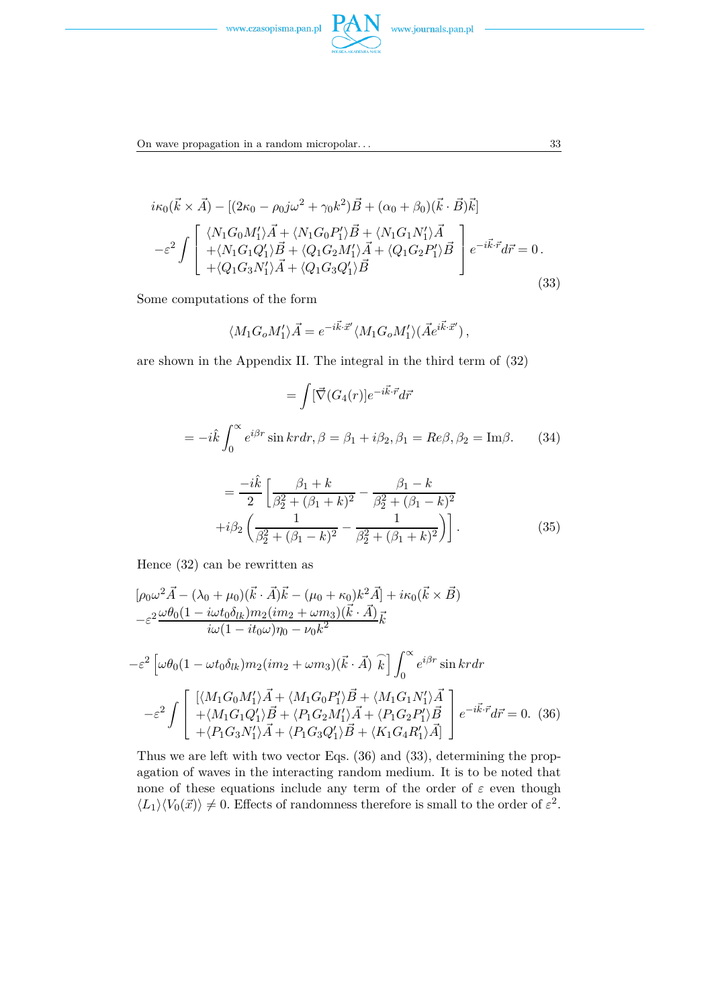



On wave propagation in a random micropolar... 33

$$
i\kappa_0(\vec{k}\times\vec{A}) - [(2\kappa_0 - \rho_0 j\omega^2 + \gamma_0 k^2)\vec{B} + (\alpha_0 + \beta_0)(\vec{k}\cdot\vec{B})\vec{k}]
$$
  

$$
-\varepsilon^2 \int \begin{bmatrix} \langle N_1 G_0 M_1' \rangle \vec{A} + \langle N_1 G_0 P_1' \rangle \vec{B} + \langle N_1 G_1 N_1' \rangle \vec{A} \\ + \langle N_1 G_1 Q_1' \rangle \vec{B} + \langle Q_1 G_2 M_1' \rangle \vec{A} + \langle Q_1 G_2 P_1' \rangle \vec{B} \\ + \langle Q_1 G_3 N_1' \rangle \vec{A} + \langle Q_1 G_3 Q_1' \rangle \vec{B} \end{bmatrix} e^{-i\vec{k}\cdot\vec{r}} d\vec{r} = 0.
$$
  
(33)

Some computations of the form

$$
\langle M_1 G_o M_1' \rangle \vec{A} = e^{-i\vec{k}\cdot \vec{x}'} \langle M_1 G_o M_1' \rangle (\vec{A} e^{i\vec{k}\cdot \vec{x}'}) ,
$$

are shown in the Appendix II. The integral in the third term of (32)

$$
= \int [\vec{\nabla} (G_4(r)]e^{-i\vec{k}\cdot\vec{r}}d\vec{r}
$$

$$
= -i\hat{k}\int_0^\infty e^{i\beta r}\sin kr dr, \beta = \beta_1 + i\beta_2, \beta_1 = Re\beta, \beta_2 = Im\beta. \tag{34}
$$

$$
-i\hat{k}\int \beta_1 + k \qquad \beta_1 - k
$$

$$
= \frac{-ik}{2} \left[ \frac{\beta_1 + k}{\beta_2^2 + (\beta_1 + k)^2} - \frac{\beta_1 - k}{\beta_2^2 + (\beta_1 - k)^2} + i\beta_2 \left( \frac{1}{\beta_2^2 + (\beta_1 - k)^2} - \frac{1}{\beta_2^2 + (\beta_1 + k)^2} \right) \right].
$$
\n(35)

Hence (32) can be rewritten as

$$
[\rho_0 \omega^2 \vec{A} - (\lambda_0 + \mu_0)(\vec{k} \cdot \vec{A})\vec{k} - (\mu_0 + \kappa_0)k^2 \vec{A}] + i\kappa_0(\vec{k} \times \vec{B})
$$
  
\n
$$
-\varepsilon^2 \frac{\omega \theta_0 (1 - i\omega t_0 \delta_{lk}) m_2 (im_2 + \omega m_3)(\vec{k} \cdot \vec{A})}{i\omega (1 - it_0 \omega) \eta_0 - \nu_0 k^2} \vec{k}
$$
  
\n
$$
-\varepsilon^2 \left[ \omega \theta_0 (1 - \omega t_0 \delta_{lk}) m_2 (im_2 + \omega m_3)(\vec{k} \cdot \vec{A}) \hat{k} \right] \int_0^\infty e^{i\beta r} \sin kr dr
$$
  
\n
$$
-\varepsilon^2 \int \begin{bmatrix} [\langle M_1 G_0 M_1' \rangle \vec{A} + \langle M_1 G_0 P_1' \rangle \vec{B} + \langle M_1 G_1 N_1' \rangle \vec{A} \\ + \langle M_1 G_1 Q_1' \rangle \vec{B} + \langle P_1 G_2 M_1' \rangle \vec{A} + \langle P_1 G_2 P_1' \rangle \vec{B} \\ + \langle P_1 G_3 N_1' \rangle \vec{A} + \langle P_1 G_3 Q_1' \rangle \vec{B} + \langle K_1 G_4 R_1' \rangle \vec{A} \end{bmatrix} e^{-i\vec{k} \cdot \vec{r}} d\vec{r} = 0.
$$
 (36)

Thus we are left with two vector Eqs. (36) and (33), determining the propagation of waves in the interacting random medium. It is to be noted that none of these equations include any term of the order of  $\varepsilon$  even though  $\langle L_1 \rangle \langle V_0(\vec{x}) \rangle \neq 0$ . Effects of randomness therefore is small to the order of  $\varepsilon^2$ .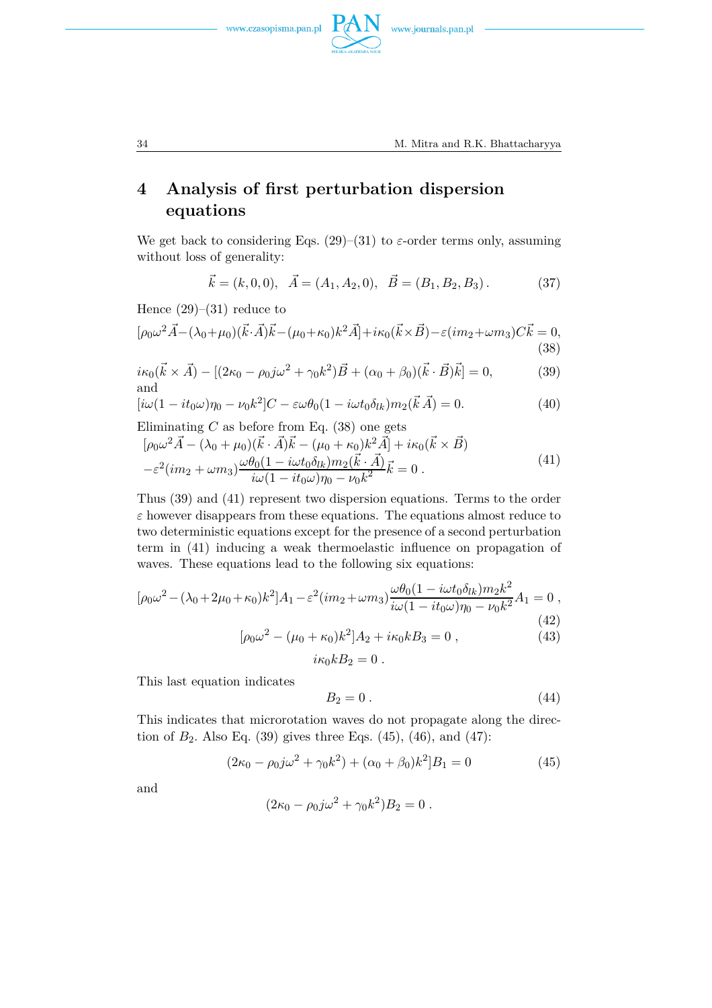



## **4 Analysis of first perturbation dispersion equations**

We get back to considering Eqs.  $(29)$ – $(31)$  to  $\varepsilon$ -order terms only, assuming without loss of generality:

$$
\vec{k} = (k, 0, 0), \quad \vec{A} = (A_1, A_2, 0), \quad \vec{B} = (B_1, B_2, B_3). \tag{37}
$$

Hence  $(29)$ – $(31)$  reduce to

$$
[\rho_0 \omega^2 \vec{A} - (\lambda_0 + \mu_0)(\vec{k} \cdot \vec{A})\vec{k} - (\mu_0 + \kappa_0)k^2 \vec{A}] + i\kappa_0(\vec{k} \times \vec{B}) - \varepsilon (im_2 + \omega m_3)C\vec{k} = 0,
$$
\n(38)

$$
i\kappa_0(\vec{k} \times \vec{A}) - [(2\kappa_0 - \rho_0 j\omega^2 + \gamma_0 k^2)\vec{B} + (\alpha_0 + \beta_0)(\vec{k} \cdot \vec{B})\vec{k}] = 0,
$$
 (39)  
and

$$
[i\omega(1 - it_0\omega)\eta_0 - \nu_0 k^2]C - \varepsilon \omega \theta_0 (1 - i\omega t_0 \delta_{lk}) m_2(\vec{k}\vec{A}) = 0.
$$
 (40)

Eliminating 
$$
C
$$
 as before from Eq. (38) one gets

$$
[\rho_0 \omega^2 \vec{A} - (\lambda_0 + \mu_0)(\vec{k} \cdot \vec{A})\vec{k} - (\mu_0 + \kappa_0)k^2 \vec{A}] + i\kappa_0(\vec{k} \times \vec{B})
$$
  

$$
-\varepsilon^2 (im_2 + \omega m_3) \frac{\omega \theta_0 (1 - i\omega t_0 \delta_{lk}) m_2(\vec{k} \cdot \vec{A})}{i\omega (1 - it_0 \omega) \eta_0 - \nu_0 k^2} \vec{k} = 0.
$$
 (41)

Thus (39) and (41) represent two dispersion equations. Terms to the order *ε* however disappears from these equations. The equations almost reduce to two deterministic equations except for the presence of a second perturbation term in (41) inducing a weak thermoelastic influence on propagation of waves. These equations lead to the following six equations:

$$
[\rho_0 \omega^2 - (\lambda_0 + 2\mu_0 + \kappa_0)k^2]A_1 - \varepsilon^2 (im_2 + \omega m_3) \frac{\omega \theta_0 (1 - i\omega t_0 \delta_{lk}) m_2 k^2}{i\omega (1 - it_0 \omega) \eta_0 - \nu_0 k^2} A_1 = 0,
$$
\n(42)

$$
[\rho_0 \omega^2 - (\mu_0 + \kappa_0)k^2]A_2 + i\kappa_0 k B_3 = 0 , \qquad (43)
$$

$$
i\kappa_0 k B_2 = 0.
$$

This last equation indicates

$$
B_2 = 0. \tag{44}
$$

This indicates that microrotation waves do not propagate along the direction of  $B_2$ . Also Eq. (39) gives three Eqs. (45), (46), and (47):

$$
(2\kappa_0 - \rho_0 j\omega^2 + \gamma_0 k^2) + (\alpha_0 + \beta_0)k^2]B_1 = 0
$$
\n(45)

and

$$
(2\kappa_0 - \rho_0 j\omega^2 + \gamma_0 k^2)B_2 = 0.
$$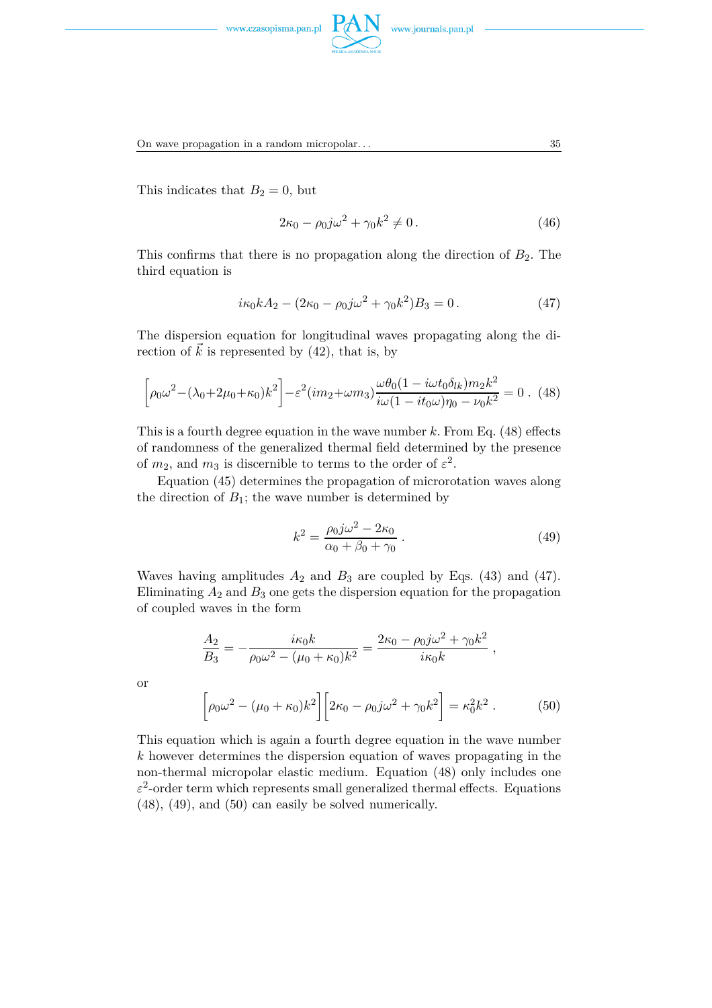



On wave propagation in a random micropolar. . . 35

This indicates that  $B_2 = 0$ , but

or

$$
2\kappa_0 - \rho_0 j \omega^2 + \gamma_0 k^2 \neq 0. \tag{46}
$$

This confirms that there is no propagation along the direction of  $B_2$ . The third equation is

$$
i\kappa_0 k A_2 - (2\kappa_0 - \rho_0 j \omega^2 + \gamma_0 k^2) B_3 = 0.
$$
 (47)

The dispersion equation for longitudinal waves propagating along the direction of  $\vec{k}$  is represented by (42), that is, by

$$
\left[\rho_0 \omega^2 - (\lambda_0 + 2\mu_0 + \kappa_0)k^2\right] - \varepsilon^2 (im_2 + \omega m_3) \frac{\omega \theta_0 (1 - i\omega t_0 \delta_{lk}) m_2 k^2}{i\omega (1 - it_0 \omega) \eta_0 - \nu_0 k^2} = 0. \tag{48}
$$

This is a fourth degree equation in the wave number *k.* From Eq. (48) effects of randomness of the generalized thermal field determined by the presence of  $m_2$ , and  $m_3$  is discernible to terms to the order of  $\varepsilon^2$ .

Equation (45) determines the propagation of microrotation waves along the direction of  $B_1$ ; the wave number is determined by

$$
k^{2} = \frac{\rho_{0}j\omega^{2} - 2\kappa_{0}}{\alpha_{0} + \beta_{0} + \gamma_{0}}.
$$
\n(49)

Waves having amplitudes  $A_2$  and  $B_3$  are coupled by Eqs. (43) and (47). Eliminating  $A_2$  and  $B_3$  one gets the dispersion equation for the propagation of coupled waves in the form

$$
\frac{A_2}{B_3} = -\frac{i\kappa_0 k}{\rho_0 \omega^2 - (\mu_0 + \kappa_0)k^2} = \frac{2\kappa_0 - \rho_0 j \omega^2 + \gamma_0 k^2}{i\kappa_0 k} ,
$$

$$
\left[\rho_0 \omega^2 - (\mu_0 + \kappa_0)k^2\right] \left[2\kappa_0 - \rho_0 j \omega^2 + \gamma_0 k^2\right] = \kappa_0^2 k^2 .
$$
 (50)

This equation which is again a fourth degree equation in the wave number *k* however determines the dispersion equation of waves propagating in the non-thermal micropolar elastic medium. Equation (48) only includes one  $\varepsilon^2$ -order term which represents small generalized thermal effects. Equations (48), (49), and (50) can easily be solved numerically.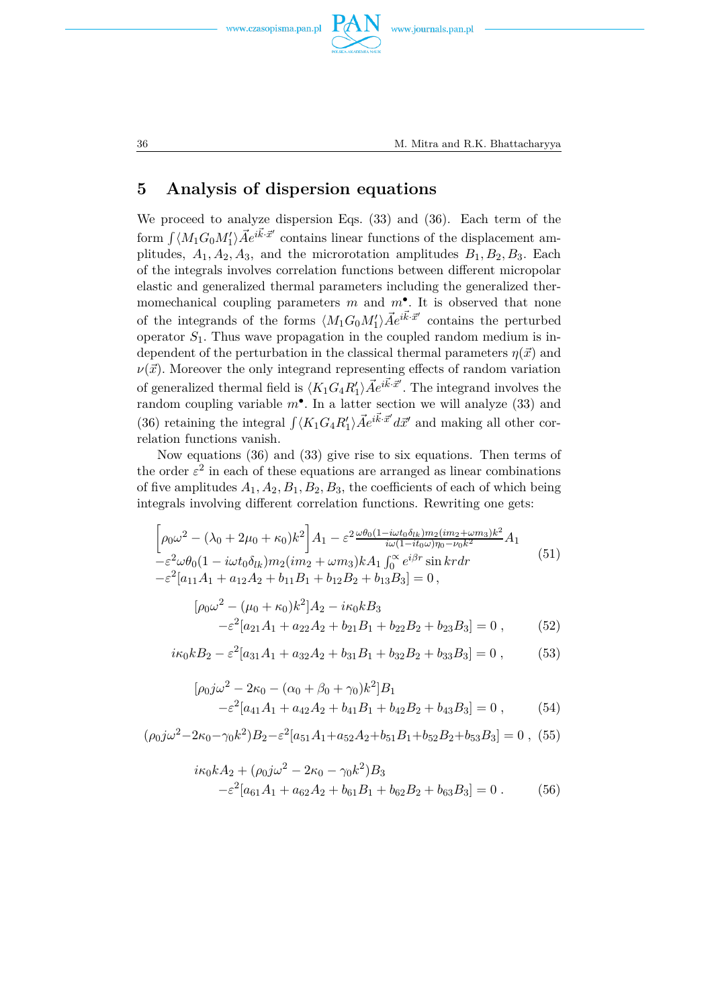



### **5 Analysis of dispersion equations**

We proceed to analyze dispersion Eqs. (33) and (36). Each term of the form  $\int \langle M_1 G_0 M'_1 \rangle \vec{A} e^{i \vec{k} \cdot \vec{x}'}$  contains linear functions of the displacement amplitudes,  $A_1, A_2, A_3$ , and the microrotation amplitudes  $B_1, B_2, B_3$ . Each of the integrals involves correlation functions between different micropolar elastic and generalized thermal parameters including the generalized thermomechanical coupling parameters *m* and *m*• *.* It is observed that none of the integrands of the forms  $\langle M_1G_0M'_1\rangle \vec{A}e^{i\vec{k}\cdot\vec{x}'}$  contains the perturbed operator  $S_1$ . Thus wave propagation in the coupled random medium is independent of the perturbation in the classical thermal parameters  $\eta(\vec{x})$  and  $\nu(\vec{x})$ . Moreover the only integrand representing effects of random variation of generalized thermal field is  $\langle K_1 G_4 R'_1 \rangle \vec{A} e^{i \vec{k} \cdot \vec{x}'}$ . The integrand involves the random coupling variable  $m^{\bullet}$ . In a latter section we will analyze (33) and (36) retaining the integral  $\int \langle K_1 G_4 R'_1 \rangle \vec{A} e^{i \vec{k} \cdot \vec{x}'} d\vec{x}'$  and making all other correlation functions vanish.

Now equations (36) and (33) give rise to six equations. Then terms of the order  $\varepsilon^2$  in each of these equations are arranged as linear combinations of five amplitudes  $A_1, A_2, B_1, B_2, B_3$ , the coefficients of each of which being integrals involving different correlation functions. Rewriting one gets:

$$
\left[\rho_0 \omega^2 - (\lambda_0 + 2\mu_0 + \kappa_0)k^2\right] A_1 - \varepsilon^2 \frac{\omega \theta_0 (1 - i\omega t_0 \delta_{lk}) m_2 (im_2 + \omega m_3)k^2}{i\omega (1 - it_0 \omega) \eta_0 - \nu_0 k^2} A_1
$$
  
\n
$$
-\varepsilon^2 \omega \theta_0 (1 - i\omega t_0 \delta_{lk}) m_2 (im_2 + \omega m_3) k A_1 \int_0^\infty e^{i\beta r} \sin kr dr
$$
  
\n
$$
-\varepsilon^2 [a_{11}A_1 + a_{12}A_2 + b_{11}B_1 + b_{12}B_2 + b_{13}B_3] = 0,
$$
\n(51)

$$
[\rho_0 \omega^2 - (\mu_0 + \kappa_0) k^2] A_2 - i\kappa_0 k B_3
$$
  

$$
-\varepsilon^2 [a_{21} A_1 + a_{22} A_2 + b_{21} B_1 + b_{22} B_2 + b_{23} B_3] = 0 ,
$$
 (52)

$$
i\kappa_0 k B_2 - \varepsilon^2 [a_{31} A_1 + a_{32} A_2 + b_{31} B_1 + b_{32} B_2 + b_{33} B_3] = 0 ,\t(53)
$$

$$
[\rho_0 j\omega^2 - 2\kappa_0 - (\alpha_0 + \beta_0 + \gamma_0)k^2]B_1
$$
  

$$
-\varepsilon^2 [a_{41}A_1 + a_{42}A_2 + b_{41}B_1 + b_{42}B_2 + b_{43}B_3] = 0,
$$
 (54)

 $(\rho_0 j\omega^2 - 2\kappa_0 - \gamma_0 k^2)B_2 - \varepsilon^2 [a_{51}A_1 + a_{52}A_2 + b_{51}B_1 + b_{52}B_2 + b_{53}B_3] = 0$ , (55)

$$
i\kappa_0 k A_2 + (\rho_0 j \omega^2 - 2\kappa_0 - \gamma_0 k^2) B_3
$$
  

$$
-\varepsilon^2 [a_{61} A_1 + a_{62} A_2 + b_{61} B_1 + b_{62} B_2 + b_{63} B_3] = 0.
$$
 (56)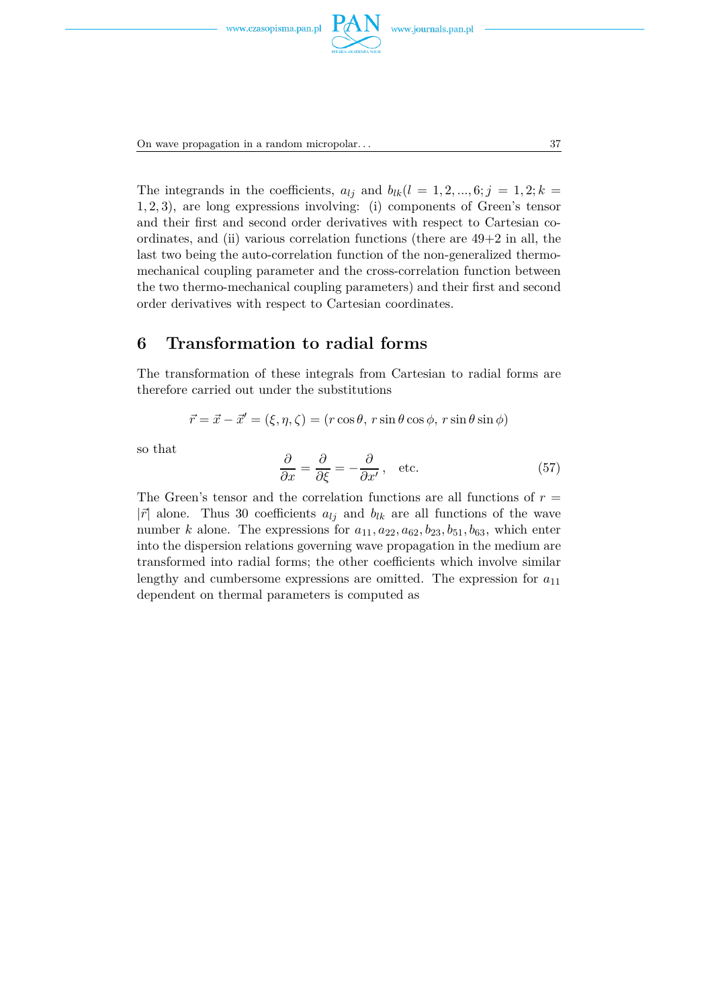

On wave propagation in a random micropolar... 37

The integrands in the coefficients,  $a_{lj}$  and  $b_{lk}(l = 1, 2, ..., 6; j = 1, 2; k =$ 1*,* 2*,* 3), are long expressions involving: (i) components of Green's tensor and their first and second order derivatives with respect to Cartesian coordinates, and (ii) various correlation functions (there are 49+2 in all, the last two being the auto-correlation function of the non-generalized thermomechanical coupling parameter and the cross-correlation function between the two thermo-mechanical coupling parameters) and their first and second order derivatives with respect to Cartesian coordinates.

#### **6 Transformation to radial forms**

The transformation of these integrals from Cartesian to radial forms are therefore carried out under the substitutions

$$
\vec{r} = \vec{x} - \vec{x}' = (\xi, \eta, \zeta) = (r \cos \theta, r \sin \theta \cos \phi, r \sin \theta \sin \phi)
$$

so that

$$
\frac{\partial}{\partial x} = \frac{\partial}{\partial \xi} = -\frac{\partial}{\partial x'}, \text{ etc.}
$$
 (57)

The Green's tensor and the correlation functions are all functions of  $r =$  $|\vec{r}|$  alone. Thus 30 coefficients  $a_{lj}$  and  $b_{lk}$  are all functions of the wave number *k* alone. The expressions for  $a_{11}, a_{22}, a_{62}, b_{23}, b_{51}, b_{63}$ , which enter into the dispersion relations governing wave propagation in the medium are transformed into radial forms; the other coefficients which involve similar lengthy and cumbersome expressions are omitted. The expression for  $a_{11}$ dependent on thermal parameters is computed as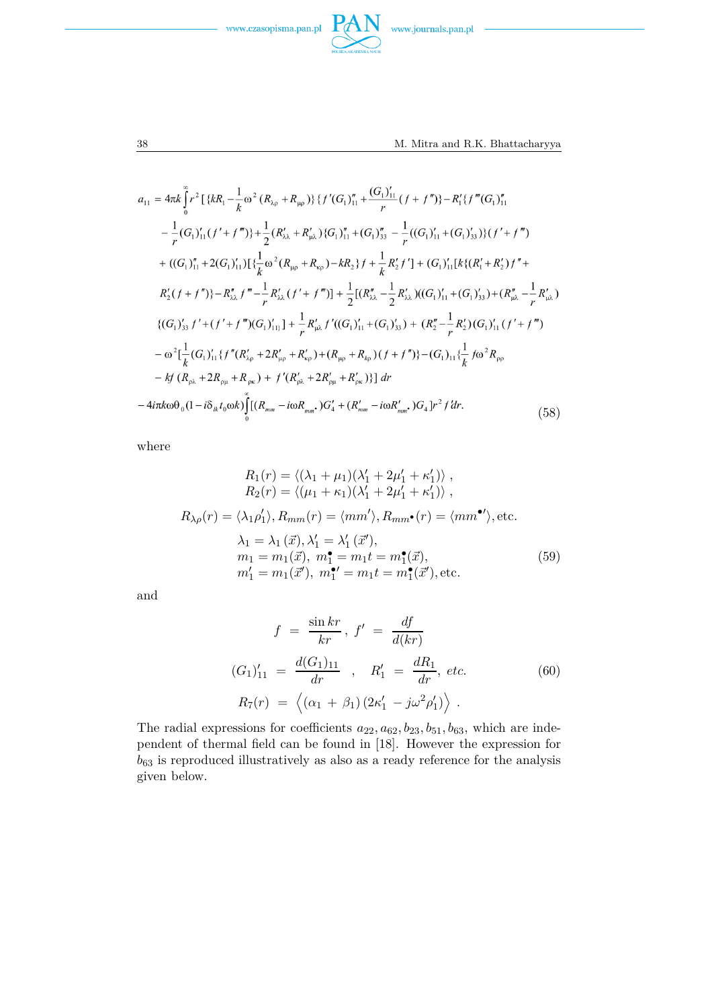



$$
a_{11} = 4\pi k \int_{0}^{a} r^{2} \left[ \{kR_{1} - \frac{1}{k} \omega^{2} (R_{\lambda\rho} + R_{\mu\rho}) \} \{f'(G_{1})_{11}^{n} + \frac{(G_{1})_{11}^{n}}{r} (f + f'') \} - R_{1}^{r} \{f'''(G_{1})_{11}^{n} - \frac{1}{r} (G_{1})_{11}^{r} (f' + f''') \} + \frac{1}{2} (R_{\lambda\lambda}^{r} + R_{\mu\lambda}^{r}) \{G_{1})_{11}^{n} + (G_{1})_{33}^{n} - \frac{1}{r} ((G_{1})_{11}^{r} + (G_{1})_{33}^{r}) \} (f' + f''') + ((G_{1})_{11}^{n} + 2(G_{1})_{11}^{r}) \left[ \{ \frac{1}{k} \omega^{2} (R_{\mu\rho} + R_{\kappa\rho}) - kR_{2} \} f + \frac{1}{k} R_{2}^{r} f' \right] + (G_{1})_{11}^{r} [k \{ (R_{1}^{r} + R_{2}^{r}) f'' + R_{2}^{r} (f + f'') \} - R_{\lambda\lambda}^{r} f''' - \frac{1}{r} R_{\lambda\lambda}^{r} (f' + f''') \right] + \frac{1}{2} [(R_{\lambda\lambda}^{n} - \frac{1}{2} R_{\lambda\lambda}^{r}) ((G_{1})_{11}^{r} + (G_{1})_{33}^{r}) + (R_{\mu\lambda}^{n} - \frac{1}{r} R_{\mu\lambda}^{r}) \{ (G_{1})_{33}^{r} f' + (f' + f''') (G_{1})_{11}^{r} \} + \frac{1}{r} R_{\mu\lambda}^{r} f' ((G_{1})_{11}^{r} + (G_{1})_{33}^{r}) + (R_{2}^{n} - \frac{1}{r} R_{2}^{r}) (G_{1})_{11}^{r} (f' + f''') - \omega^{2} [\frac{1}{k} (G_{1})_{11}^{r} \{f''(R_{\lambda\rho}^{r} + 2R_{\mu\rho}^{r} + R_{\kappa\rho}^{r}) + (R_{\mu\rho} + R_{\kho}) (f + f'') \} - (
$$

where

$$
R_1(r) = \langle (\lambda_1 + \mu_1)(\lambda'_1 + 2\mu'_1 + \kappa'_1) \rangle ,
$$
  
\n
$$
R_2(r) = \langle (\mu_1 + \kappa_1)(\lambda'_1 + 2\mu'_1 + \kappa'_1) \rangle ,
$$
  
\n
$$
R_{\lambda \rho}(r) = \langle \lambda_1 \rho'_1 \rangle, R_{mm}(r) = \langle mm' \rangle, R_{mm} \bullet (r) = \langle mm \bullet \rangle, \text{etc.}
$$
  
\n
$$
\lambda_1 = \lambda_1(\vec{x}), \lambda'_1 = \lambda'_1(\vec{x}'),
$$
  
\n
$$
m_1 = m_1(\vec{x}), m_1^{\bullet} = m_1 t = m_1^{\bullet}(\vec{x}),
$$
  
\n
$$
m'_1 = m_1(\vec{x}'), m_1^{\bullet} = m_1 t = m_1^{\bullet}(\vec{x}'), \text{etc.}
$$
  
\n(59)

and

$$
f = \frac{\sin kr}{kr}, \ f' = \frac{df}{d(kr)}
$$
  
\n
$$
(G_1)'_{11} = \frac{d(G_1)_{11}}{dr}, \ R'_1 = \frac{dR_1}{dr}, \ etc.
$$
  
\n
$$
R_7(r) = \left\langle (\alpha_1 + \beta_1)(2\kappa'_1 - j\omega^2 \rho'_1) \right\rangle.
$$
  
\n(60)

The radial expressions for coefficients  $a_{22}, a_{62}, b_{23}, b_{51}, b_{63}$ , which are independent of thermal field can be found in [18]. However the expression for  $b_{63}$  is reproduced illustratively as also as a ready reference for the analysis given below.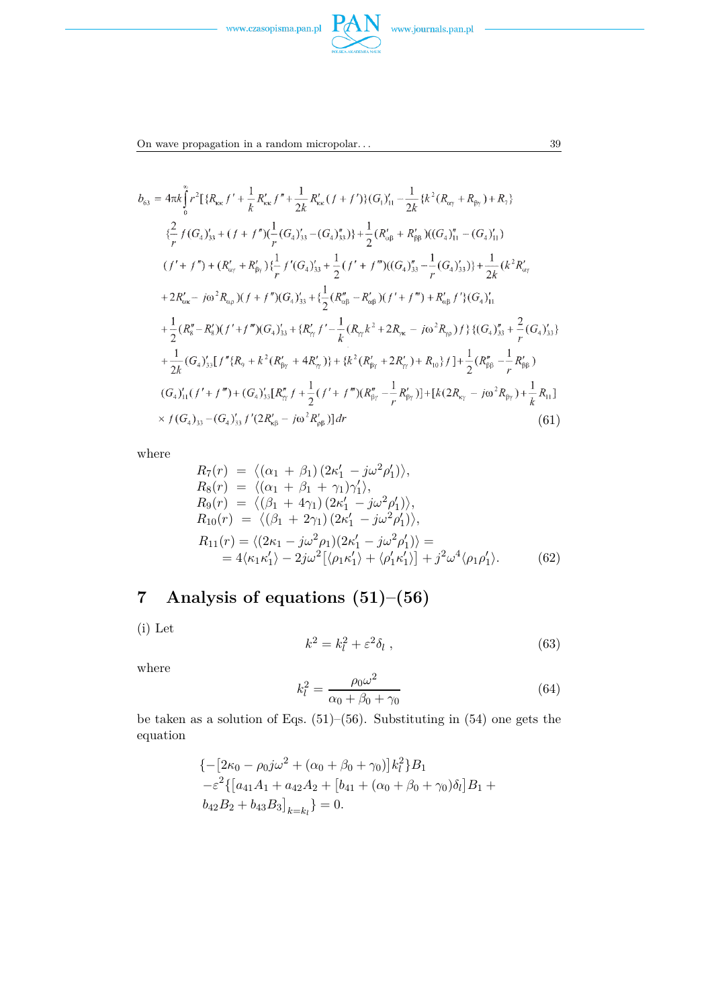



On wave propagation in a random micropolar... 39

$$
b_{63} = 4\pi k \int_{0}^{\infty} r^{2} [\{R_{\kappa\kappa} f' + \frac{1}{k} R_{\kappa\kappa}' f'' + \frac{1}{2k} R_{\kappa\kappa}' (f + f') \} (G_{1})'_{11} - \frac{1}{2k} \{k^{2} (R_{\alpha\gamma} + R_{\beta\gamma}) + R_{7} \}
$$
  
\n
$$
\{\frac{2}{r} f (G_{4})'_{33} + (f + f'') (\frac{1}{r} (G_{4})'_{33} - (G_{4})'_{33}) \} + \frac{1}{2} (R_{\alpha\beta}' + R_{\beta\beta}') ((G_{4})'_{11} - (G_{4})'_{11})
$$
  
\n
$$
(f' + f'') + (R_{\alpha\gamma}' + R_{\beta\gamma}') \{\frac{1}{r} f'(G_{4})'_{33} + \frac{1}{2} (f' + f''') ((G_{4})'_{33} - \frac{1}{r} (G_{4})'_{33}) \} + \frac{1}{2k} (k^{2} R_{\alpha\gamma}' + 2R_{\alpha\kappa}' - j\omega^{2} R_{\alpha\rho}) (f + f'') (G_{4})'_{33} + \{\frac{1}{2} (R_{\alpha\beta}'' - R_{\alpha\beta}') (f' + f''') + R_{\alpha\beta}' f'\} (G_{4})'_{11}
$$
  
\n
$$
+ \frac{1}{2} (R_{\alpha}'' - R_{\alpha}') (f' + f''') (G_{4})'_{33} + \{R_{\gamma\gamma}' f' - \frac{1}{k} (R_{\gamma\gamma} k^{2} + 2R_{\gamma\kappa} - j\omega^{2} R_{\gamma\rho}) f\} \{ (G_{4})'_{33} + \frac{2}{r} (G_{4})'_{33} \}
$$
  
\n
$$
+ \frac{1}{2k} (G_{4})'_{33} [f'' \{R_{9} + k^{2} (R_{\beta\gamma}' + 4R_{\gamma\gamma}') \} + \{k^{2} (R_{\beta\gamma}' + 2R_{\gamma\gamma}') + R_{10} \} f] + \frac{1}{2} (R_{\beta\beta}'' - \frac{1}{r} R_{\beta\beta}' )
$$
  
\n
$$
(G_{4})'_{11} (f' + f''') + (
$$

where

$$
R_7(r) = \langle (\alpha_1 + \beta_1) (2\kappa'_1 - j\omega^2 \rho'_1) \rangle, R_8(r) = \langle (\alpha_1 + \beta_1 + \gamma_1) \gamma'_1 \rangle, R_9(r) = \langle (\beta_1 + 4\gamma_1) (2\kappa'_1 - j\omega^2 \rho'_1) \rangle, R_{10}(r) = \langle (\beta_1 + 2\gamma_1) (2\kappa'_1 - j\omega^2 \rho'_1) \rangle, R_{11}(r) = \langle (2\kappa_1 - j\omega^2 \rho_1) (2\kappa'_1 - j\omega^2 \rho'_1) \rangle = = 4\langle \kappa_1 \kappa'_1 \rangle - 2j\omega^2 [\langle \rho_1 \kappa'_1 \rangle + \langle \rho'_1 \kappa'_1 \rangle] + j^2 \omega^4 \langle \rho_1 \rho'_1 \rangle.
$$
 (62)

# **7 Analysis of equations (51)–(56)**

(i) Let

$$
k^2 = k_l^2 + \varepsilon^2 \delta_l \tag{63}
$$

where

$$
k_l^2 = \frac{\rho_0 \omega^2}{\alpha_0 + \beta_0 + \gamma_0} \tag{64}
$$

be taken as a solution of Eqs. (51)–(56). Substituting in (54) one gets the equation

$$
\begin{aligned} &\left\{-\left[2\kappa_0 - \rho_0 j \omega^2 + (\alpha_0 + \beta_0 + \gamma_0)\right]k_l^2\right\} B_1 \\ &- \varepsilon^2 \left\{\left[a_{41}A_1 + a_{42}A_2 + \left[b_{41} + (\alpha_0 + \beta_0 + \gamma_0)\delta_l\right]B_1 + b_{42}B_2 + b_{43}B_3\right]_{k=k_l}\right\} = 0. \end{aligned}
$$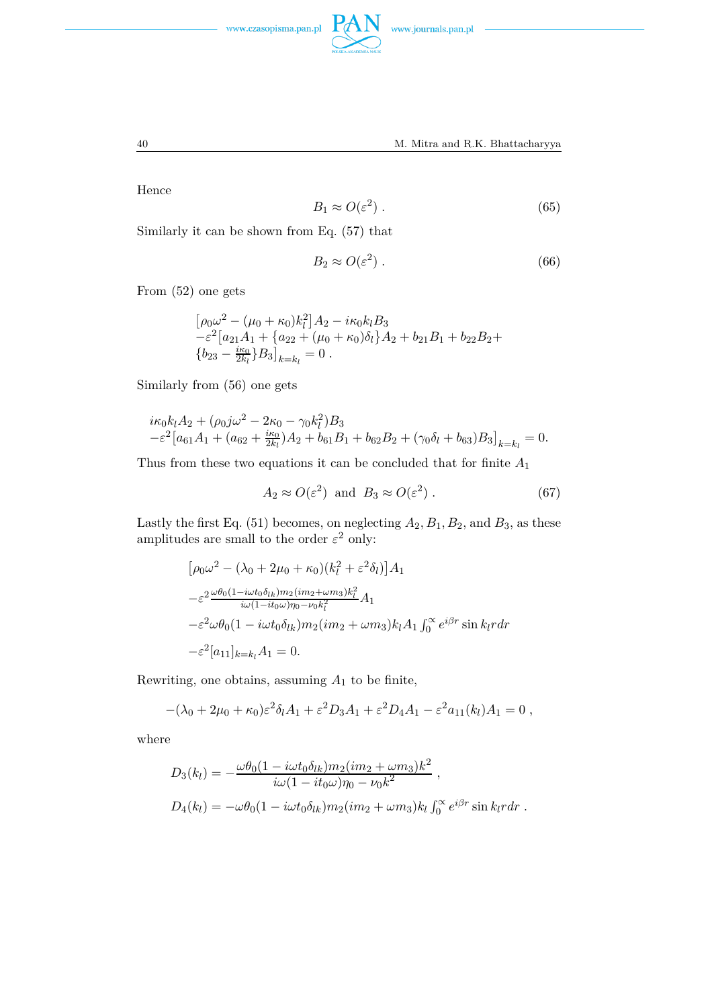



$$
f_{\rm{max}}
$$

Hence

$$
B_1 \approx O(\varepsilon^2) \ . \tag{65}
$$

Similarly it can be shown from Eq. (57) that

$$
B_2 \approx O(\varepsilon^2) \tag{66}
$$

From (52) one gets

$$
\begin{aligned} & \left[ \rho_0 \omega^2 - (\mu_0 + \kappa_0) k_l^2 \right] A_2 - i \kappa_0 k_l B_3 \\ &- \varepsilon^2 \left[ a_{21} A_1 + \left\{ a_{22} + (\mu_0 + \kappa_0) \delta_l \right\} A_2 + b_{21} B_1 + b_{22} B_2 + \left\{ b_{23} - \frac{i \kappa_0}{2k_l} \right\} B_3 \right]_{k=k_l} = 0 \,. \end{aligned}
$$

Similarly from (56) one gets

$$
i\kappa_0 k_l A_2 + (\rho_0 j \omega^2 - 2\kappa_0 - \gamma_0 k_l^2) B_3
$$
  

$$
-\varepsilon^2 [a_{61} A_1 + (a_{62} + \frac{i\kappa_0}{2k_l}) A_2 + b_{61} B_1 + b_{62} B_2 + (\gamma_0 \delta_l + b_{63}) B_3]_{k=k_l} = 0.
$$

Thus from these two equations it can be concluded that for finite *A*<sup>1</sup>

$$
A_2 \approx O(\varepsilon^2) \text{ and } B_3 \approx O(\varepsilon^2). \tag{67}
$$

Lastly the first Eq.  $(51)$  becomes, on neglecting  $A_2, B_1, B_2$ , and  $B_3$ , as these amplitudes are small to the order  $\varepsilon^2$  only:

$$
[\rho_0 \omega^2 - (\lambda_0 + 2\mu_0 + \kappa_0)(k_l^2 + \varepsilon^2 \delta_l)] A_1
$$
  
\n
$$
-\varepsilon^2 \frac{\omega \theta_0 (1 - i\omega t_0 \delta_{lk}) m_2 (im_2 + \omega m_3) k_l^2}{i\omega (1 - it_0 \omega) \eta_0 - \nu_0 k_l^2} A_1
$$
  
\n
$$
-\varepsilon^2 \omega \theta_0 (1 - i\omega t_0 \delta_{lk}) m_2 (im_2 + \omega m_3) k_l A_1 \int_0^\infty e^{i\beta r} \sin k_l r dr
$$
  
\n
$$
-\varepsilon^2 [a_{11}]_{k=k_l} A_1 = 0.
$$

Rewriting, one obtains, assuming *A*<sup>1</sup> to be finite,

$$
-(\lambda_0+2\mu_0+\kappa_0)\varepsilon^2\delta_lA_1+\varepsilon^2D_3A_1+\varepsilon^2D_4A_1-\varepsilon^2a_{11}(k_l)A_1=0,
$$

where

$$
D_3(k_l) = -\frac{\omega\theta_0(1 - i\omega t_0\delta_{lk})m_2(im_2 + \omega m_3)k^2}{i\omega(1 - it_0\omega)\eta_0 - \nu_0k^2},
$$
  

$$
D_4(k_l) = -\omega\theta_0(1 - i\omega t_0\delta_{lk})m_2(im_2 + \omega m_3)k_l\int_0^\infty e^{i\beta r}\sin k_lrdr.
$$

40 M. Mitra and R.K. Bhattacharyya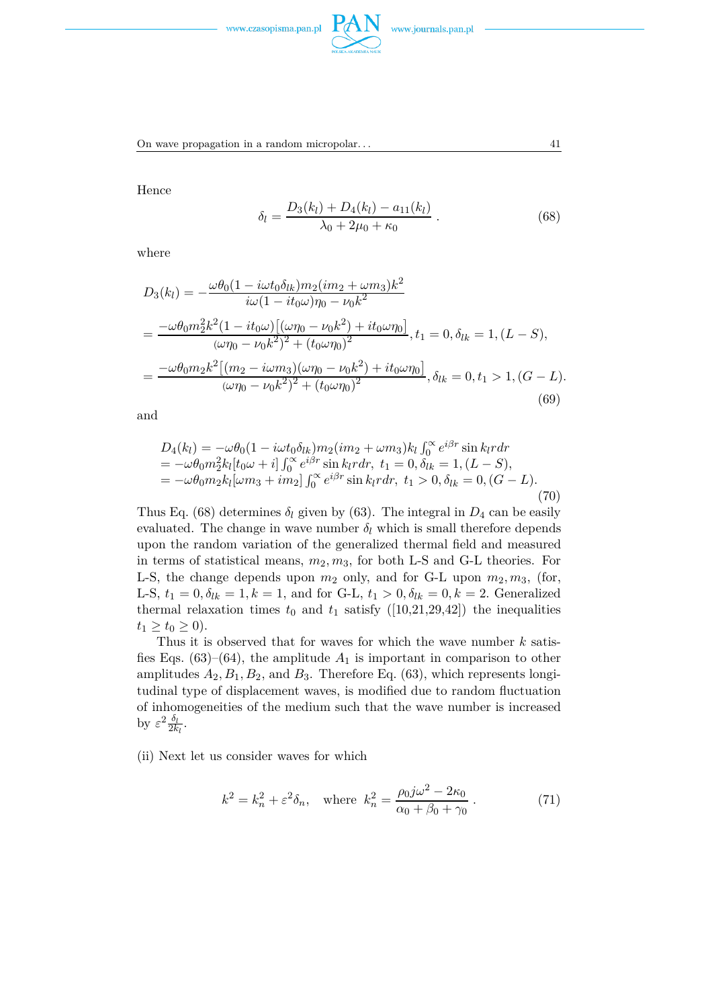



On wave propagation in a random micropolar. . . 41

Hence

$$
\delta_l = \frac{D_3(k_l) + D_4(k_l) - a_{11}(k_l)}{\lambda_0 + 2\mu_0 + \kappa_0} \,. \tag{68}
$$

where

$$
D_3(k_l) = -\frac{\omega\theta_0(1 - i\omega t_0\delta_{lk})m_2(im_2 + \omega m_3)k^2}{i\omega(1 - it_0\omega)\eta_0 - \nu_0k^2}
$$
  
= 
$$
\frac{-\omega\theta_0m_2^2k^2(1 - it_0\omega)[(\omega\eta_0 - \nu_0k^2) + it_0\omega\eta_0]}{(\omega\eta_0 - \nu_0k^2)^2 + (t_0\omega\eta_0)^2}, t_1 = 0, \delta_{lk} = 1, (L - S),
$$
  
= 
$$
\frac{-\omega\theta_0m_2k^2[(m_2 - i\omega m_3)(\omega\eta_0 - \nu_0k^2) + it_0\omega\eta_0]}{(\omega\eta_0 - \nu_0k^2)^2 + (t_0\omega\eta_0)^2}, \delta_{lk} = 0, t_1 > 1, (G - L).
$$
 (69)

and

$$
D_4(k_l) = -\omega \theta_0 (1 - i\omega t_0 \delta_{lk}) m_2 (im_2 + \omega m_3) k_l \int_0^\infty e^{i\beta r} \sin k_l r dr = -\omega \theta_0 m_2^2 k_l [t_0 \omega + i] \int_0^\infty e^{i\beta r} \sin k_l r dr, t_1 = 0, \delta_{lk} = 1, (L - S), = -\omega \theta_0 m_2 k_l [\omega m_3 + im_2] \int_0^\infty e^{i\beta r} \sin k_l r dr, t_1 > 0, \delta_{lk} = 0, (G - L).
$$
\n(70)

Thus Eq. (68) determines  $\delta_l$  given by (63). The integral in  $D_4$  can be easily evaluated. The change in wave number  $\delta_l$  which is small therefore depends upon the random variation of the generalized thermal field and measured in terms of statistical means,  $m_2, m_3$ , for both L-S and G-L theories. For L-S, the change depends upon  $m_2$  only, and for G-L upon  $m_2, m_3$ , (for, L-S,  $t_1 = 0, \delta_{lk} = 1, k = 1$ , and for G-L,  $t_1 > 0, \delta_{lk} = 0, k = 2$ . Generalized thermal relaxation times  $t_0$  and  $t_1$  satisfy ([10,21,29,42]) the inequalities  $t_1 \ge t_0 \ge 0$ .

Thus it is observed that for waves for which the wave number *k* satisfies Eqs.  $(63)$ – $(64)$ , the amplitude  $A_1$  is important in comparison to other amplitudes  $A_2, B_1, B_2$ , and  $B_3$ . Therefore Eq. (63), which represents longitudinal type of displacement waves, is modified due to random fluctuation of inhomogeneities of the medium such that the wave number is increased by  $\varepsilon^2 \frac{\delta_l}{2k}$  $\frac{o_l}{2k_l}$ .

(ii) Next let us consider waves for which

$$
k^{2} = k_{n}^{2} + \varepsilon^{2} \delta_{n}, \text{ where } k_{n}^{2} = \frac{\rho_{0} j \omega^{2} - 2\kappa_{0}}{\alpha_{0} + \beta_{0} + \gamma_{0}}.
$$
 (71)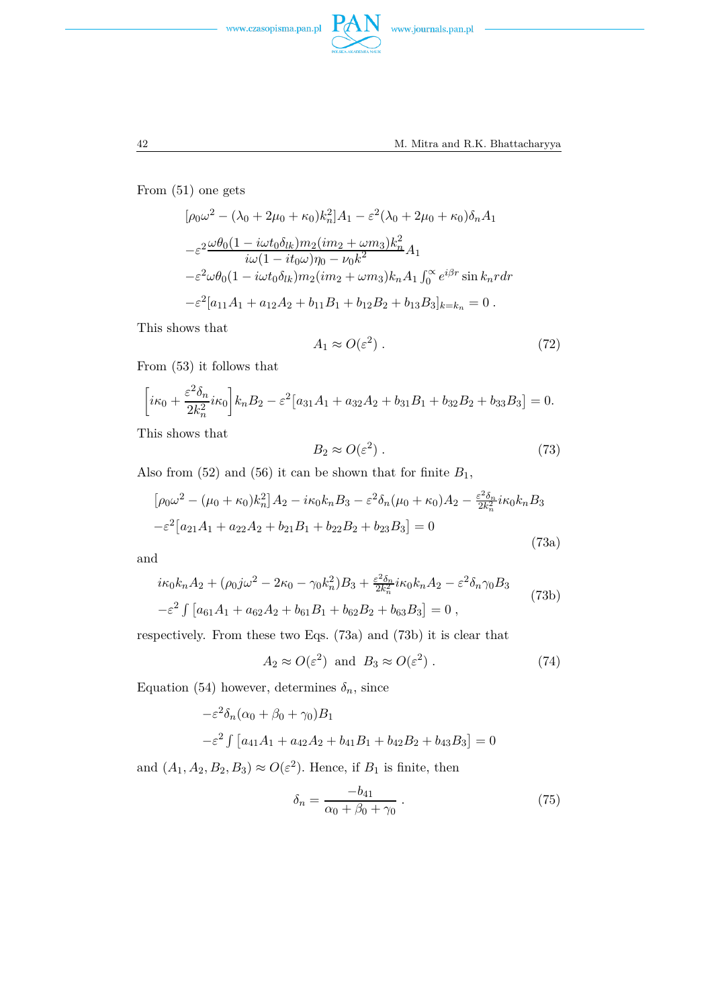



From (51) one gets

$$
[\rho_0 \omega^2 - (\lambda_0 + 2\mu_0 + \kappa_0)k_n^2]A_1 - \varepsilon^2 (\lambda_0 + 2\mu_0 + \kappa_0) \delta_n A_1
$$
  

$$
-\varepsilon^2 \frac{\omega \theta_0 (1 - i\omega t_0 \delta_{lk}) m_2 (im_2 + \omega m_3)k_n^2}{i\omega (1 - it_0 \omega) \eta_0 - \nu_0 k^2} A_1
$$
  

$$
-\varepsilon^2 \omega \theta_0 (1 - i\omega t_0 \delta_{lk}) m_2 (im_2 + \omega m_3) k_n A_1 \int_0^\infty e^{i\beta r} \sin k_n r dr
$$
  

$$
-\varepsilon^2 [a_{11}A_1 + a_{12}A_2 + b_{11}B_1 + b_{12}B_2 + b_{13}B_3]_{k=k_n} = 0.
$$

This shows that

$$
A_1 \approx O(\varepsilon^2) \tag{72}
$$

From (53) it follows that

$$
\left[i\kappa_0 + \frac{\varepsilon^2 \delta_n}{2k_n^2} i\kappa_0\right] k_n B_2 - \varepsilon^2 \left[a_{31} A_1 + a_{32} A_2 + b_{31} B_1 + b_{32} B_2 + b_{33} B_3\right] = 0.
$$

This shows that

$$
B_2 \approx O(\varepsilon^2) \tag{73}
$$

Also from  $(52)$  and  $(56)$  it can be shown that for finite  $B_1$ ,

$$
[\rho_0 \omega^2 - (\mu_0 + \kappa_0) k_n^2] A_2 - i\kappa_0 k_n B_3 - \varepsilon^2 \delta_n (\mu_0 + \kappa_0) A_2 - \frac{\varepsilon^2 \delta_n}{2k_n^2} i\kappa_0 k_n B_3
$$
  

$$
-\varepsilon^2 [a_{21}A_1 + a_{22}A_2 + b_{21}B_1 + b_{22}B_2 + b_{23}B_3] = 0
$$
 (73a)

and

$$
i\kappa_0 k_n A_2 + (\rho_0 j \omega^2 - 2\kappa_0 - \gamma_0 k_n^2) B_3 + \frac{\varepsilon^2 \delta_n}{2k_n^2} i\kappa_0 k_n A_2 - \varepsilon^2 \delta_n \gamma_0 B_3
$$
  

$$
-\varepsilon^2 \int \left[ a_{61} A_1 + a_{62} A_2 + b_{61} B_1 + b_{62} B_2 + b_{63} B_3 \right] = 0 ,
$$
 (73b)

respectively. From these two Eqs. (73a) and (73b) it is clear that

$$
A_2 \approx O(\varepsilon^2) \text{ and } B_3 \approx O(\varepsilon^2). \tag{74}
$$

Equation (54) however, determines  $\delta_n$ , since

$$
-\varepsilon^2 \delta_n (\alpha_0 + \beta_0 + \gamma_0) B_1
$$
  

$$
-\varepsilon^2 \int [a_{41}A_1 + a_{42}A_2 + b_{41}B_1 + b_{42}B_2 + b_{43}B_3] = 0
$$

and  $(A_1, A_2, B_2, B_3) \approx O(\varepsilon^2)$ . Hence, if  $B_1$  is finite, then

$$
\delta_n = \frac{-b_{41}}{\alpha_0 + \beta_0 + \gamma_0} \tag{75}
$$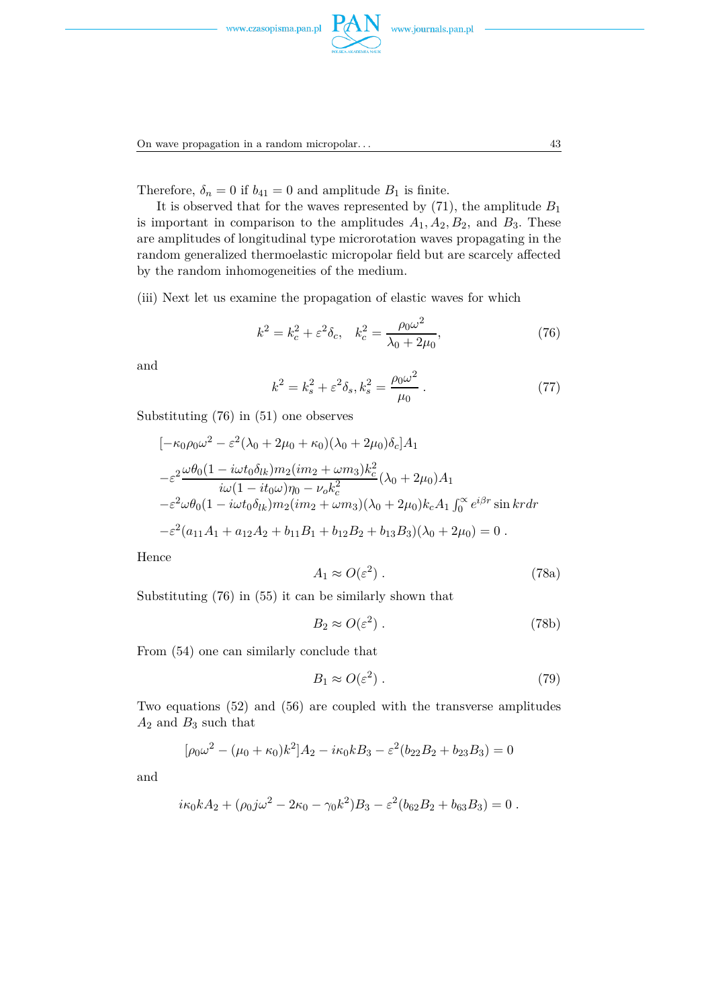

On wave propagation in a random micropolar... 43

Therefore,  $\delta_n = 0$  if  $b_{41} = 0$  and amplitude  $B_1$  is finite.

It is observed that for the waves represented by  $(71)$ , the amplitude  $B_1$ is important in comparison to the amplitudes  $A_1, A_2, B_2$ , and  $B_3$ . These are amplitudes of longitudinal type microrotation waves propagating in the random generalized thermoelastic micropolar field but are scarcely affected by the random inhomogeneities of the medium.

(iii) Next let us examine the propagation of elastic waves for which

$$
k^{2} = k_{c}^{2} + \varepsilon^{2} \delta_{c}, \quad k_{c}^{2} = \frac{\rho_{0} \omega^{2}}{\lambda_{0} + 2\mu_{0}}, \tag{76}
$$

and

$$
k^{2} = k_{s}^{2} + \varepsilon^{2} \delta_{s}, k_{s}^{2} = \frac{\rho_{0} \omega^{2}}{\mu_{0}}.
$$
 (77)

Substituting (76) in (51) one observes

$$
[-\kappa_0 \rho_0 \omega^2 - \varepsilon^2 (\lambda_0 + 2\mu_0 + \kappa_0) (\lambda_0 + 2\mu_0) \delta_c] A_1
$$
  
\n
$$
-\varepsilon^2 \frac{\omega \theta_0 (1 - i\omega t_0 \delta_{lk}) m_2 (im_2 + \omega m_3) k_c^2}{i\omega (1 - it_0 \omega) \eta_0 - \nu_0 k_c^2} (\lambda_0 + 2\mu_0) A_1
$$
  
\n
$$
-\varepsilon^2 \omega \theta_0 (1 - i\omega t_0 \delta_{lk}) m_2 (im_2 + \omega m_3) (\lambda_0 + 2\mu_0) k_c A_1 \int_0^\infty e^{i\beta r} \sin kr dr
$$
  
\n
$$
-\varepsilon^2 (a_{11}A_1 + a_{12}A_2 + b_{11}B_1 + b_{12}B_2 + b_{13}B_3) (\lambda_0 + 2\mu_0) = 0.
$$

Hence

$$
A_1 \approx O(\varepsilon^2) \tag{78a}
$$

Substituting (76) in (55) it can be similarly shown that

$$
B_2 \approx O(\varepsilon^2) \tag{78b}
$$

From (54) one can similarly conclude that

$$
B_1 \approx O(\varepsilon^2) \tag{79}
$$

Two equations (52) and (56) are coupled with the transverse amplitudes  $A_2$  and  $B_3$  such that

$$
[\rho_0 \omega^2 - (\mu_0 + \kappa_0)k^2]A_2 - i\kappa_0 k B_3 - \varepsilon^2 (b_{22}B_2 + b_{23}B_3) = 0
$$

and

$$
i\kappa_0 k A_2 + (\rho_0 j \omega^2 - 2\kappa_0 - \gamma_0 k^2) B_3 - \varepsilon^2 (b_{62} B_2 + b_{63} B_3) = 0.
$$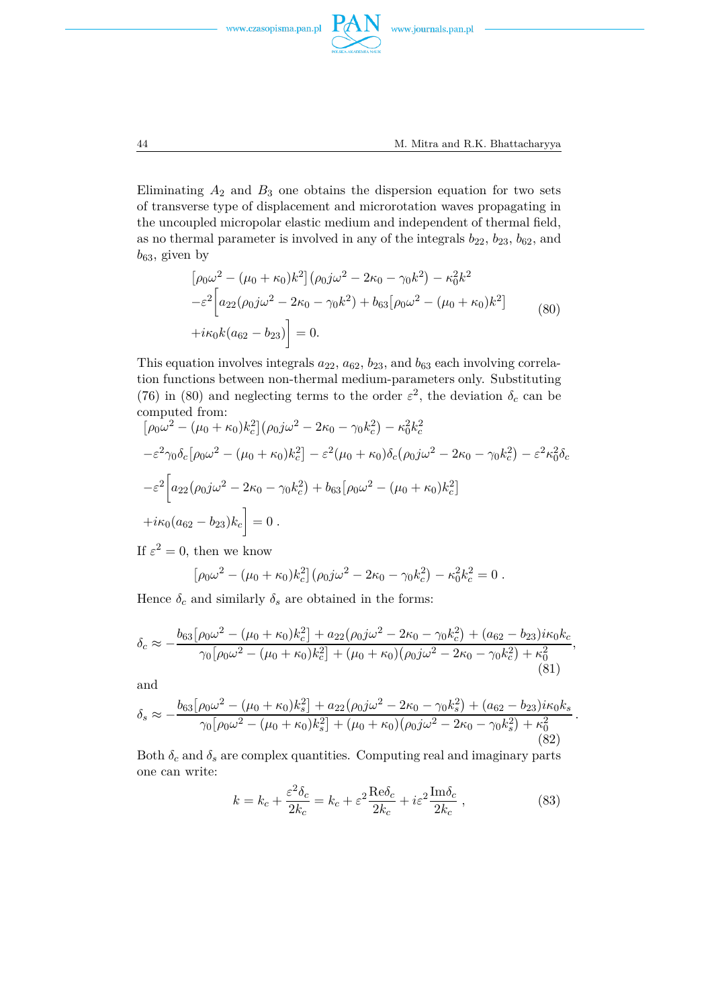



Eliminating  $A_2$  and  $B_3$  one obtains the dispersion equation for two sets of transverse type of displacement and microrotation waves propagating in the uncoupled micropolar elastic medium and independent of thermal field, as no thermal parameter is involved in any of the integrals  $b_{22}$ ,  $b_{23}$ ,  $b_{62}$ , and  $b_{63}$ , given by

$$
\left[\rho_0 \omega^2 - (\mu_0 + \kappa_0) k^2\right] (\rho_0 j \omega^2 - 2\kappa_0 - \gamma_0 k^2) - \kappa_0^2 k^2
$$
  

$$
-\varepsilon^2 \left[a_{22} (\rho_0 j \omega^2 - 2\kappa_0 - \gamma_0 k^2) + b_{63} [\rho_0 \omega^2 - (\mu_0 + \kappa_0) k^2] + i\kappa_0 k (a_{62} - b_{23})\right] = 0.
$$
 (80)

This equation involves integrals  $a_{22}$ ,  $a_{62}$ ,  $b_{23}$ , and  $b_{63}$  each involving correlation functions between non-thermal medium-parameters only. Substituting (76) in (80) and neglecting terms to the order  $\varepsilon^2$ , the deviation  $\delta_c$  can be computed from:

$$
[\rho_0 \omega^2 - (\mu_0 + \kappa_0) k_c^2] (\rho_0 j \omega^2 - 2\kappa_0 - \gamma_0 k_c^2) - \kappa_0^2 k_c^2
$$
  

$$
-\varepsilon^2 \gamma_0 \delta_c [\rho_0 \omega^2 - (\mu_0 + \kappa_0) k_c^2] - \varepsilon^2 (\mu_0 + \kappa_0) \delta_c (\rho_0 j \omega^2 - 2\kappa_0 - \gamma_0 k_c^2) - \varepsilon^2 \kappa_0^2 \delta_c
$$
  

$$
-\varepsilon^2 \Big[ a_{22} (\rho_0 j \omega^2 - 2\kappa_0 - \gamma_0 k_c^2) + b_{63} [\rho_0 \omega^2 - (\mu_0 + \kappa_0) k_c^2]
$$
  

$$
+ i\kappa_0 (a_{62} - b_{23}) k_c \Big] = 0.
$$

If  $\varepsilon^2 = 0$ , then we know

$$
[\rho_0 \omega^2 - (\mu_0 + \kappa_0) k_c^2] (\rho_0 j \omega^2 - 2\kappa_0 - \gamma_0 k_c^2) - \kappa_0^2 k_c^2 = 0.
$$

Hence  $\delta_c$  and similarly  $\delta_s$  are obtained in the forms:

$$
\delta_c \approx -\frac{b_{63}[\rho_0 \omega^2 - (\mu_0 + \kappa_0)k_c^2] + a_{22}(\rho_0 j \omega^2 - 2\kappa_0 - \gamma_0 k_c^2) + (a_{62} - b_{23})i\kappa_0 k_c}{\gamma_0[\rho_0 \omega^2 - (\mu_0 + \kappa_0)k_c^2] + (\mu_0 + \kappa_0)(\rho_0 j \omega^2 - 2\kappa_0 - \gamma_0 k_c^2) + \kappa_0^2}
$$
\n(81)

and

$$
\delta_s \approx -\frac{b_{63}[\rho_0 \omega^2 - (\mu_0 + \kappa_0)k_s^2] + a_{22}(\rho_0 j \omega^2 - 2\kappa_0 - \gamma_0 k_s^2) + (a_{62} - b_{23})i\kappa_0 k_s}{\gamma_0[\rho_0 \omega^2 - (\mu_0 + \kappa_0)k_s^2] + (\mu_0 + \kappa_0)(\rho_0 j \omega^2 - 2\kappa_0 - \gamma_0 k_s^2) + \kappa_0^2}
$$
\n(82)

Both  $\delta_c$  and  $\delta_s$  are complex quantities. Computing real and imaginary parts one can write:

$$
k = k_c + \frac{\varepsilon^2 \delta_c}{2k_c} = k_c + \varepsilon^2 \frac{\text{Re}\delta_c}{2k_c} + i\varepsilon^2 \frac{\text{Im}\delta_c}{2k_c} ,\qquad (83)
$$

*.*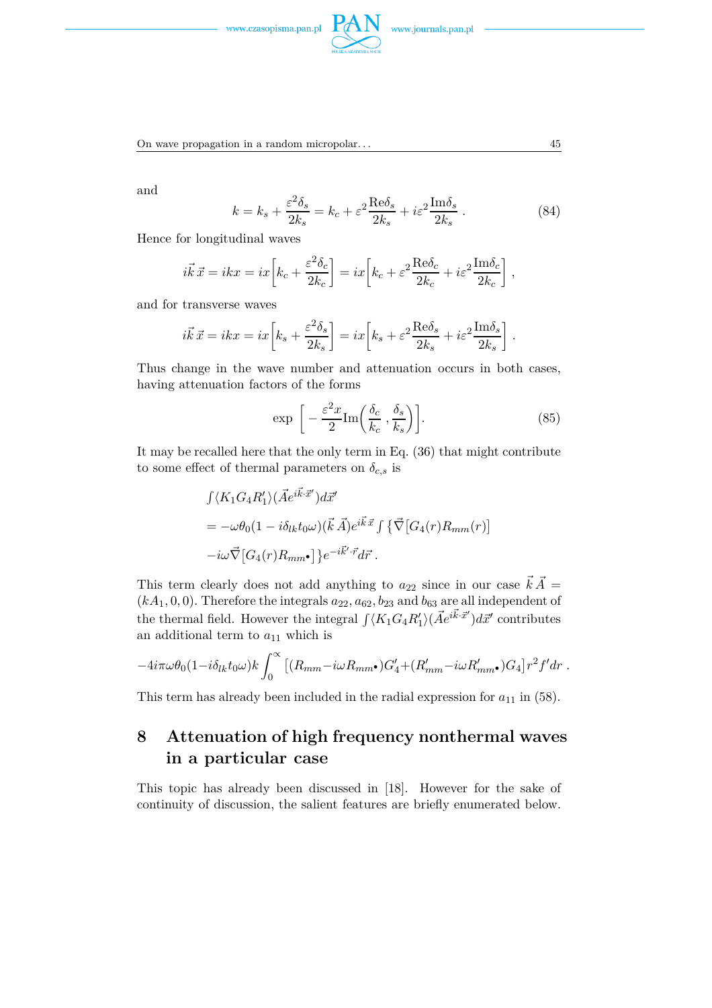



On wave propagation in a random micropolar. . . 45

and

$$
k = k_s + \frac{\varepsilon^2 \delta_s}{2k_s} = k_c + \varepsilon^2 \frac{\text{Re}\delta_s}{2k_s} + i\varepsilon^2 \frac{\text{Im}\delta_s}{2k_s} \,. \tag{84}
$$

Hence for longitudinal waves

$$
i\vec{k}\,\vec{x} = ikx = ix\left[k_c + \frac{\varepsilon^2 \delta_c}{2k_c}\right] = ix\left[k_c + \varepsilon^2 \frac{\text{Re}\delta_c}{2k_c} + i\varepsilon^2 \frac{\text{Im}\delta_c}{2k_c}\right],
$$

and for transverse waves

$$
i\vec{k}\,\vec{x} = ikx = ix\left[k_s + \frac{\varepsilon^2 \delta_s}{2k_s}\right] = ix\left[k_s + \varepsilon^2 \frac{\text{Re}\delta_s}{2k_s} + i\varepsilon^2 \frac{\text{Im}\delta_s}{2k_s}\right].
$$

Thus change in the wave number and attenuation occurs in both cases, having attenuation factors of the forms

$$
\exp\left[-\frac{\varepsilon^2 x}{2} \text{Im}\left(\frac{\delta_c}{k_c}, \frac{\delta_s}{k_s}\right)\right].\tag{85}
$$

It may be recalled here that the only term in Eq. (36) that might contribute to some effect of thermal parameters on  $\delta_{c,s}$  is

$$
\begin{aligned}\n\int \langle K_1 G_4 R'_1 \rangle (\vec{A}e^{i\vec{k}\cdot\vec{x}'}) d\vec{x}' \\
= -\omega \theta_0 (1 - i \delta_{lk} t_0 \omega) (\vec{k} \vec{A}) e^{i\vec{k}\cdot\vec{x}} \int \{ \vec{\nabla} [G_4(r) R_{mm}(r)] \\
-i\omega \vec{\nabla} [G_4(r) R_{mm} \bullet] \} e^{-i\vec{k}' \cdot \vec{r}} d\vec{r} .\n\end{aligned}
$$

This term clearly does not add anything to  $a_{22}$  since in our case  $\vec{k} \cdot \vec{A} =$  $(kA_1, 0, 0)$ . Therefore the integrals  $a_{22}, a_{62}, b_{23}$  and  $b_{63}$  are all independent of the thermal field. However the integral  $\int \langle K_1 G_4 R'_1 \rangle (\vec{A}e^{i\vec{k}\cdot\vec{x}'}) d\vec{x}'$  contributes an additional term to  $a_{11}$  which is

$$
-4i\pi\omega\theta_0(1-i\delta_{lk}t_0\omega)k\int_0^\infty \left[ (R_{mm}-i\omega R_{mm}•)G'_4+(R'_{mm}-i\omega R'_{mm}•)G_4\right]r^2f'dr.
$$

This term has already been included in the radial expression for  $a_{11}$  in (58).

# **8 Attenuation of high frequency nonthermal waves in a particular case**

This topic has already been discussed in [18]. However for the sake of continuity of discussion, the salient features are briefly enumerated below.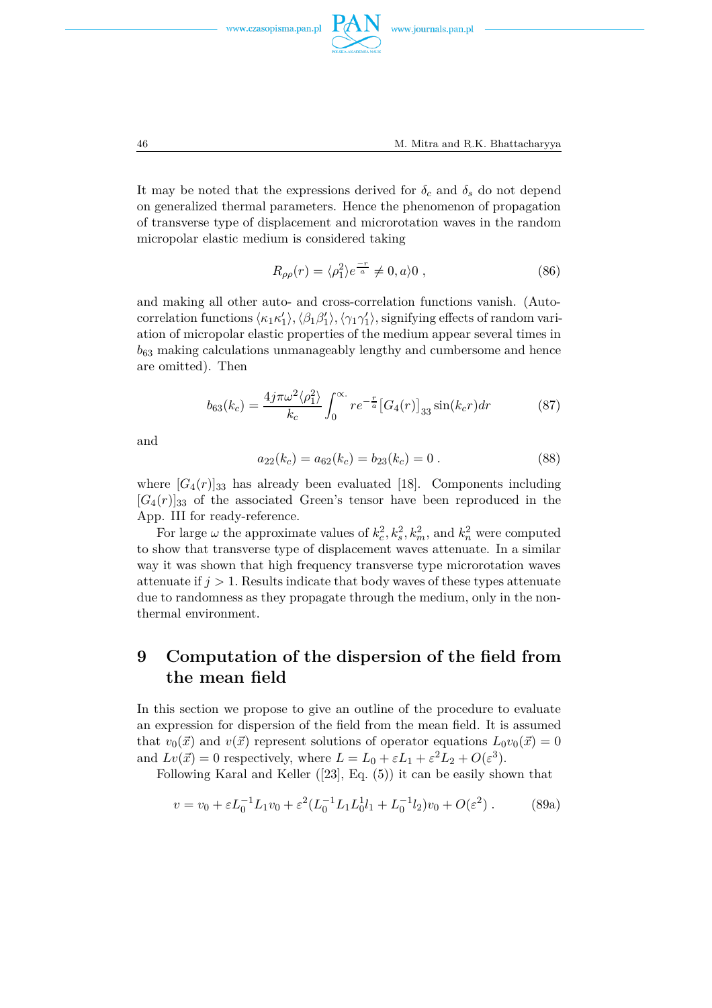





It may be noted that the expressions derived for  $\delta_c$  and  $\delta_s$  do not depend on generalized thermal parameters. Hence the phenomenon of propagation of transverse type of displacement and microrotation waves in the random micropolar elastic medium is considered taking

$$
R_{\rho\rho}(r) = \langle \rho_1^2 \rangle e^{-r \over a} \neq 0, a \rangle 0 , \qquad (86)
$$

and making all other auto- and cross-correlation functions vanish. (Autocorrelation functions  $\langle \kappa_1 \kappa'_1 \rangle$  $\langle$ <sub>1</sub> $\rangle$ ,  $\langle \beta_1 \beta_1^{\prime}$ <sup>*'*</sup><sub>1</sub><sup>*'*</sup>,  $\langle \gamma_1 \gamma'_1$ 1 i*,* signifying effects of random variation of micropolar elastic properties of the medium appear several times in  $b_{63}$  making calculations unmanageably lengthy and cumbersome and hence are omitted). Then

$$
b_{63}(k_c) = \frac{4j\pi\omega^2\langle\rho_1^2\rangle}{k_c} \int_0^\infty r e^{-\frac{r}{a}} \left[G_4(r)\right]_{33} \sin(k_c r) dr \tag{87}
$$

and

$$
a_{22}(k_c) = a_{62}(k_c) = b_{23}(k_c) = 0.
$$
 (88)

where  $[G_4(r)]_{33}$  has already been evaluated [18]. Components including  $[G_4(r)]_{33}$  of the associated Green's tensor have been reproduced in the App. III for ready-reference.

For large  $\omega$  the approximate values of  $k_c^2, k_s^2, k_m^2$ , and  $k_n^2$  were computed to show that transverse type of displacement waves attenuate. In a similar way it was shown that high frequency transverse type microrotation waves attenuate if  $j > 1$ . Results indicate that body waves of these types attenuate due to randomness as they propagate through the medium, only in the nonthermal environment.

## **9 Computation of the dispersion of the field from the mean field**

In this section we propose to give an outline of the procedure to evaluate an expression for dispersion of the field from the mean field. It is assumed that  $v_0(\vec{x})$  and  $v(\vec{x})$  represent solutions of operator equations  $L_0v_0(\vec{x})=0$ and  $Lv(\vec{x}) = 0$  respectively, where  $L = L_0 + \varepsilon L_1 + \varepsilon^2 L_2 + O(\varepsilon^3)$ .

Following Karal and Keller ([23], Eq. (5)) it can be easily shown that

$$
v = v_0 + \varepsilon L_0^{-1} L_1 v_0 + \varepsilon^2 (L_0^{-1} L_1 L_0^1 l_1 + L_0^{-1} l_2) v_0 + O(\varepsilon^2).
$$
 (89a)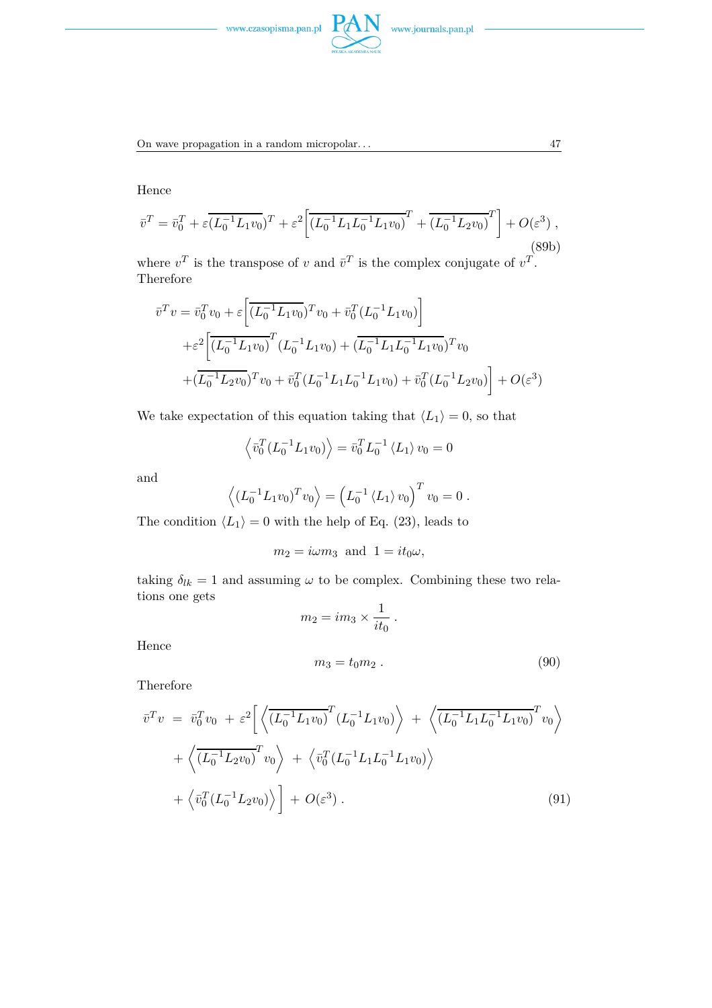

On wave propagation in a random micropolar. . .  $17$ 

Hence

$$
\bar{v}^T = \bar{v}_0^T + \varepsilon \overline{(L_0^{-1}L_1v_0)}^T + \varepsilon^2 \left[ \overline{(L_0^{-1}L_1L_0^{-1}L_1v_0)}^T + \overline{(L_0^{-1}L_2v_0)}^T \right] + O(\varepsilon^3) ,
$$
\n(89b)

where  $v^T$  is the transpose of *v* and  $\bar{v}^T$  is the complex conjugate of  $v^T$ . Therefore

$$
\bar{v}^T v = \bar{v}_0^T v_0 + \varepsilon \left[ \overline{(L_0^{-1} L_1 v_0)}^T v_0 + \bar{v}_0^T (L_0^{-1} L_1 v_0) \right]
$$
  
+
$$
\varepsilon^2 \left[ \overline{(L_0^{-1} L_1 v_0)}^T (L_0^{-1} L_1 v_0) + \overline{(L_0^{-1} L_1 L_0^{-1} L_1 v_0)}^T v_0
$$
  
+
$$
\overline{(L_0^{-1} L_2 v_0)}^T v_0 + \overline{v}_0^T (L_0^{-1} L_1 L_0^{-1} L_1 v_0) + \overline{v}_0^T (L_0^{-1} L_2 v_0) \right] + O(\varepsilon^3)
$$

We take expectation of this equation taking that  $\langle L_1 \rangle = 0$ , so that

$$
\langle \bar{v}_0^T (L_0^{-1} L_1 v_0) \rangle = \bar{v}_0^T L_0^{-1} \langle L_1 \rangle v_0 = 0
$$

and

$$
\langle (L_0^{-1}L_1v_0)^Tv_0 \rangle = (L_0^{-1} \langle L_1 \rangle v_0)^Tv_0 = 0.
$$

The condition  $\langle L_1 \rangle = 0$  with the help of Eq. (23), leads to

$$
m_2 = i\omega m_3
$$
 and  $1 = it_0\omega$ ,

taking  $\delta_{lk} = 1$  and assuming  $\omega$  to be complex. Combining these two relations one gets  $m_2 = im_3 \times \frac{1}{it}$ 

 $\frac{1}{it_0}$ .

Hence

$$
m_3 = t_0 m_2 \tag{90}
$$

Therefore

$$
\overline{v}^T v = \overline{v}_0^T v_0 + \varepsilon^2 \left[ \left\langle \overline{\left(L_0^{-1} L_1 v_0\right)}^T (L_0^{-1} L_1 v_0) \right\rangle + \left\langle \overline{\left(L_0^{-1} L_1 L_0^{-1} L_1 v_0\right)}^T v_0 \right\rangle + \left\langle \overline{\left(L_0^{-1} L_2 v_0\right)}^T v_0 \right\rangle + \left\langle \overline{v}_0^T (L_0^{-1} L_1 L_0^{-1} L_1 v_0) \right\rangle + \left\langle \overline{v}_0^T (L_0^{-1} L_2 v_0) \right\rangle \right] + O(\varepsilon^3).
$$
\n(91)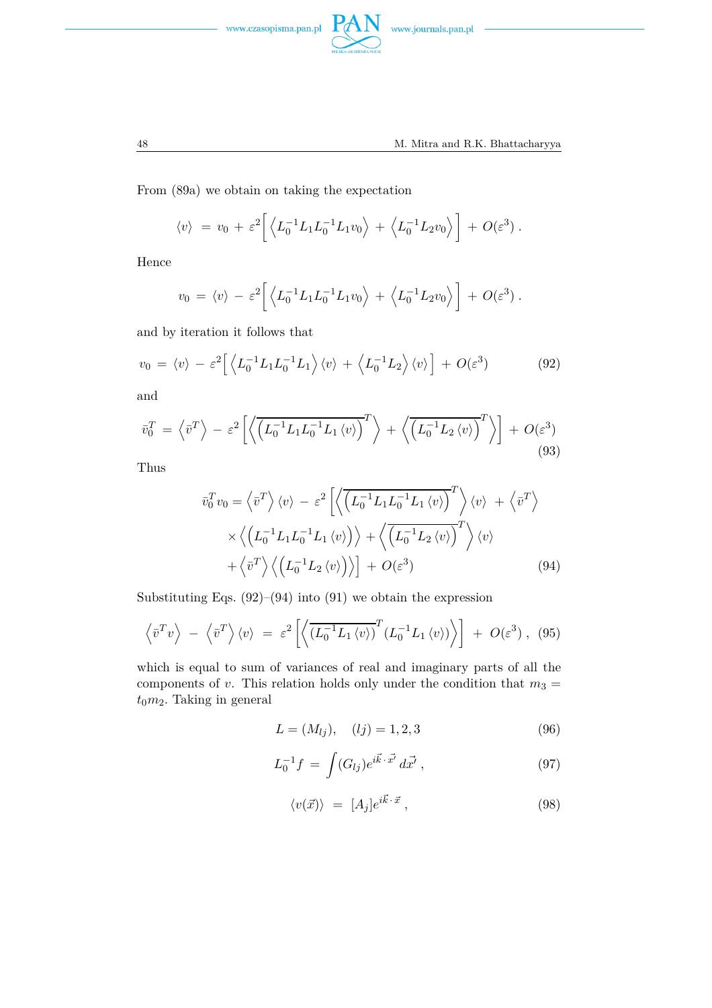



From (89a) we obtain on taking the expectation

$$
\langle v \rangle = v_0 + \varepsilon^2 \left[ \left\langle L_0^{-1} L_1 L_0^{-1} L_1 v_0 \right\rangle + \left\langle L_0^{-1} L_2 v_0 \right\rangle \right] + O(\varepsilon^3) .
$$

Hence

$$
v_0 = \langle v \rangle - \varepsilon^2 \left[ \left\langle L_0^{-1} L_1 L_0^{-1} L_1 v_0 \right\rangle + \left\langle L_0^{-1} L_2 v_0 \right\rangle \right] + O(\varepsilon^3) .
$$

and by iteration it follows that

$$
v_0 = \langle v \rangle - \varepsilon^2 \left[ \left\langle L_0^{-1} L_1 L_0^{-1} L_1 \right\rangle \langle v \rangle + \left\langle L_0^{-1} L_2 \right\rangle \langle v \rangle \right] + O(\varepsilon^3)
$$
 (92)

and

$$
\bar{v}_0^T = \left\langle \bar{v}^T \right\rangle - \varepsilon^2 \left[ \left\langle \overline{\left( L_0^{-1} L_1 L_0^{-1} L_1 \left\langle v \right\rangle \right)}^T \right\rangle + \left\langle \overline{\left( L_0^{-1} L_2 \left\langle v \right\rangle \right)}^T \right\rangle \right] + O(\varepsilon^3)
$$
\n(93)

Thus

$$
\bar{v}_0^T v_0 = \left\langle \bar{v}^T \right\rangle \langle v \rangle - \varepsilon^2 \left[ \left\langle \overline{\left( L_0^{-1} L_1 L_0^{-1} L_1 \langle v \rangle \right)^T} \right\rangle \langle v \rangle + \left\langle \bar{v}^T \right\rangle \times \left\langle \left( L_0^{-1} L_1 L_0^{-1} L_1 \langle v \rangle \right) \right\rangle + \left\langle \overline{\left( L_0^{-1} L_2 \langle v \rangle \right)^T} \right\rangle \langle v \rangle + \left\langle \bar{v}^T \right\rangle \left\langle \left( L_0^{-1} L_2 \langle v \rangle \right) \right\rangle \right] + O(\varepsilon^3)
$$
\n(94)

Substituting Eqs.  $(92)$ – $(94)$  into  $(91)$  we obtain the expression

$$
\left\langle \bar{v}^T v \right\rangle - \left\langle \bar{v}^T \right\rangle \langle v \rangle = \varepsilon^2 \left[ \left\langle \overline{\left(L_0^{-1} L_1 \langle v \rangle\right)}^T \left(L_0^{-1} L_1 \langle v \rangle\right) \right\rangle \right] + O(\varepsilon^3), \tag{95}
$$

which is equal to sum of variances of real and imaginary parts of all the components of *v*. This relation holds only under the condition that  $m_3 =$  $t_0m_2$ . Taking in general

$$
L = (M_{lj}), \quad (lj) = 1, 2, 3 \tag{96}
$$

$$
L_0^{-1}f = \int (G_{lj})e^{i\vec{k}\cdot\vec{x'}} d\vec{x'}, \qquad (97)
$$

$$
\langle v(\vec{x}) \rangle = [A_j]e^{i\vec{k} \cdot \vec{x}}, \qquad (98)
$$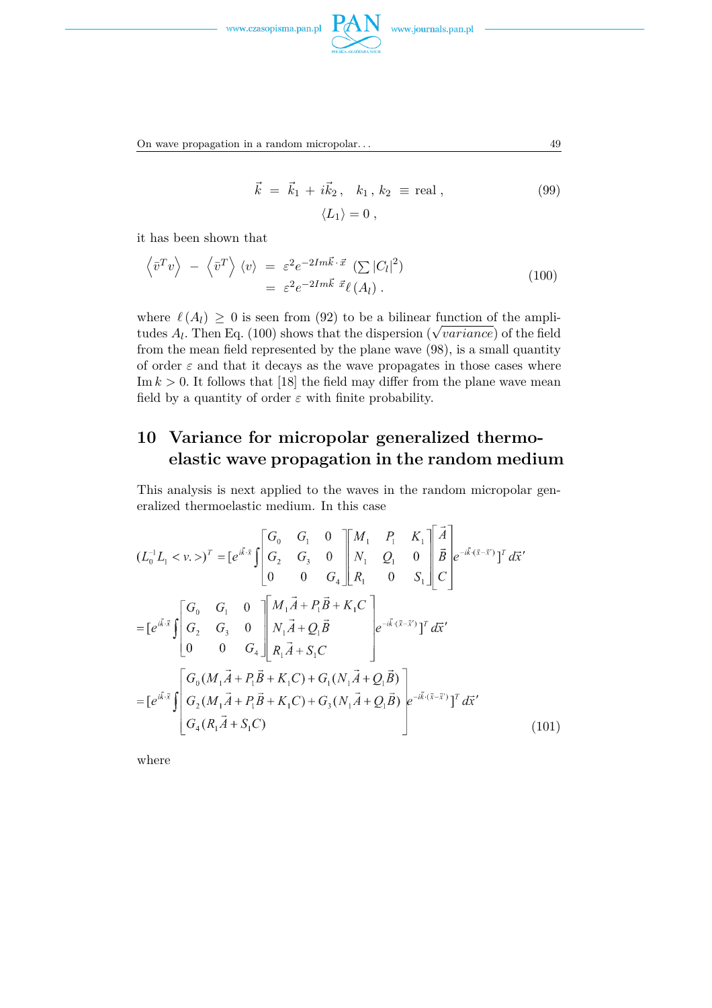

On wave propagation in a random micropolar. . . 49

$$
\vec{k} = \vec{k}_1 + i\vec{k}_2, \quad k_1, k_2 \equiv \text{real},
$$
  

$$
\langle L_1 \rangle = 0,
$$
 (99)

it has been shown that

$$
\langle \bar{v}^T v \rangle - \langle \bar{v}^T \rangle \langle v \rangle = \varepsilon^2 e^{-2Im\vec{k} \cdot \vec{x}} \left( \sum |C_l|^2 \right) = \varepsilon^2 e^{-2Im\vec{k}} \vec{x} \ell(A_l).
$$
 (100)

where  $\ell(A_l) \geq 0$  is seen from (92) to be a bilinear function of the amplitudes  $A_l$ . Then Eq. (100) shows that the dispersion ( $\sqrt{variance}$ ) of the field from the mean field represented by the plane wave (98), is a small quantity of order  $\varepsilon$  and that it decays as the wave propagates in those cases where Im  $k > 0$ . It follows that [18] the field may differ from the plane wave mean field by a quantity of order  $\varepsilon$  with finite probability.

# **10 Variance for micropolar generalized thermoelastic wave propagation in the random medium**

This analysis is next applied to the waves in the random micropolar generalized thermoelastic medium. In this case

$$
(L_0^{-1}L_1 < v.)^T = [e^{i\bar{k}\cdot\bar{x}} \int \begin{bmatrix} G_0 & G_1 & 0 \\ G_2 & G_3 & 0 \\ 0 & 0 & G_4 \end{bmatrix} \begin{bmatrix} M_1 & P_1 & K_1 \\ N_1 & Q_1 & 0 \\ R_1 & 0 & S_1 \end{bmatrix} \begin{bmatrix} \vec{A} \\ \vec{B} \\ C \end{bmatrix} e^{-i\bar{k}\cdot(\bar{x}-\bar{x}^{\prime})} \begin{bmatrix} T \\ T \\ T \end{bmatrix} d\bar{x}^{\prime}
$$
  
\n
$$
= [e^{i\bar{k}\cdot\bar{x}} \int \begin{bmatrix} G_0 & G_1 & 0 \\ G_2 & G_3 & 0 \\ 0 & 0 & G_4 \end{bmatrix} \begin{bmatrix} M_1\vec{A} + P_1\vec{B} + K_1C \\ N_1\vec{A} + Q_1\vec{B} \\ R_1\vec{A} + S_1C \end{bmatrix} e^{-i\bar{k}\cdot(\bar{x}-\bar{x}^{\prime})} T^T d\bar{x}^{\prime}
$$
  
\n
$$
= [e^{i\bar{k}\cdot\bar{x}} \int \begin{bmatrix} G_0(M_1\vec{A} + P_1\vec{B} + K_1C) + G_1(N_1\vec{A} + Q_1\vec{B}) \\ G_2(M_1\vec{A} + P_1\vec{B} + K_1C) + G_3(N_1\vec{A} + Q_1\vec{B}) \\ G_4(R_1\vec{A} + S_1C) \end{bmatrix} e^{-i\bar{k}\cdot(\bar{x}-\bar{x}^{\prime})} T^T d\bar{x}^{\prime}
$$
(101)

where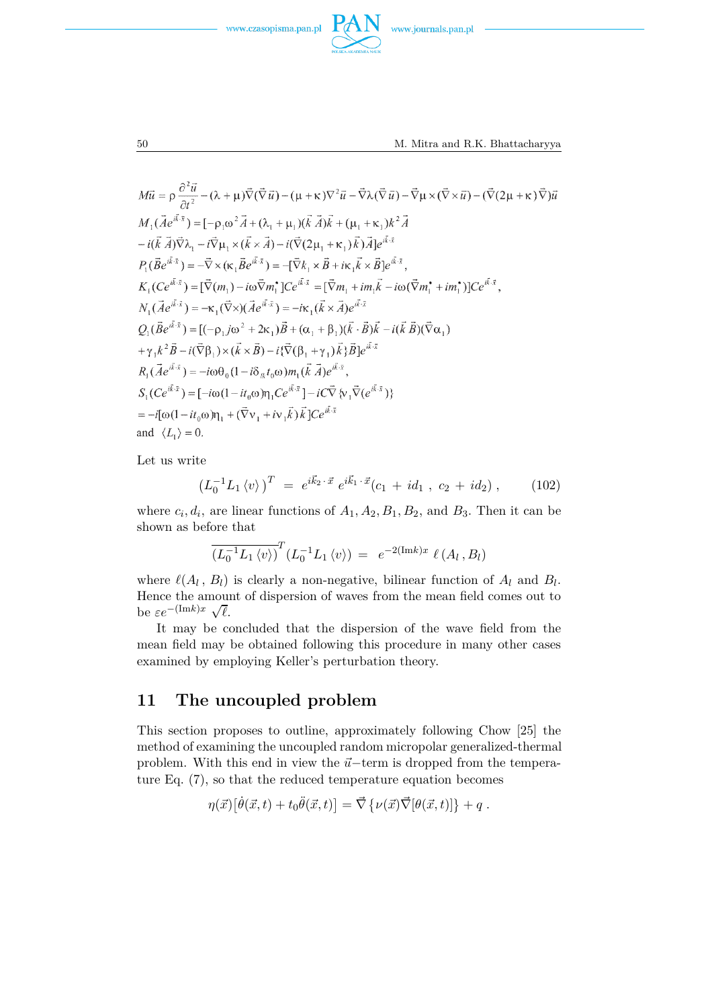



$$
M\vec{u} = \rho \frac{\partial^2 \vec{u}}{\partial t^2} - (\lambda + \mu)\vec{\nabla}(\vec{\nabla}\vec{u}) - (\mu + \kappa)\nabla^2 \vec{u} - \vec{\nabla}\lambda(\vec{\nabla}\vec{u}) - \vec{\nabla}\mu \times (\vec{\nabla}\times\vec{u}) - (\vec{\nabla}(2\mu + \kappa)\vec{\nabla})\vec{u}
$$
  
\n
$$
M_1(\vec{A}e^{i\vec{k}\cdot\vec{x}}) = [-\rho_1\omega^2 \vec{A} + (\lambda_1 + \mu_1)(\vec{k}\vec{A})\vec{k} + (\mu_1 + \kappa_1)k^2 \vec{A}
$$
  
\n
$$
-i(\vec{k}\vec{A})\vec{\nabla}\lambda_1 - i\vec{\nabla}\mu_1 \times (\vec{k}\times\vec{A}) - i(\vec{\nabla}(2\mu_1 + \kappa_1)\vec{k})\vec{A}]e^{i\vec{k}\cdot\vec{x}}
$$
  
\n
$$
P_1(\vec{B}e^{i\vec{k}\cdot\vec{x}}) = -\vec{\nabla}\times(\kappa_1\vec{B}e^{i\vec{k}\cdot\vec{x}}) = -[\vec{\nabla}k_1 \times \vec{B} + i\kappa_1\vec{k} \times \vec{B}]e^{i\vec{k}\cdot\vec{x}},
$$
  
\n
$$
K_1(Ce^{i\vec{k}\cdot\vec{x}}) = [\vec{\nabla}(m_1) - i\omega \vec{\nabla}m_1^*]Ce^{i\vec{k}\cdot\vec{x}} = [\vec{\nabla}m_1 + im_1\vec{k} - i\omega(\vec{\nabla}m_1^* + im_1^*)]Ce^{i\vec{k}\cdot\vec{x}},
$$
  
\n
$$
Q_1(\vec{B}e^{i\vec{k}\cdot\vec{x}}) = -\kappa_1(\vec{\nabla}\times)(\vec{A}e^{i\vec{k}\cdot\vec{x}}) = -i\kappa_1(\vec{k}\times\vec{A})e^{i\vec{k}\cdot\vec{x}}
$$
  
\n
$$
Q_1(\vec{B}e^{i\vec{k}\cdot\vec{x}}) = [(-\rho_1j\omega^2 + 2\kappa_1)\vec{B} + (\alpha_1 + \beta_1)(\vec{k}\cdot\vec{B})\vec{k} - i(\vec{k}\vec{B})(\vec{\nabla}\
$$

Let us write

$$
\left(L_0^{-1}L_1\langle v\rangle\right)^T = e^{i\vec{k}_2 \cdot \vec{x}} e^{i\vec{k}_1 \cdot \vec{x}} (c_1 + id_1, c_2 + id_2), \qquad (102)
$$

where  $c_i, d_i$ , are linear functions of  $A_1, A_2, B_1, B_2$ , and  $B_3$ . Then it can be shown as before that

$$
\overline{(L_0^{-1}L_1 \langle v \rangle)}^T (L_0^{-1}L_1 \langle v \rangle) = e^{-2(\text{Im}k)x} \ell(A_l, B_l)
$$

where  $\ell(A_l, B_l)$  is clearly a non-negative, bilinear function of  $A_l$  and  $B_l$ . Hence the amount of dispersion of waves from the mean field comes out to be  $\varepsilon e^{-(\text{Im}k)x} \sqrt{\ell}$ .

It may be concluded that the dispersion of the wave field from the mean field may be obtained following this procedure in many other cases examined by employing Keller's perturbation theory.

### **11 The uncoupled problem**

This section proposes to outline, approximately following Chow [25] the method of examining the uncoupled random micropolar generalized-thermal problem. With this end in view the  $\vec{u}$ −term is dropped from the temperature Eq. (7), so that the reduced temperature equation becomes

$$
\eta(\vec{x})\big[\dot{\theta}(\vec{x},t)+t_0\ddot{\theta}(\vec{x},t)\big]=\vec{\nabla}\left\{\nu(\vec{x})\vec{\nabla}[\theta(\vec{x},t)]\right\}+q.
$$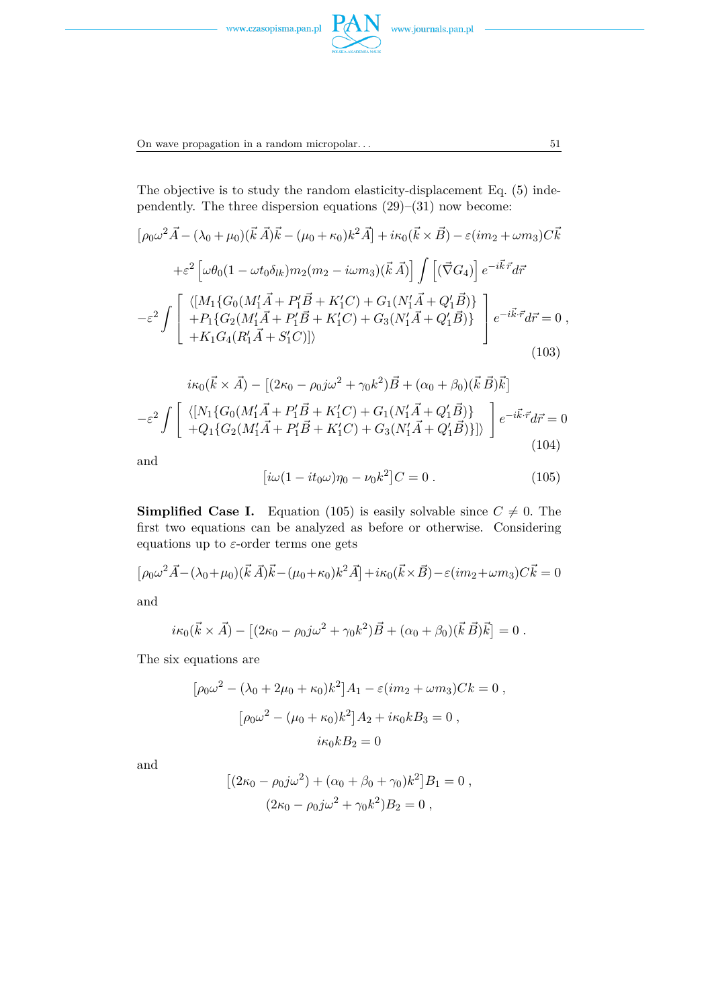



The objective is to study the random elasticity-displacement Eq. (5) independently. The three dispersion equations (29)–(31) now become:

**PAN** 

$$
[\rho_0 \omega^2 \vec{A} - (\lambda_0 + \mu_0)(\vec{k} \vec{A})\vec{k} - (\mu_0 + \kappa_0)k^2 \vec{A}] + i\kappa_0(\vec{k} \times \vec{B}) - \varepsilon (im_2 + \omega m_3)C\vec{k}
$$
  
+ $\varepsilon^2 \left[ \omega \theta_0 (1 - \omega t_0 \delta_{lk}) m_2 (m_2 - i\omega m_3)(\vec{k} \vec{A}) \right] \int \left[ (\vec{\nabla} G_4) \right] e^{-i\vec{k}\cdot\vec{r}} d\vec{r}$   
- $\varepsilon^2 \int \left[ \begin{array}{cc} \langle [M_1 \{ G_0 (M'_1 \vec{A} + P'_1 \vec{B} + K'_1 C) + G_1 (N'_1 \vec{A} + Q'_1 \vec{B}) \} \\ + P_1 \{ G_2 (M'_1 \vec{A} + P'_1 \vec{B} + K'_1 C) + G_3 (N'_1 \vec{A} + Q'_1 \vec{B}) \} \\ + K_1 G_4 (R'_1 \vec{A} + S'_1 C)] \rangle \end{array} \right] e^{-i\vec{k}\cdot\vec{r}} d\vec{r} = 0 ,$   
(103)

$$
i\kappa_0(\vec{k} \times \vec{A}) - [(2\kappa_0 - \rho_0 j\omega^2 + \gamma_0 k^2)\vec{B} + (\alpha_0 + \beta_0)(\vec{k}\vec{B})\vec{k}]
$$
  

$$
-\varepsilon^2 \int \left[ \begin{array}{cc} \langle [N_1\{G_0(M_1'\vec{A} + P_1'\vec{B} + K_1'C) + G_1(N_1'\vec{A} + Q_1'\vec{B})\} \\ + Q_1\{G_2(M_1'\vec{A} + P_1'\vec{B} + K_1'C) + G_3(N_1'\vec{A} + Q_1'\vec{B})\}] \end{array} \right] e^{-i\vec{k}\cdot\vec{r}} d\vec{r} = 0
$$
  
(104)

and

$$
[i\omega(1 - it_0\omega)\eta_0 - \nu_0 k^2]C = 0.
$$
 (105)

**Simplified Case I.** Equation (105) is easily solvable since  $C \neq 0$ . The first two equations can be analyzed as before or otherwise. Considering equations up to *ε*-order terms one gets

$$
\left[\rho_0 \omega^2 \vec{A} - (\lambda_0 + \mu_0)(\vec{k} \vec{A})\vec{k} - (\mu_0 + \kappa_0)\vec{k}^2 \vec{A}\right] + i\kappa_0(\vec{k} \times \vec{B}) - \varepsilon(im_2 + \omega m_3)C\vec{k} = 0
$$

and

$$
i\kappa_0(\vec{k}\times\vec{A}) - [(2\kappa_0 - \rho_0 j\omega^2 + \gamma_0 k^2)\vec{B} + (\alpha_0 + \beta_0)(\vec{k}\,\vec{B})\vec{k}] = 0.
$$

The six equations are

$$
[\rho_0 \omega^2 - (\lambda_0 + 2\mu_0 + \kappa_0)k^2] A_1 - \varepsilon (im_2 + \omega m_3)Ck = 0,
$$
  

$$
[\rho_0 \omega^2 - (\mu_0 + \kappa_0)k^2] A_2 + i\kappa_0 k B_3 = 0,
$$
  

$$
i\kappa_0 k B_2 = 0
$$

and

$$
[(2\kappa_0 - \rho_0 j \omega^2) + (\alpha_0 + \beta_0 + \gamma_0)k^2]B_1 = 0,
$$
  

$$
(2\kappa_0 - \rho_0 j \omega^2 + \gamma_0 k^2)B_2 = 0,
$$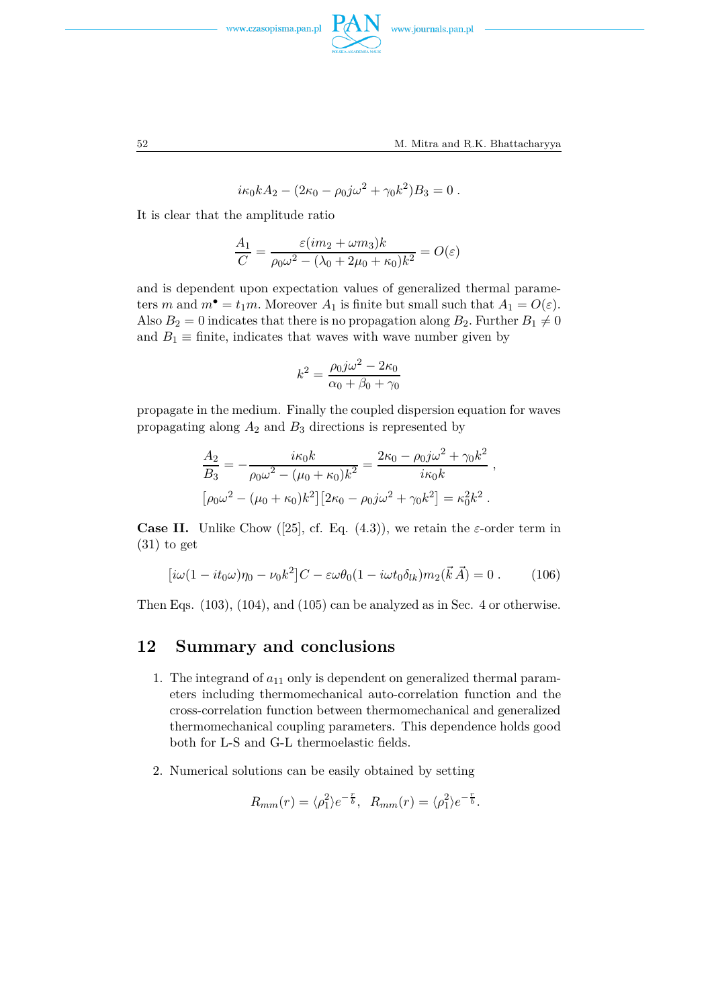



$$
i\kappa_0 k A_2 - (2\kappa_0 - \rho_0 j \omega^2 + \gamma_0 k^2) B_3 = 0.
$$

It is clear that the amplitude ratio

$$
\frac{A_1}{C} = \frac{\varepsilon (im_2 + \omega m_3)k}{\rho_0 \omega^2 - (\lambda_0 + 2\mu_0 + \kappa_0)k^2} = O(\varepsilon)
$$

and is dependent upon expectation values of generalized thermal parameters *m* and  $m^{\bullet} = t_1 m$ . Moreover  $A_1$  is finite but small such that  $A_1 = O(\varepsilon)$ . Also  $B_2 = 0$  indicates that there is no propagation along  $B_2$ . Further  $B_1 \neq 0$ and  $B_1 \equiv$  finite, indicates that waves with wave number given by

$$
k^2 = \frac{\rho_0 j \omega^2 - 2\kappa_0}{\alpha_0 + \beta_0 + \gamma_0}
$$

propagate in the medium. Finally the coupled dispersion equation for waves propagating along *A*<sup>2</sup> and *B*<sup>3</sup> directions is represented by

$$
\frac{A_2}{B_3} = -\frac{i\kappa_0 k}{\rho_0 \omega^2 - (\mu_0 + \kappa_0)k^2} = \frac{2\kappa_0 - \rho_0 j \omega^2 + \gamma_0 k^2}{i\kappa_0 k} ,
$$
  

$$
[\rho_0 \omega^2 - (\mu_0 + \kappa_0)k^2][2\kappa_0 - \rho_0 j \omega^2 + \gamma_0 k^2] = \kappa_0^2 k^2 .
$$

**Case II.** Unlike Chow ([25], cf. Eq.  $(4.3)$ ), we retain the *ε*-order term in  $(31)$  to get

$$
[i\omega(1 - it_0\omega)\eta_0 - \nu_0 k^2]C - \varepsilon\omega\theta_0(1 - i\omega t_0 \delta_{lk})m_2(\vec{k}\vec{A}) = 0.
$$
 (106)

Then Eqs. (103), (104), and (105) can be analyzed as in Sec. 4 or otherwise.

#### **12 Summary and conclusions**

- 1. The integrand of  $a_{11}$  only is dependent on generalized thermal parameters including thermomechanical auto-correlation function and the cross-correlation function between thermomechanical and generalized thermomechanical coupling parameters. This dependence holds good both for L-S and G-L thermoelastic fields.
- 2. Numerical solutions can be easily obtained by setting

$$
R_{mm}(r) = \langle \rho_1^2 \rangle e^{-\frac{r}{b}}, \ R_{mm}(r) = \langle \rho_1^2 \rangle e^{-\frac{r}{b}}.
$$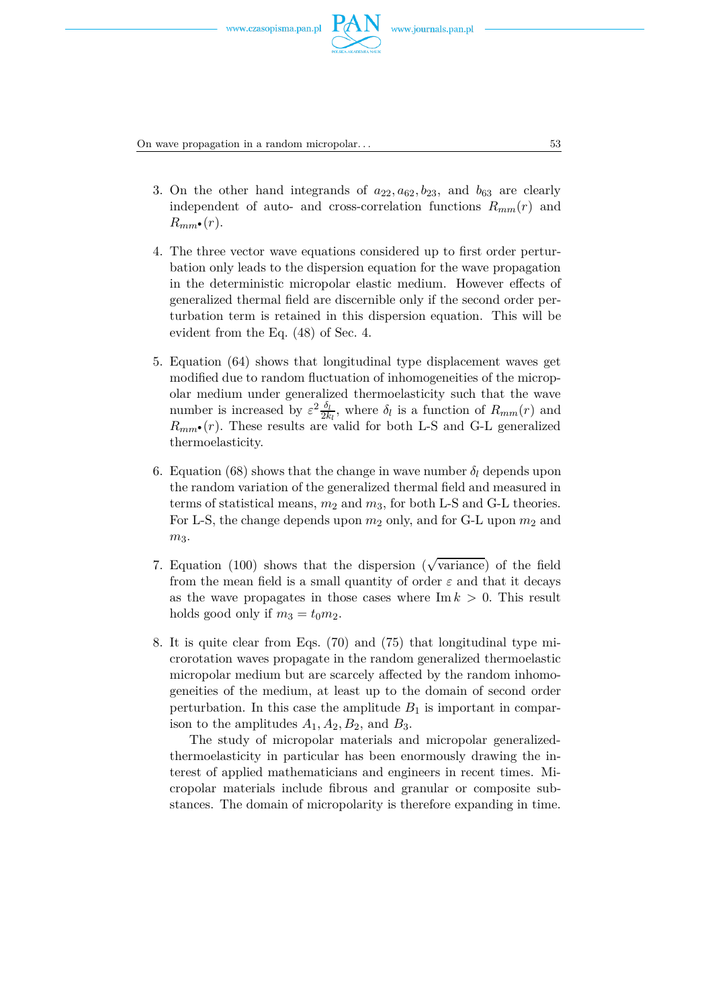

On wave propagation in a random micropolar. . . 53

- 3. On the other hand integrands of  $a_{22}, a_{62}, b_{23}$ , and  $b_{63}$  are clearly independent of auto- and cross-correlation functions  $R_{mm}(r)$  and  $R_{mm}$ · $(r)$ *.*
- 4. The three vector wave equations considered up to first order perturbation only leads to the dispersion equation for the wave propagation in the deterministic micropolar elastic medium. However effects of generalized thermal field are discernible only if the second order perturbation term is retained in this dispersion equation. This will be evident from the Eq. (48) of Sec. 4.
- 5. Equation (64) shows that longitudinal type displacement waves get modified due to random fluctuation of inhomogeneities of the micropolar medium under generalized thermoelasticity such that the wave number is increased by  $\varepsilon^2 \frac{\delta_l}{2k}$  $\frac{\partial_l}{\partial k_l}$ , where  $\delta_l$  is a function of  $R_{mm}(r)$  and  $R_{mm}$ •(*r*). These results are valid for both L-S and G-L generalized thermoelasticity.
- 6. Equation (68) shows that the change in wave number  $\delta_l$  depends upon the random variation of the generalized thermal field and measured in terms of statistical means, *m*<sup>2</sup> and *m*3, for both L-S and G-L theories. For L-S, the change depends upon  $m_2$  only, and for G-L upon  $m_2$  and  $m<sub>3</sub>$ .
- 7. Equation (100) shows that the dispersion ( $\sqrt{\text{variance}}$ ) of the field from the mean field is a small quantity of order  $\varepsilon$  and that it decays as the wave propagates in those cases where  $\text{Im } k > 0$ . This result holds good only if  $m_3 = t_0 m_2$ .
- 8. It is quite clear from Eqs. (70) and (75) that longitudinal type microrotation waves propagate in the random generalized thermoelastic micropolar medium but are scarcely affected by the random inhomogeneities of the medium, at least up to the domain of second order perturbation. In this case the amplitude  $B_1$  is important in comparison to the amplitudes  $A_1, A_2, B_2$ , and  $B_3$ .

The study of micropolar materials and micropolar generalizedthermoelasticity in particular has been enormously drawing the interest of applied mathematicians and engineers in recent times. Micropolar materials include fibrous and granular or composite substances. The domain of micropolarity is therefore expanding in time.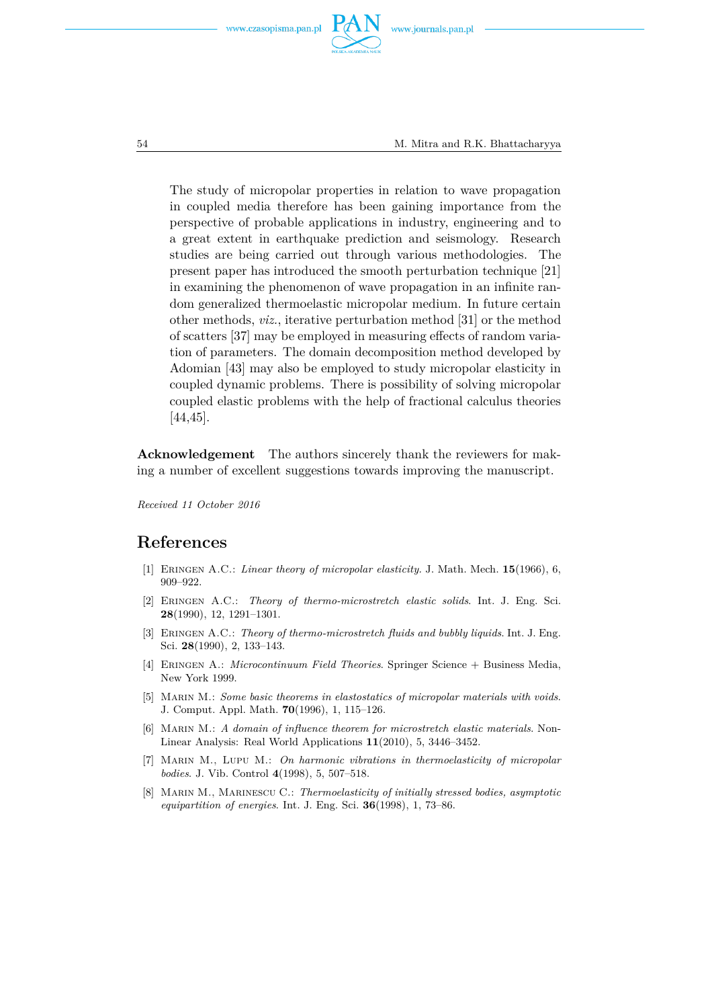





The study of micropolar properties in relation to wave propagation in coupled media therefore has been gaining importance from the perspective of probable applications in industry, engineering and to a great extent in earthquake prediction and seismology. Research studies are being carried out through various methodologies. The present paper has introduced the smooth perturbation technique [21] in examining the phenomenon of wave propagation in an infinite random generalized thermoelastic micropolar medium. In future certain other methods, *viz.*, iterative perturbation method [31] or the method of scatters [37] may be employed in measuring effects of random variation of parameters. The domain decomposition method developed by Adomian [43] may also be employed to study micropolar elasticity in coupled dynamic problems. There is possibility of solving micropolar coupled elastic problems with the help of fractional calculus theories [44,45].

**Acknowledgement** The authors sincerely thank the reviewers for making a number of excellent suggestions towards improving the manuscript.

*Received 11 October 2016*

### **References**

- [1] Eringen A.C.: *Linear theory of micropolar elasticity.* J. Math. Mech. **15**(1966), 6, 909–922.
- [2] Eringen A.C.: *Theory of thermo-microstretch elastic solids*. Int. J. Eng. Sci. **28**(1990), 12, 1291–1301.
- [3] Eringen A.C.: *Theory of thermo-microstretch fluids and bubbly liquids*. Int. J. Eng. Sci. **28**(1990), 2, 133–143.
- [4] Eringen A.: *Microcontinuum Field Theories*. Springer Science + Business Media, New York 1999.
- [5] Marin M.: *Some basic theorems in elastostatics of micropolar materials with voids*. J. Comput. Appl. Math. **70**(1996), 1, 115–126.
- [6] Marin M.: *A domain of influence theorem for microstretch elastic materials*. Non-Linear Analysis: Real World Applications **11**(2010), 5, 3446–3452.
- [7] Marin M., Lupu M.: *On harmonic vibrations in thermoelasticity of micropolar bodies*. J. Vib. Control **4**(1998), 5, 507–518.
- [8] Marin M., Marinescu C.: *Thermoelasticity of initially stressed bodies, asymptotic equipartition of energies*. Int. J. Eng. Sci. **36**(1998), 1, 73–86.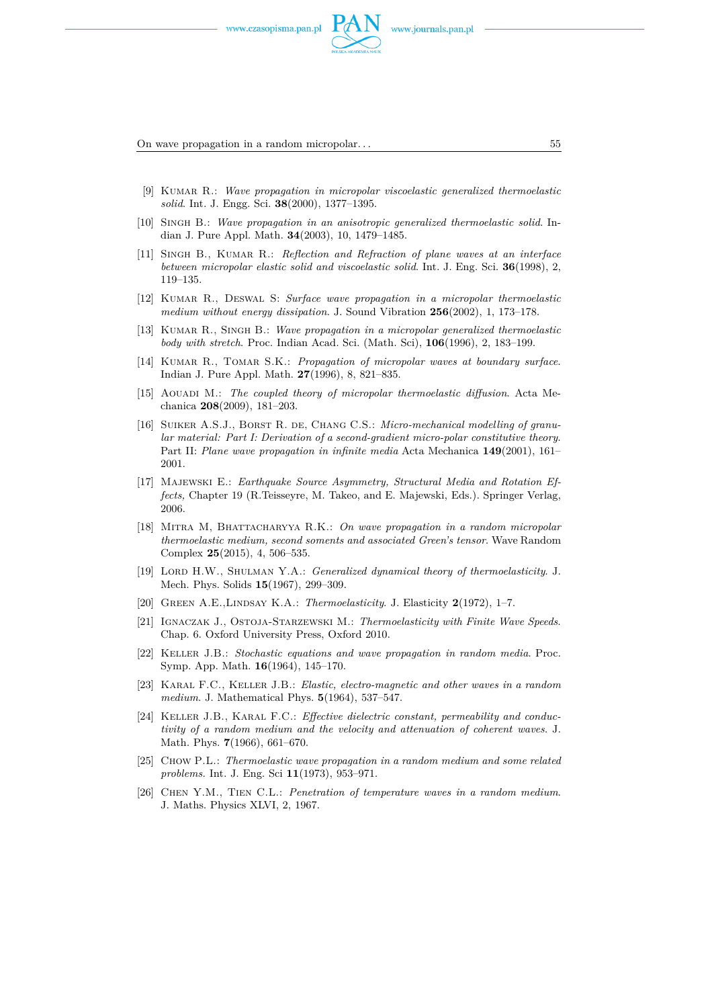

On wave propagation in a random micropolar. . . 55

- [9] Kumar R.: *Wave propagation in micropolar viscoelastic generalized thermoelastic solid*. Int. J. Engg. Sci. **38**(2000), 1377–1395.
- [10] Singh B.: *Wave propagation in an anisotropic generalized thermoelastic solid*. Indian J. Pure Appl. Math. **34**(2003), 10, 1479–1485.
- [11] SINGH B., KUMAR R.: *Reflection and Refraction of plane waves at an interface between micropolar elastic solid and viscoelastic solid*. Int. J. Eng. Sci. **36**(1998), 2, 119–135.
- [12] Kumar R., Deswal S: *Surface wave propagation in a micropolar thermoelastic medium without energy dissipation*. J. Sound Vibration **256**(2002), 1, 173–178.
- [13] Kumar R., Singh B.: *Wave propagation in a micropolar generalized thermoelastic body with stretch*. Proc. Indian Acad. Sci. (Math. Sci), **106**(1996), 2, 183–199.
- [14] Kumar R., Tomar S.K.: *Propagation of micropolar waves at boundary surface*. Indian J. Pure Appl. Math. **27**(1996), 8, 821–835.
- [15] Aouadi M.: *The coupled theory of micropolar thermoelastic diffusion*. Acta Mechanica **208**(2009), 181–203.
- [16] SUIKER A.S.J., BORST R. DE, CHANG C.S.: *Micro-mechanical modelling of granular material: Part I: Derivation of a second-gradient micro-polar constitutive theory*. Part II: *Plane wave propagation in infinite media* Acta Mechanica **149**(2001), 161– 2001.
- [17] Majewski E.: *Earthquake Source Asymmetry, Structural Media and Rotation Effects,* Chapter 19 (R.Teisseyre, M. Takeo, and E. Majewski, Eds.). Springer Verlag, 2006.
- [18] Mitra M, Bhattacharyya R.K.: *On wave propagation in a random micropolar thermoelastic medium, second soments and associated Green's tensor*. Wave Random Complex **25**(2015), 4, 506–535.
- [19] Lord H.W., Shulman Y.A.: *Generalized dynamical theory of thermoelasticity*. J. Mech. Phys. Solids **15**(1967), 299–309.
- [20] Green A.E.,Lindsay K.A.: *Thermoelasticity*. J. Elasticity **2**(1972), 1–7.
- [21] Ignaczak J., Ostoja-Starzewski M.: *Thermoelasticity with Finite Wave Speeds*. Chap. 6. Oxford University Press, Oxford 2010.
- [22] Keller J.B.: *Stochastic equations and wave propagation in random media*. Proc. Symp. App. Math. **16**(1964), 145–170.
- [23] Karal F.C., Keller J.B.: *Elastic, electro-magnetic and other waves in a random medium*. J. Mathematical Phys. **5**(1964), 537–547.
- [24] Keller J.B., Karal F.C.: *Effective dielectric constant, permeability and conductivity of a random medium and the velocity and attenuation of coherent waves*. J. Math. Phys. **7**(1966), 661–670.
- [25] Chow P.L.: *Thermoelastic wave propagation in a random medium and some related problems.* Int. J. Eng. Sci **11**(1973), 953–971.
- [26] Chen Y.M., Tien C.L.: *Penetration of temperature waves in a random medium*. J. Maths. Physics XLVI, 2, 1967.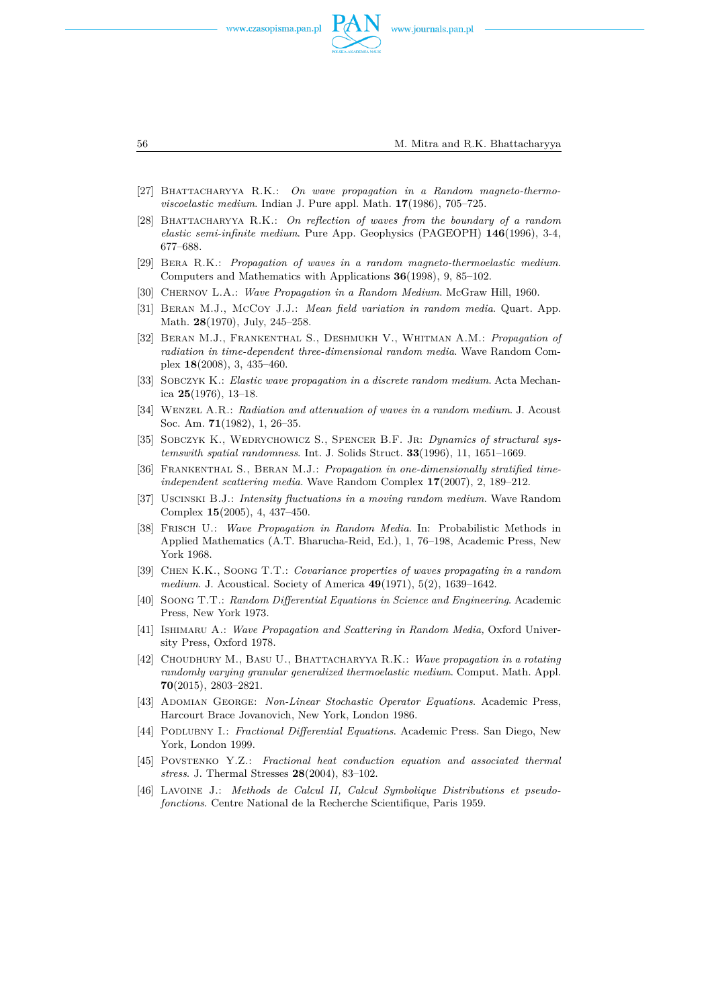



- [27] Bhattacharyya R.K.: *On wave propagation in a Random magneto-thermoviscoelastic medium*. Indian J. Pure appl. Math. **17**(1986), 705–725.
- [28] Bhattacharyya R.K.: *On reflection of waves from the boundary of a random elastic semi-infinite medium*. Pure App. Geophysics (PAGEOPH) **146**(1996), 3-4, 677–688.
- [29] Bera R.K.: *Propagation of waves in a random magneto-thermoelastic medium*. Computers and Mathematics with Applications **36**(1998), 9, 85–102.
- [30] Chernov L.A.: *Wave Propagation in a Random Medium*. McGraw Hill, 1960.
- [31] Beran M.J., McCoy J.J.: *Mean field variation in random media*. Quart. App. Math. **28**(1970), July, 245–258.
- [32] Beran M.J., Frankenthal S., Deshmukh V., Whitman A.M.: *Propagation of radiation in time-dependent three-dimensional random media*. Wave Random Complex **18**(2008), 3, 435–460.
- [33] Sobczyk K.: *Elastic wave propagation in a discrete random medium*. Acta Mechanica **25**(1976), 13–18.
- [34] Wenzel A.R.: *Radiation and attenuation of waves in a random medium*. J. Acoust Soc. Am. **71**(1982), 1, 26–35.
- [35] Sobczyk K., Wedrychowicz S., Spencer B.F. Jr: *Dynamics of structural systemswith spatial randomness*. Int. J. Solids Struct. **33**(1996), 11, 1651–1669.
- [36] Frankenthal S., Beran M.J.: *Propagation in one-dimensionally stratified timeindependent scattering media*. Wave Random Complex **17**(2007), 2, 189–212.
- [37] Uscinski B.J.: *Intensity fluctuations in a moving random medium*. Wave Random Complex **15**(2005), 4, 437–450.
- [38] Frisch U.: *Wave Propagation in Random Media*. In: Probabilistic Methods in Applied Mathematics (A.T. Bharucha-Reid, Ed.), 1, 76–198, Academic Press, New York 1968.
- [39] Chen K.K., Soong T.T.: *Covariance properties of waves propagating in a random medium*. J. Acoustical. Society of America **49**(1971), 5(2), 1639–1642.
- [40] Soong T.T.: *Random Differential Equations in Science and Engineering*. Academic Press, New York 1973.
- [41] Ishimaru A.: *Wave Propagation and Scattering in Random Media,* Oxford University Press, Oxford 1978.
- [42] Choudhury M., Basu U., Bhattacharyya R.K.: *Wave propagation in a rotating randomly varying granular generalized thermoelastic medium*. Comput. Math. Appl. **70**(2015), 2803–2821.
- [43] Adomian George: *Non-Linear Stochastic Operator Equations*. Academic Press, Harcourt Brace Jovanovich, New York, London 1986.
- [44] Podlubny I.: *Fractional Differential Equations*. Academic Press. San Diego, New York, London 1999.
- [45] Povstenko Y.Z.: *Fractional heat conduction equation and associated thermal stress*. J. Thermal Stresses **28**(2004), 83–102.
- [46] Lavoine J.: *Methods de Calcul II, Calcul Symbolique Distributions et pseudofonctions*. Centre National de la Recherche Scientifique, Paris 1959.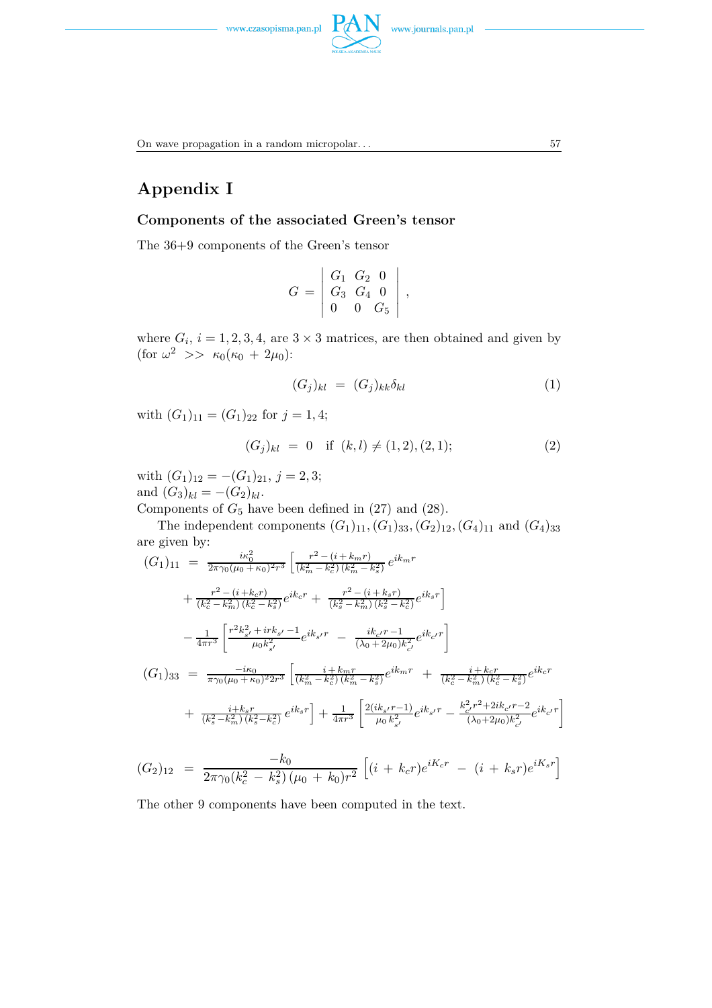

On wave propagation in a random micropolar. . .  $57$ 

# **Appendix I**

#### **Components of the associated Green's tensor**

The 36+9 components of the Green's tensor

$$
G = \left| \begin{array}{ccc} G_1 & G_2 & 0 \\ G_3 & G_4 & 0 \\ 0 & 0 & G_5 \end{array} \right|,
$$

where  $G_i$ ,  $i = 1, 2, 3, 4$ , are  $3 \times 3$  matrices, are then obtained and given by  $(\text{for } \omega^2 \ \>> \ \kappa_0(\kappa_0 + 2\mu_0))$ :

$$
(G_j)_{kl} = (G_j)_{kk} \delta_{kl} \tag{1}
$$

with  $(G_1)_{11} = (G_1)_{22}$  for  $j = 1, 4$ ;

$$
(G_j)_{kl} = 0 \quad \text{if } (k,l) \neq (1,2), (2,1); \tag{2}
$$

with  $(G_1)_{12} = -(G_1)_{21}, j = 2, 3;$ and  $(G_3)_{kl} = -(G_2)_{kl}$ .

Components of  $G_5$  have been defined in  $(27)$  and  $(28)$ .

The independent components  $(G_1)_{11}, (G_1)_{33}, (G_2)_{12}, (G_4)_{11}$  and  $(G_4)_{33}$ are given by:

$$
(G_1)_{11} = \frac{i\kappa_0^2}{2\pi\gamma_0(\mu_0 + \kappa_0)^2 r^3} \left[ \frac{r^2 - (i + k_m r)}{(k_m^2 - k_c^2)(k_m^2 - k_s^2)} e^{ik_m r} + \frac{r^2 - (i + k_s r)}{(k_c^2 - k_m^2)(k_c^2 - k_s^2)} e^{ik_c r} + \frac{r^2 - (i + k_s r)}{(k_s^2 - k_m^2)(k_s^2 - k_c^2)} e^{ik_s r} \right]
$$
  

$$
- \frac{1}{4\pi r^3} \left[ \frac{r^2 k_{s'}^2 + ir k_{s'} - 1}{\mu_0 k_{s'}^2} e^{ik_{s'} r} - \frac{ik_{c'} r - 1}{(\lambda_0 + 2\mu_0)k_{c'}^2} e^{ik_{c'} r} \right]
$$
  

$$
(G_1)_{33} = \frac{-i\kappa_0}{\pi\gamma_0(\mu_0 + \kappa_0)^2 2r^3} \left[ \frac{i + k_m r}{(k_m^2 - k_c^2)(k_m^2 - k_s^2)} e^{ik_m r} + \frac{i + k_c r}{(k_c^2 - k_m^2)(k_c^2 - k_s^2)} e^{ik_c r} + \frac{i + k_s r}{(k_s^2 - k_m^2)(k_s^2 - k_c^2)} e^{ik_s r} \right] + \frac{1}{4\pi r^3} \left[ \frac{2(ik_{s'} r - 1)}{\mu_0 k_{s'}^2} e^{ik_s r} - \frac{k_{c'}^2 r^2 + 2ik_{c'} r - 2}{(\lambda_0 + 2\mu_0)k_{c'}^2} e^{ik_c r} \right]
$$

$$
(G_2)_{12} = \frac{-k_0}{2\pi\gamma_0(k_c^2 - k_s^2)(\mu_0 + k_0)r^2} \left[ (i + k_c r)e^{iK_c r} - (i + k_s r)e^{iK_s r} \right]
$$

The other 9 components have been computed in the text.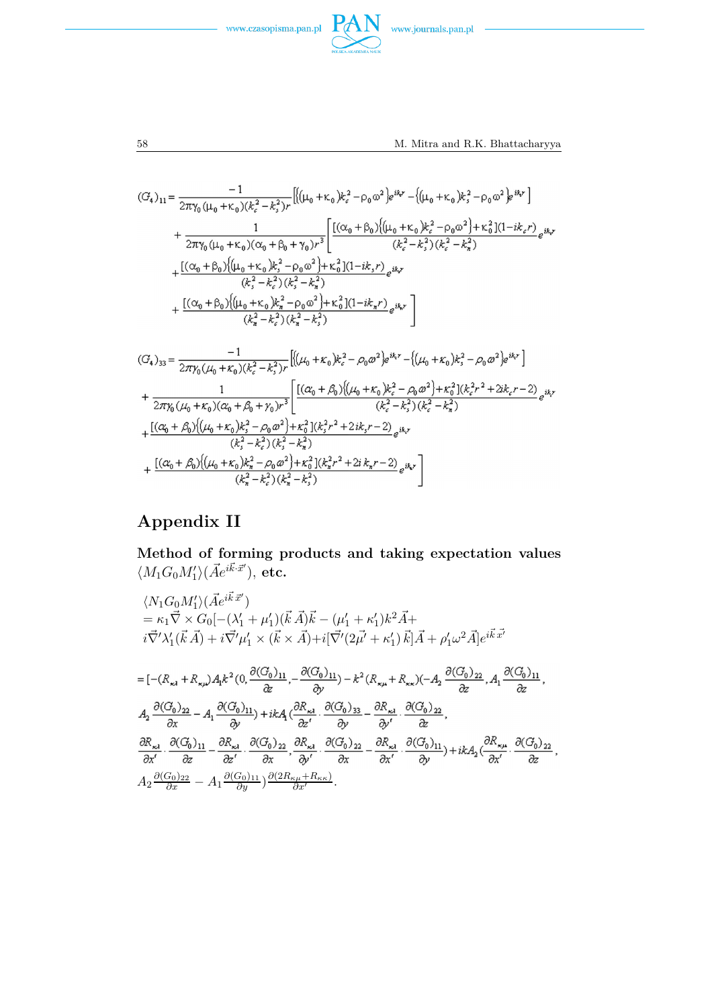



<u>and the state</u>

58 M. Mitra and R.K. Bhattacharyya

$$
(G_{4})_{11} = \frac{-1}{2\pi\gamma_{0}(\mu_{0} + \kappa_{0})(k_{c}^{2} - k_{s}^{2})r} \left[ \left( (\mu_{0} + \kappa_{0})k_{c}^{2} - \rho_{0}\omega^{2} \right) e^{ikx} - \left( (\mu_{0} + \kappa_{0})k_{s}^{2} - \rho_{0}\omega^{2} \right) e^{ikx} \right] + \frac{1}{2\pi\gamma_{0}(\mu_{0} + \kappa_{0})(\alpha_{0} + \beta_{0} + \gamma_{0})r^{3}} \left[ \frac{\left[ (\alpha_{0} + \beta_{0}) \left( (\mu_{0} + \kappa_{0})k_{c}^{2} - \rho_{0}\omega^{2} \right) + \kappa_{0}^{2} \right] (1 - i k_{c}r)}{k_{c}^{2} - k_{s}^{2} \right) (k_{c}^{2} - k_{s}^{2})} + \frac{\left[ (\alpha_{0} + \beta_{0}) \left( (\mu_{0} + \kappa_{0})k_{s}^{2} - \rho_{0}\omega^{2} \right) + \kappa_{0}^{2} \right] (1 - i k_{s}r)}{k_{s}^{2} - k_{c}^{2} \right) (k_{s}^{2} - k_{s}^{2})} + \frac{\left[ (\alpha_{0} + \beta_{0}) \left( (\mu_{0} + \kappa_{0})k_{s}^{2} - \rho_{0}\omega^{2} \right) + \kappa_{0}^{2} \right] (1 - i k_{s}r)}{k_{s}^{2} - k_{s}^{2} \right)} + \frac{\left[ (\alpha_{0} + \beta_{0}) \left( (\mu_{0} + \kappa_{0})k_{s}^{2} - \rho_{0}\omega^{2} \right) + \kappa_{0}^{2} \right] (1 - i k_{s}r)}{k_{s}^{2} - k_{s}^{2} \right) (k_{s}^{2} - k_{s}^{2})} \left[ \left( (\mu_{0} + \kappa_{0})k_{c}^{2} - \rho_{0}\omega^{2} \right) e^{ikx} - \left( (\mu_{0} + \kappa_{0})k_{s}^{2} - \rho_{0}\omega^{2} \right) e^{ikx} \right] + \frac{1}{2\pi\gamma_{0}(\mu_{0} + \kappa_{0})(\alpha_{0} + \beta_{0} + \gamma_{0})r^{3}} \left[ \frac{\left[ (\
$$

# **Appendix II**

**Method of forming products and taking expectation values**  $\langle M_1G_0M'_1\rangle(\vec{A}e^{i\vec{k}\cdot\vec{x}'})$ , etc.

$$
\langle N_1G_0M'_1\rangle(\vec{A}e^{i\vec{k}\cdot\vec{x}'})
$$
\n
$$
= \kappa_1 \vec{\nabla} \times G_0[-(\lambda'_1 + \mu'_1)(\vec{k}\cdot\vec{A})\vec{k} - (\mu'_1 + \kappa'_1)k^2\vec{A} + i\vec{\nabla}'\lambda'_1(\vec{k}\cdot\vec{A}) + i\vec{\nabla}'\mu'_1 \times (\vec{k} \times \vec{A}) + i[\vec{\nabla}'(2\vec{\mu'} + \kappa'_1)\vec{k}]\vec{A} + \rho'_1\omega^2\vec{A}]e^{i\vec{k}\cdot\vec{x'}}
$$
\n
$$
= [-(\mathcal{R}_{\kappa_1} + \mathcal{R}_{\kappa\mu})A_1k^2(0, \frac{\partial(G_0)_{11}}{\partial z}, -\frac{\partial(G_0)_{11}}{\partial y}) - k^2(\mathcal{R}_{\kappa\mu} + \mathcal{R}_{\kappa\kappa})(-A_2\frac{\partial(G_0)_{22}}{\partial z}, A_1\frac{\partial(G_0)_{11}}{\partial z}, A_2\frac{\partial(G_0)_{22}}{\partial x} - A_1\frac{\partial(G_0)_{11}}{\partial y}) + ikA_1(\frac{\partial \mathcal{R}_{\kappa_1}}{\partial z'}, \frac{\partial(G_0)_{33}}{\partial y} - \frac{\partial \mathcal{R}_{\kappa_1}}{\partial y'} \cdot \frac{\partial(G_0)_{22}}{\partial z}, A_3\frac{\partial(\mathcal{R}_{\kappa_2})}{\partial z}, \frac{\partial(\mathcal{R}_{\kappa_3})}{\partial z'} - \frac{\partial(\mathcal{R}_{\kappa_4})}{\partial z}, \frac{\partial(\mathcal{R}_{\kappa_5})}{\partial y} - \frac{\partial(\mathcal{R}_{\kappa_6})}{\partial z} - \frac{\partial(\mathcal{R}_{\kappa_7})}{\partial z}, \frac{\partial(\mathcal{R}_{\kappa_8})}{\partial y} + ikA_2(\frac{\partial \mathcal{R}_{\kappa_9}}{\partial x'}, \frac{\partial(G_0)_{22}}{\partial x}, A_2\frac{\partial(G_0)_{22}}{\partial x'} - A_1\frac{\partial(G_0)_{11}}{\partial y})\frac{\partial(2\mathcal{R}_{\kappa\mu} + \mathcal{R}_{\kappa\kappa})}{\partial x'}.
$$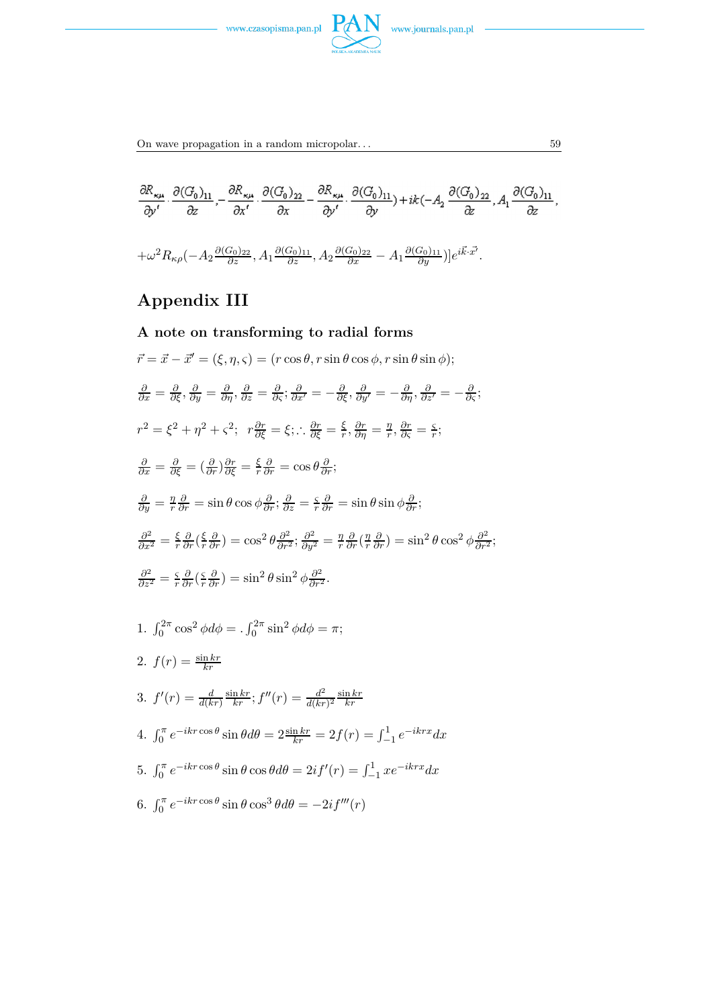



$$
\begin{split} &\frac{\partial R_{\kappa\mu}}{\partial y'}\cdot\frac{\partial (G_0)_{11}}{\partial z},-\frac{\partial R_{\kappa\mu}}{\partial x'}\cdot\frac{\partial (G_0)_{22}}{\partial x}-\frac{\partial R_{\kappa\mu}}{\partial y'}\cdot\frac{\partial (G_0)_{11}}{\partial y})+ik(-A_2\,\frac{\partial (G_0)_{22}}{\partial z},A_1\frac{\partial (G_0)_{11}}{\partial z},\\ &+\omega^2R_{\kappa\rho}(-A_2\frac{\partial (G_0)_{22}}{\partial z},A_1\frac{\partial (G_0)_{11}}{\partial z},A_2\frac{\partial (G_0)_{22}}{\partial x}-A_1\frac{\partial (G_0)_{11}}{\partial y})]e^{i\vec{k}\cdot\vec{x'}}. \end{split}
$$

# **Appendix III**

A note on transforming to radial forms  
\n
$$
\vec{r} = \vec{x} - \vec{x}' = (\xi, \eta, \zeta) = (r \cos \theta, r \sin \theta \cos \phi, r \sin \theta \sin \phi);
$$
\n
$$
\frac{\partial}{\partial x} = \frac{\partial}{\partial \zeta}, \frac{\partial}{\partial y} = \frac{\partial}{\partial \eta}, \frac{\partial}{\partial z} = \frac{\partial}{\partial \zeta}; \frac{\partial}{\partial x'} = -\frac{\partial}{\partial \zeta}, \frac{\partial}{\partial y'} = -\frac{\partial}{\partial \eta}, \frac{\partial}{\partial z'} = -\frac{\partial}{\partial \zeta};
$$
\n
$$
r^2 = \xi^2 + \eta^2 + \zeta^2; \quad r \frac{\partial r}{\partial \zeta} = \xi; \therefore \frac{\partial r}{\partial \zeta} = \frac{\xi}{r}, \frac{\partial r}{\partial \eta} = \frac{\eta}{r}, \frac{\partial r}{\partial \zeta} = \frac{\zeta}{r};
$$
\n
$$
\frac{\partial}{\partial x} = \frac{\partial}{\partial \zeta} = (\frac{\partial}{\partial r}) \frac{\partial r}{\partial \zeta} = \frac{\xi}{r} \frac{\partial}{\partial r} = \cos \theta \frac{\partial}{\partial r};
$$
\n
$$
\frac{\partial}{\partial y} = \frac{\eta}{r} \frac{\partial}{\partial r} = \sin \theta \cos \phi \frac{\partial}{\partial r}; \frac{\partial}{\partial z} = \frac{\zeta}{r} \frac{\partial}{\partial r} = \sin \theta \sin \phi \frac{\partial}{\partial r};
$$
\n
$$
\frac{\partial^2}{\partial x^2} = \frac{\xi}{r} \frac{\partial}{\partial r} (\frac{\zeta}{r} \frac{\partial}{\partial r}) = \cos^2 \theta \frac{\partial^2}{\partial r^2}; \frac{\partial^2}{\partial y^2} = \frac{\eta}{r} \frac{\partial}{\partial r} (\frac{\eta}{r} \frac{\partial}{\partial r}) = \sin^2 \theta \cos^2 \phi \frac{\partial^2}{\partial r^2};
$$
\n
$$
\frac{\partial^2}{\partial z^2} = \frac{\zeta}{r} \frac{\partial}{\partial r} (\zeta \frac{\partial}{\partial r}) = \sin^2 \theta \sin^2 \phi \frac{\partial^2}{\partial r^2}.
$$
\n1.  $\int_0^{2\pi} \cos^2 \phi d\phi = . \int_0^{2\pi} \sin^2$